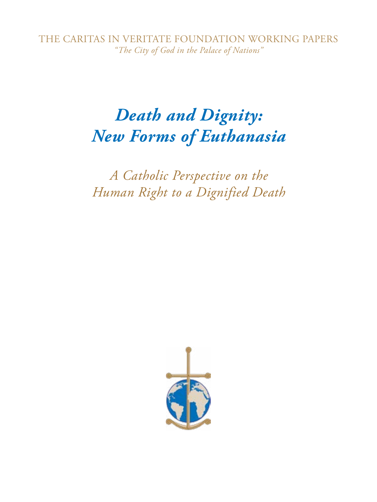THE CARITAS IN VERITATE FOUNDATION WORKING PAPERS *"The City of God in the Palace of Nations"*

# *Death and Dignity: New Forms of Euthanasia*

*A Catholic Perspective on the Human Right to a Dignified Death*

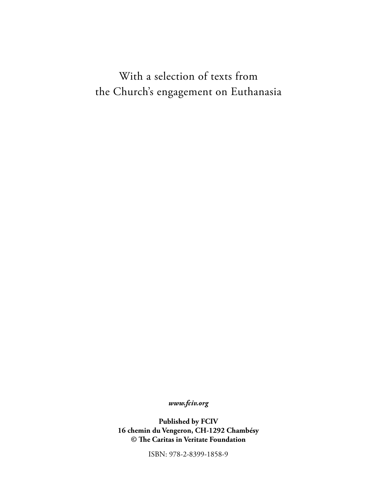## With a selection of texts from the Church's engagement on Euthanasia

*www.fciv.org*

**Published by FCIV 16 chemin du Vengeron, CH-1292 Chambésy © The Caritas in Veritate Foundation**

ISBN: 978-2-8399-1858-9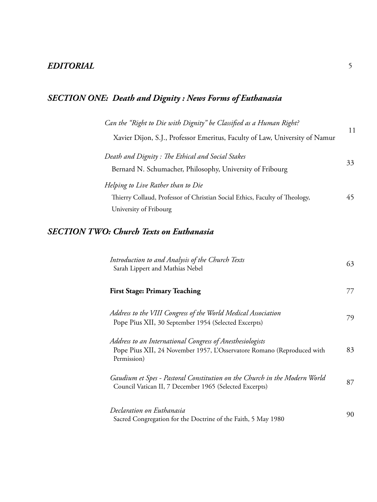### *EDITORIAL* 5

## *SECTION ONE: Death and Dignity : News Forms of Euthanasia*

| Can the "Right to Die with Dignity" be Classified as a Human Right?<br>Xavier Dijon, S.J., Professor Emeritus, Faculty of Law, University of Namur | 11 |
|----------------------------------------------------------------------------------------------------------------------------------------------------|----|
| Death and Dignity: The Ethical and Social Stakes<br>Bernard N. Schumacher, Philosophy, University of Fribourg                                      | 33 |
| Helping to Live Rather than to Die<br>Thierry Collaud, Professor of Christian Social Ethics, Faculty of Theology,<br>University of Fribourg        | 45 |
| <b>SECTION TWO: Church Texts on Euthanasia</b>                                                                                                     |    |

| Introduction to and Analysis of the Church Texts<br>Sarah Lippert and Mathias Nebel                                                                | 63 |
|----------------------------------------------------------------------------------------------------------------------------------------------------|----|
| <b>First Stage: Primary Teaching</b>                                                                                                               | 77 |
| Address to the VIII Congress of the World Medical Association<br>Pope Pius XII, 30 September 1954 (Selected Excerpts)                              | 79 |
| Address to an International Congress of Anesthesiologists<br>Pope Pius XII, 24 November 1957, L'Osservatore Romano (Reproduced with<br>Permission) | 83 |
| Gaudium et Spes - Pastoral Constitution on the Church in the Modern World<br>Council Vatican II, 7 December 1965 (Selected Excerpts)               | 87 |
| Declaration on Euthanasia<br>Sacred Congregation for the Doctrine of the Faith, 5 May 1980                                                         | 90 |
|                                                                                                                                                    |    |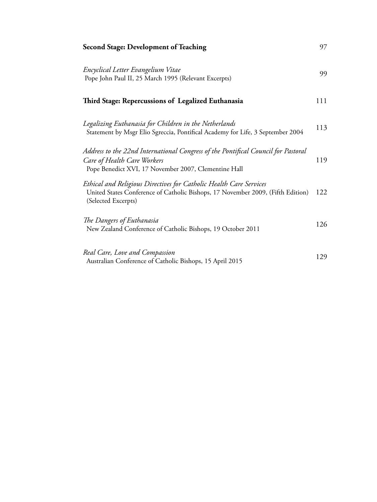| <b>Second Stage: Development of Teaching</b>                                                                                                                                 | 97  |
|------------------------------------------------------------------------------------------------------------------------------------------------------------------------------|-----|
| Encyclical Letter Evangelium Vitae<br>Pope John Paul II, 25 March 1995 (Relevant Excerpts)                                                                                   | 99  |
| Third Stage: Repercussions of Legalized Euthanasia                                                                                                                           | 111 |
| Legalizing Euthanasia for Children in the Netherlands<br>Statement by Msgr Elio Sgreccia, Pontifical Academy for Life, 3 September 2004                                      | 113 |
| Address to the 22nd International Congress of the Pontifical Council for Pastoral<br>Care of Health Care Workers<br>Pope Benedict XVI, 17 November 2007, Clementine Hall     | 119 |
| Ethical and Religious Directives for Catholic Health Care Services<br>United States Conference of Catholic Bishops, 17 November 2009, (Fifth Edition)<br>(Selected Excerpts) | 122 |
| The Dangers of Euthanasia<br>New Zealand Conference of Catholic Bishops, 19 October 2011                                                                                     | 126 |
| Real Care, Love and Compassion<br>Australian Conference of Catholic Bishops, 15 April 2015                                                                                   | 129 |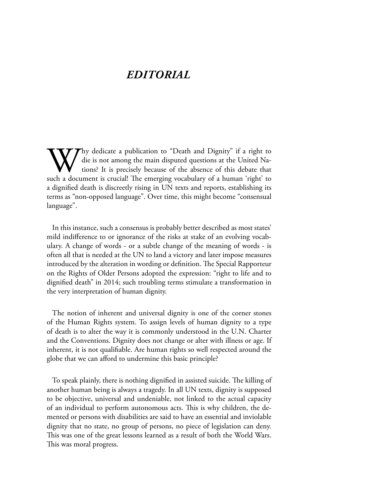## *EDITORIAL*

Why dedicate a publication to "Death and Dignity" if a right to die is not among the main disputed questions at the United Nations? It is precisely because of the absence of this debate that such a document is crucial! The die is not among the main disputed questions at the United Nations? It is precisely because of the absence of this debate that a dignified death is discreetly rising in UN texts and reports, establishing its terms as "non-opposed language". Over time, this might become "consensual language".

In this instance, such a consensus is probably better described as most states' mild indifference to or ignorance of the risks at stake of an evolving vocabulary. A change of words - or a subtle change of the meaning of words - is often all that is needed at the UN to land a victory and later impose measures introduced by the alteration in wording or definition. The Special Rapporteur on the Rights of Older Persons adopted the expression: "right to life and to dignified death" in 2014; such troubling terms stimulate a transformation in the very interpretation of human dignity.

The notion of inherent and universal dignity is one of the corner stones of the Human Rights system. To assign levels of human dignity to a type of death is to alter the way it is commonly understood in the U.N. Charter and the Conventions. Dignity does not change or alter with illness or age. If inherent, it is not qualifiable. Are human rights so well respected around the globe that we can afford to undermine this basic principle?

To speak plainly, there is nothing dignified in assisted suicide. The killing of another human being is always a tragedy. In all UN texts, dignity is supposed to be objective, universal and undeniable, not linked to the actual capacity of an individual to perform autonomous acts. This is why children, the demented or persons with disabilities are said to have an essential and inviolable dignity that no state, no group of persons, no piece of legislation can deny. This was one of the great lessons learned as a result of both the World Wars. This was moral progress.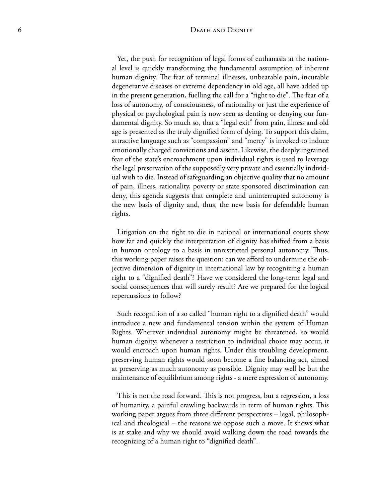#### 6 DEATH AND DIGNITY

Yet, the push for recognition of legal forms of euthanasia at the nation al level is quickly transforming the fundamental assumption of inherent human dignity. The fear of terminal illnesses, unbearable pain, incurable degenerative diseases or extreme dependency in old age, all have added up in the present generation, fuelling the call for a "right to die". The fear of a loss of autonomy, of consciousness, of rationality or just the experience of physical or psychological pain is now seen as denting or denying our fun damental dignity. So much so, that a "legal exit" from pain, illness and old age is presented as the truly dignified form of dying. To support this claim, attractive language such as "compassion" and "mercy" is invoked to induce emotionally charged convictions and assent. Likewise, the deeply ingrained fear of the state's encroachment upon individual rights is used to leverage the legal preservation of the supposedly very private and essentially individ ual wish to die. Instead of safeguarding an objective quality that no amount of pain, illness, rationality, poverty or state sponsored discrimination can deny, this agenda suggests that complete and uninterrupted autonomy is the new basis of dignity and, thus, the new basis for defendable human rights.

Litigation on the right to die in national or international courts show how far and quickly the interpretation of dignity has shifted from a basis in human ontology to a basis in unrestricted personal autonomy. Thus, this working paper raises the question: can we afford to undermine the ob jective dimension of dignity in international law by recognizing a human right to a "dignified death"? Have we considered the long-term legal and social consequences that will surely result? Are we prepared for the logical repercussions to follow?

Such recognition of a so called "human right to a dignified death" would introduce a new and fundamental tension within the system of Human Rights. Wherever individual autonomy might be threatened, so would human dignity; whenever a restriction to individual choice may occur, it would encroach upon human rights. Under this troubling development, preserving human rights would soon become a fine balancing act, aimed at preserving as much autonomy as possible. Dignity may well be but the maintenance of equilibrium among rights - a mere expression of autonomy.

This is not the road forward. This is not progress, but a regression, a loss of humanity, a painful crawling backwards in term of human rights. This working paper argues from three different perspectives – legal, philosoph ical and theological – the reasons we oppose such a move. It shows what is at stake and why we should avoid walking down the road towards the recognizing of a human right to "dignified death".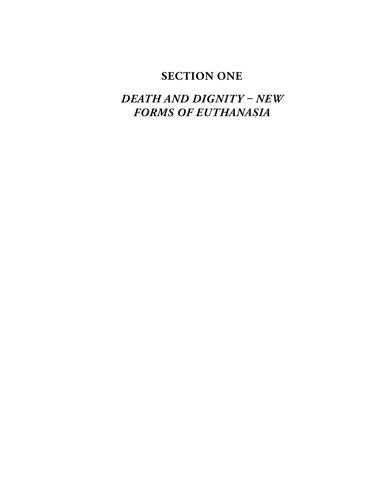## **SECTION ONE**

*DEATH AND DIGNITY – NEW FORMS OF EUTHANASIA*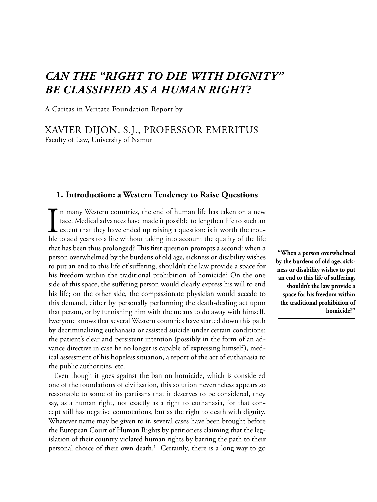## *CAN THE "RIGHT TO DIE WITH DIGNITY" BE CLASSIFIED AS A HUMAN RIGHT?*

A Caritas in Veritate Foundation Report by

XAVIER DIJON, S.J., PROFESSOR EMERITUS Faculty of Law, University of Namur

#### **1. Introduction: a Western Tendency to Raise Questions**

I<br>ble n many Western countries, the end of human life has taken on a new face. Medical advances have made it possible to lengthen life to such an extent that they have ended up raising a question: is it worth the trouble to add years to a life without taking into account the quality of the life that has been thus prolonged? This first question prompts a second: when a person overwhelmed by the burdens of old age, sickness or disability wishes to put an end to this life of suffering, shouldn't the law provide a space for his freedom within the traditional prohibition of homicide? On the one side of this space, the suffering person would clearly express his will to end his life; on the other side, the compassionate physician would accede to this demand, either by personally performing the death-dealing act upon that person, or by furnishing him with the means to do away with himself. Everyone knows that several Western countries have started down this path by decriminalizing euthanasia or assisted suicide under certain conditions: the patient's clear and persistent intention (possibly in the form of an advance directive in case he no longer is capable of expressing himself), medical assessment of his hopeless situation, a report of the act of euthanasia to the public authorities, etc.

Even though it goes against the ban on homicide, which is considered one of the foundations of civilization, this solution nevertheless appears so reasonable to some of its partisans that it deserves to be considered, they say, as a human right, not exactly as a right to euthanasia, for that concept still has negative connotations, but as the right to death with dignity. Whatever name may be given to it, several cases have been brought before the European Court of Human Rights by petitioners claiming that the legislation of their country violated human rights by barring the path to their personal choice of their own death.<sup>1</sup> Certainly, there is a long way to go

**"When a person overwhelmed by the burdens of old age, sickness or disability wishes to put an end to this life of suffering, shouldn't the law provide a space for his freedom within the traditional prohibition of homicide?"**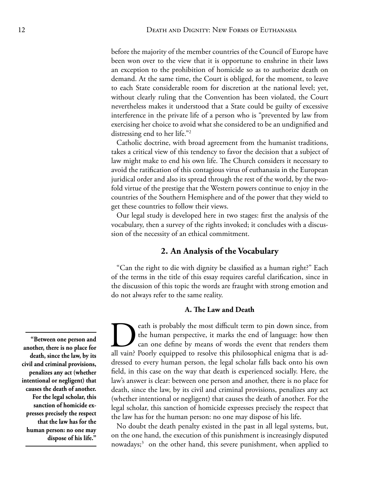before the majority of the member countries of the Council of Europe have been won over to the view that it is opportune to enshrine in their laws an exception to the prohibition of homicide so as to authorize death on demand. At the same time, the Court is obliged, for the moment, to leave to each State considerable room for discretion at the national level; yet, without clearly ruling that the Convention has been violated, the Court nevertheless makes it understood that a State could be guilty of excessive interference in the private life of a person who is "prevented by law from exercising her choice to avoid what she considered to be an undignified and distressing end to her life."2

Catholic doctrine, with broad agreement from the humanist traditions, takes a critical view of this tendency to favor the decision that a subject of law might make to end his own life. The Church considers it necessary to avoid the ratification of this contagious virus of euthanasia in the European juridical order and also its spread through the rest of the world, by the twofold virtue of the prestige that the Western powers continue to enjoy in the countries of the Southern Hemisphere and of the power that they wield to get these countries to follow their views.

Our legal study is developed here in two stages: first the analysis of the vocabulary, then a survey of the rights invoked; it concludes with a discussion of the necessity of an ethical commitment.

#### **2. An Analysis of the Vocabulary**

"Can the right to die with dignity be classified as a human right?" Each of the terms in the title of this essay requires careful clarification, since in the discussion of this topic the words are fraught with strong emotion and do not always refer to the same reality.

#### **A. The Law and Death**

**10** eath is probably the most difficult term to pin down since, from the human perspective, it marks the end of language: how then can one define by means of words the event that renders them all vain? Poorly equipped to the human perspective, it marks the end of language: how then can one define by means of words the event that renders them dressed to every human person, the legal scholar falls back onto his own field, in this case on the way that death is experienced socially. Here, the law's answer is clear: between one person and another, there is no place for death, since the law, by its civil and criminal provisions, penalizes any act (whether intentional or negligent) that causes the death of another. For the legal scholar, this sanction of homicide expresses precisely the respect that the law has for the human person: no one may dispose of his life.

No doubt the death penalty existed in the past in all legal systems, but, on the one hand, the execution of this punishment is increasingly disputed nowadays;3 on the other hand, this severe punishment, when applied to

**"Between one person and another, there is no place for death, since the law, by its civil and criminal provisions, penalizes any act (whether intentional or negligent) that causes the death of another. For the legal scholar, this sanction of homicide expresses precisely the respect that the law has for the human person: no one may dispose of his life."**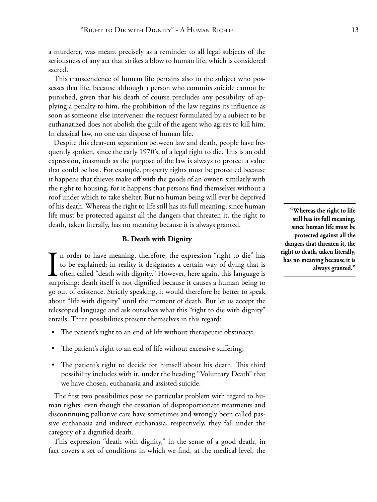a murderer, was meant precisely as a reminder to all legal subjects of the seriousness of any act that strikes a blow to human life, which is considered sacred.

This transcendence of human life pertains also to the subject who possesses that life, because although a person who commits suicide cannot be punished, given that his death of course precludes any possibility of applying a penalty to him, the prohibition of the law regains its influence as soon as someone else intervenes: the request formulated by a subject to be euthanatized does not abolish the guilt of the agent who agrees to kill him. In classical law, no one can dispose of human life.

Despite this clear-cut separation between law and death, people have frequently spoken, since the early 1970's, of a legal right to die. This is an odd expression, inasmuch as the purpose of the law is always to protect a value that could be lost. For example, property rights must be protected because it happens that thieves make off with the goods of an owner; similarly with the right to housing, for it happens that persons find themselves without a roof under which to take shelter. But no human being will ever be deprived of his death. Whereas the right to life still has its full meaning, since human life must be protected against all the dangers that threaten it, the right to death, taken literally, has no meaning because it is always granted.

#### **B. Death with Dignity**

 $\prod_{\text{surp}}$ n order to have meaning, therefore, the expression "right to die" has to be explained; in reality it designates a certain way of dying that is often called "death with dignity." However, here again, this language is surprising: death itself is not dignified because it causes a human being to go out of existence. Strictly speaking, it would therefore be better to speak about "life with dignity" until the moment of death. But let us accept the telescoped language and ask ourselves what this "right to die with dignity" entails. Three possibilities present themselves in this regard:

- The patient's right to an end of life without therapeutic obstinacy;
- The patient's right to an end of life without excessive suffering;
- The patient's right to decide for himself about his death. This third possibility includes with it, under the heading "Voluntary Death" that we have chosen, euthanasia and assisted suicide.

The first two possibilities pose no particular problem with regard to human rights: even though the cessation of disproportionate treatments and discontinuing palliative care have sometimes and wrongly been called passive euthanasia and indirect euthanasia, respectively, they fall under the category of a dignified death.

This expression "death with dignity," in the sense of a good death, in fact covers a set of conditions in which we find, at the medical level, the

**"Whereas the right to life still has its full meaning, since human life must be protected against all the dangers that threaten it, the right to death, taken literally, has no meaning because it is always granted."**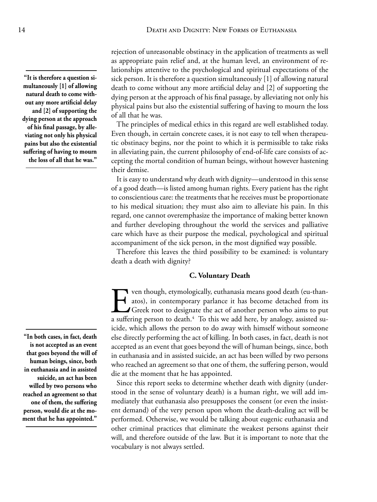rejection of unreasonable obstinacy in the application of treatments as well as appropriate pain relief and, at the human level, an environment of relationships attentive to the psychological and spiritual expectations of the sick person. It is therefore a question simultaneously [1] of allowing natural death to come without any more artificial delay and [2] of supporting the dying person at the approach of his final passage, by alleviating not only his physical pains but also the existential suffering of having to mourn the loss of all that he was.

The principles of medical ethics in this regard are well established today. Even though, in certain concrete cases, it is not easy to tell when therapeutic obstinacy begins, nor the point to which it is permissible to take risks in alleviating pain, the current philosophy of end-of-life care consists of accepting the mortal condition of human beings, without however hastening their demise.

It is easy to understand why death with dignity—understood in this sense of a good death—is listed among human rights. Every patient has the right to conscientious care: the treatments that he receives must be proportionate to his medical situation; they must also aim to alleviate his pain. In this regard, one cannot overemphasize the importance of making better known and further developing throughout the world the services and palliative care which have as their purpose the medical, psychological and spiritual accompaniment of the sick person, in the most dignified way possible.

Therefore this leaves the third possibility to be examined: is voluntary death a death with dignity?

#### **C. Voluntary Death**

The ven though, etymologically, euthanasia means good death (eu-thanasio), in contemporary parlance it has become detached from its Greek root to designate the act of another person who aims to put a suffering person to de atos), in contemporary parlance it has become detached from its Greek root to designate the act of another person who aims to put a suffering person to death. $^4\,$  To this we add here, by analogy, assisted suicide, which allows the person to do away with himself without someone else directly performing the act of killing. In both cases, in fact, death is not accepted as an event that goes beyond the will of human beings, since, both in euthanasia and in assisted suicide, an act has been willed by two persons who reached an agreement so that one of them, the suffering person, would die at the moment that he has appointed.

Since this report seeks to determine whether death with dignity (understood in the sense of voluntary death) is a human right, we will add immediately that euthanasia also presupposes the consent (or even the insistent demand) of the very person upon whom the death-dealing act will be performed. Otherwise, we would be talking about eugenic euthanasia and other criminal practices that eliminate the weakest persons against their will, and therefore outside of the law. But it is important to note that the vocabulary is not always settled.

**"It is therefore a question simultaneously [1] of allowing natural death to come without any more artificial delay and [2] of supporting the dying person at the approach of his final passage, by alleviating not only his physical pains but also the existential suffering of having to mourn the loss of all that he was."** 

**"In both cases, in fact, death is not accepted as an event that goes beyond the will of human beings, since, both in euthanasia and in assisted suicide, an act has been willed by two persons who reached an agreement so that one of them, the suffering person, would die at the moment that he has appointed."**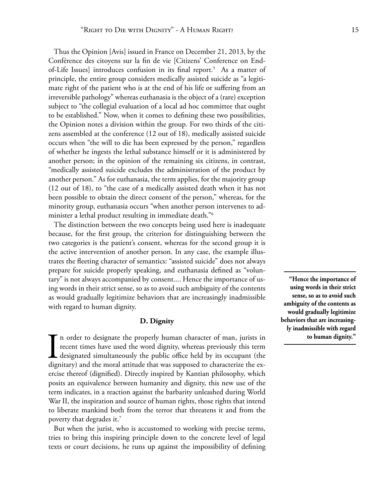Thus the Opinion [Avis] issued in France on December 21, 2013, by the Conférence des citoyens sur la fin de vie [Citizens' Conference on Endof-Life Issues] introduces confusion in its final report.<sup>5</sup> As a matter of principle, the entire group considers medically assisted suicide as "a legitimate right of the patient who is at the end of his life or suffering from an irreversible pathology" whereas euthanasia is the object of a (rare) exception subject to "the collegial evaluation of a local ad hoc committee that ought to be established." Now, when it comes to defining these two possibilities, the Opinion notes a division within the group. For two thirds of the citizens assembled at the conference (12 out of 18), medically assisted suicide occurs when "the will to die has been expressed by the person," regardless of whether he ingests the lethal substance himself or it is administered by another person; in the opinion of the remaining six citizens, in contrast, "medically assisted suicide excludes the administration of the product by another person." As for euthanasia, the term applies, for the majority group (12 out of 18), to "the case of a medically assisted death when it has not been possible to obtain the direct consent of the person," whereas, for the minority group, euthanasia occurs "when another person intervenes to administer a lethal product resulting in immediate death."6

The distinction between the two concepts being used here is inadequate because, for the first group, the criterion for distinguishing between the two categories is the patient's consent, whereas for the second group it is the active intervention of another person. In any case, the example illustrates the fleeting character of semantics: "assisted suicide" does not always prepare for suicide properly speaking, and euthanasia defined as "voluntary" is not always accompanied by consent.... Hence the importance of using words in their strict sense, so as to avoid such ambiguity of the contents as would gradually legitimize behaviors that are increasingly inadmissible with regard to human dignity.

#### **D. Dignity**

 $\prod_{\text{dign}}$ n order to designate the properly human character of man, jurists in recent times have used the word dignity, whereas previously this term designated simultaneously the public office held by its occupant (the dignitary) and the moral attitude that was supposed to characterize the exercise thereof (dignified). Directly inspired by Kantian philosophy, which posits an equivalence between humanity and dignity, this new use of the term indicates, in a reaction against the barbarity unleashed during World War II, the inspiration and source of human rights, those rights that intend to liberate mankind both from the terror that threatens it and from the poverty that degrades it.7

But when the jurist, who is accustomed to working with precise terms, tries to bring this inspiring principle down to the concrete level of legal texts or court decisions, he runs up against the impossibility of defining

**"Hence the importance of using words in their strict sense, so as to avoid such ambiguity of the contents as would gradually legitimize behaviors that are increasingly inadmissible with regard to human dignity."**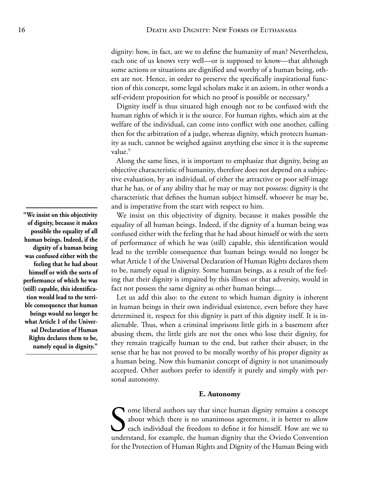dignity: how, in fact, are we to define the humanity of man? Nevertheless, each one of us knows very well—or is supposed to know—that although some actions or situations are dignified and worthy of a human being, others are not. Hence, in order to preserve the specifically inspirational function of this concept, some legal scholars make it an axiom, in other words a self-evident proposition for which no proof is possible or necessary.8

Dignity itself is thus situated high enough not to be confused with the human rights of which it is the source. For human rights, which aim at the welfare of the individual, can come into conflict with one another, calling then for the arbitration of a judge, whereas dignity, which protects humanity as such, cannot be weighed against anything else since it is the supreme value.<sup>9</sup>

Along the same lines, it is important to emphasize that dignity, being an objective characteristic of humanity, therefore does not depend on a subjective evaluation, by an individual, of either the attractive or poor self-image that he has, or of any ability that he may or may not possess: dignity is the characteristic that defines the human subject himself, whoever he may be, and is imperative from the start with respect to him.

We insist on this objectivity of dignity, because it makes possible the equality of all human beings. Indeed, if the dignity of a human being was confused either with the feeling that he had about himself or with the sorts of performance of which he was (still) capable, this identification would lead to the terrible consequence that human beings would no longer be what Article 1 of the Universal Declaration of Human Rights declares them to be, namely equal in dignity. Some human beings, as a result of the feeling that their dignity is impaired by this illness or that adversity, would in fact not possess the same dignity as other human beings....

Let us add this also: to the extent to which human dignity is inherent in human beings in their own individual existence, even before they have determined it, respect for this dignity is part of this dignity itself. It is inalienable. Thus, when a criminal imprisons little girls in a basement after abusing them, the little girls are not the ones who lose their dignity, for they remain tragically human to the end, but rather their abuser, in the sense that he has not proved to be morally worthy of his proper dignity as a human being. Now this humanist concept of dignity is not unanimously accepted. Other authors prefer to identify it purely and simply with personal autonomy.

#### **E. Autonomy**

S<sub>under</sub> **T** ome liberal authors say that since human dignity remains a concept about which there is no unanimous agreement, it is better to allow each individual the freedom to define it for himself. How are we to understand, for example, the human dignity that the Oviedo Convention for the Protection of Human Rights and Dignity of the Human Being with

**"We insist on this objectivity of dignity, because it makes possible the equality of all human beings. Indeed, if the dignity of a human being was confused either with the feeling that he had about himself or with the sorts of performance of which he was (still) capable, this identification would lead to the terrible consequence that human beings would no longer be what Article 1 of the Universal Declaration of Human Rights declares them to be, namely equal in dignity."**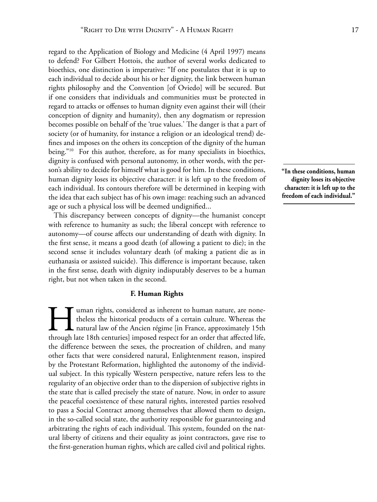regard to the Application of Biology and Medicine (4 April 1997) means to defend? For Gilbert Hottois, the author of several works dedicated to bioethics, one distinction is imperative: "If one postulates that it is up to each individual to decide about his or her dignity, the link between human rights philosophy and the Convention [of Oviedo] will be secured. But if one considers that individuals and communities must be protected in regard to attacks or offenses to human dignity even against their will (their conception of dignity and humanity), then any dogmatism or repression becomes possible on behalf of the 'true values.' The danger is that a part of society (or of humanity, for instance a religion or an ideological trend) defines and imposes on the others its conception of the dignity of the human being."<sup>10</sup> For this author, therefore, as for many specialists in bioethics, dignity is confused with personal autonomy, in other words, with the person's ability to decide for himself what is good for him. In these conditions, human dignity loses its objective character: it is left up to the freedom of each individual. Its contours therefore will be determined in keeping with the idea that each subject has of his own image: reaching such an advanced age or such a physical loss will be deemed undignified...

This discrepancy between concepts of dignity—the humanist concept with reference to humanity as such; the liberal concept with reference to autonomy—of course affects our understanding of death with dignity. In the first sense, it means a good death (of allowing a patient to die); in the second sense it includes voluntary death (of making a patient die as in euthanasia or assisted suicide). This difference is important because, taken in the first sense, death with dignity indisputably deserves to be a human right, but not when taken in the second.

#### **F. Human Rights**

I uman rights, considered as inherent to human nature, are none-<br>theless the historical products of a certain culture. Whereas the<br>natural law of the Ancien régime [in France, approximately 15th<br>through late 18th centuries theless the historical products of a certain culture. Whereas the natural law of the Ancien régime [in France, approximately 15th the difference between the sexes, the procreation of children, and many other facts that were considered natural, Enlightenment reason, inspired by the Protestant Reformation, highlighted the autonomy of the individual subject. In this typically Western perspective, nature refers less to the regularity of an objective order than to the dispersion of subjective rights in the state that is called precisely the state of nature. Now, in order to assure the peaceful coexistence of these natural rights, interested parties resolved to pass a Social Contract among themselves that allowed them to design, in the so-called social state, the authority responsible for guaranteeing and arbitrating the rights of each individual. This system, founded on the natural liberty of citizens and their equality as joint contractors, gave rise to the first-generation human rights, which are called civil and political rights.

**"In these conditions, human dignity loses its objective character: it is left up to the freedom of each individual."**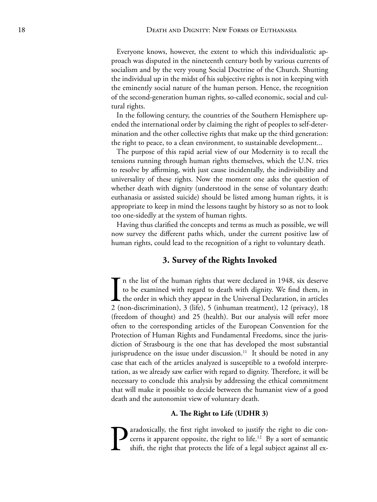Everyone knows, however, the extent to which this individualistic ap proach was disputed in the nineteenth century both by various currents of socialism and by the very young Social Doctrine of the Church. Shutting the individual up in the midst of his subjective rights is not in keeping with the eminently social nature of the human person. Hence, the recognition of the second-generation human rights, so-called economic, social and cul tural rights.

In the following century, the countries of the Southern Hemisphere up ended the international order by claiming the right of peoples to self-deter mination and the other collective rights that make up the third generation: the right to peace, to a clean environment, to sustainable development...

The purpose of this rapid aerial view of our Modernity is to recall the tensions running through human rights themselves, which the U.N. tries to resolve by affirming, with just cause incidentally, the indivisibility and universality of these rights. Now the moment one asks the question of whether death with dignity (understood in the sense of voluntary death: euthanasia or assisted suicide) should be listed among human rights, it is appropriate to keep in mind the lessons taught by history so as not to look too one-sidedly at the system of human rights.

Having thus clarified the concepts and terms as much as possible, we will now survey the different paths which, under the current positive law of human rights, could lead to the recognition of a right to voluntary death.

#### **3. Survey of the Rights Invoked**

 $\prod_{2(n)}$ n the list of the human rights that were declared in 1948, six deserve to be examined with regard to death with dignity. We find them, in the order in which they appear in the Universal Declaration, in articles 2 (non-discrimination), 3 (life), 5 (inhuman treatment), 12 (privacy), 18 (freedom of thought) and 25 (health). But our analysis will refer more often to the corresponding articles of the European Convention for the Protection of Human Rights and Fundamental Freedoms, since the juris diction of Strasbourg is the one that has developed the most substantial jurisprudence on the issue under discussion.<sup>11</sup> It should be noted in any case that each of the articles analyzed is susceptible to a twofold interpre tation, as we already saw earlier with regard to dignity. Therefore, it will be necessary to conclude this analysis by addressing the ethical commitment that will make it possible to decide between the humanist view of a good death and the autonomist view of voluntary death.

#### **A. The Right to Life (UDHR 3)**

**Paradoxically, the first right invoked to justify the right to die con** cerns it apparent opposite, the right to life.<sup>12</sup> By a sort of semanti shift, the right that protects the life of a legal subject against all ex aradoxically, the first right invoked to justify the right to die concerns it apparent opposite, the right to life.<sup>12</sup> By a sort of semantic shift, the right that protects the life of a legal subject against all ex -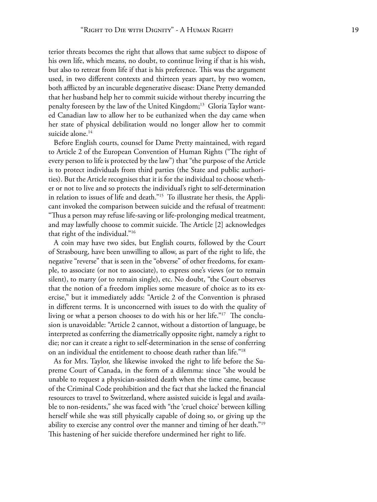terior threats becomes the right that allows that same subject to dispose of his own life, which means, no doubt, to continue living if that is his wish, but also to retreat from life if that is his preference. This was the argument used, in two different contexts and thirteen years apart, by two women, both afflicted by an incurable degenerative disease: Diane Pretty demanded that her husband help her to commit suicide without thereby incurring the penalty foreseen by the law of the United Kingdom;<sup>13</sup> Gloria Taylor wanted Canadian law to allow her to be euthanized when the day came when her state of physical debilitation would no longer allow her to commit suicide alone.<sup>14</sup>

Before English courts, counsel for Dame Pretty maintained, with regard to Article 2 of the European Convention of Human Rights ("The right of every person to life is protected by the law") that "the purpose of the Article is to protect individuals from third parties (the State and public authori ties). But the Article recognises that it is for the individual to choose wheth er or not to live and so protects the individual's right to self-determination in relation to issues of life and death."15 To illustrate her thesis, the Appli cant invoked the comparison between suicide and the refusal of treatment: "Thus a person may refuse life-saving or life-prolonging medical treatment, and may lawfully choose to commit suicide. The Article [2] acknowledges that right of the individual."16

A coin may have two sides, but English courts, followed by the Court of Strasbourg, have been unwilling to allow, as part of the right to life, the negative "reverse" that is seen in the "obverse" of other freedoms, for exam ple, to associate (or not to associate), to express one's views (or to remain silent), to marry (or to remain single), etc. No doubt, "the Court observes that the notion of a freedom implies some measure of choice as to its ex ercise," but it immediately adds: "Article 2 of the Convention is phrased in different terms. It is unconcerned with issues to do with the quality of living or what a person chooses to do with his or her life."17 The conclu sion is unavoidable: "Article 2 cannot, without a distortion of language, be interpreted as conferring the diametrically opposite right, namely a right to die; nor can it create a right to self-determination in the sense of conferring on an individual the entitlement to choose death rather than life."18

As for Mrs. Taylor, she likewise invoked the right to life before the Su preme Court of Canada, in the form of a dilemma: since "she would be unable to request a physician-assisted death when the time came, because of the Criminal Code prohibition and the fact that she lacked the financial resources to travel to Switzerland, where assisted suicide is legal and availa ble to non-residents," she was faced with "the 'cruel choice' between killing herself while she was still physically capable of doing so, or giving up the ability to exercise any control over the manner and timing of her death."19 This hastening of her suicide therefore undermined her right to life.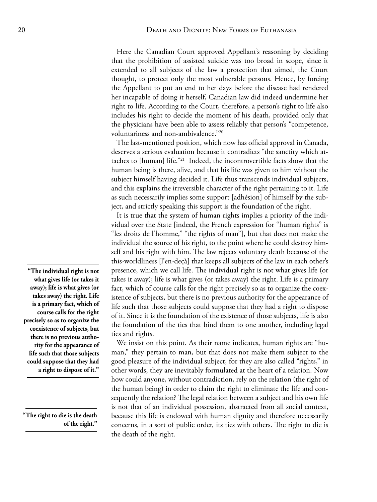Here the Canadian Court approved Appellant's reasoning by deciding that the prohibition of assisted suicide was too broad in scope, since it extended to all subjects of the law a protection that aimed, the Court thought, to protect only the most vulnerable persons. Hence, by forcing the Appellant to put an end to her days before the disease had rendered her incapable of doing it herself, Canadian law did indeed undermine her right to life. According to the Court, therefore, a person's right to life also includes his right to decide the moment of his death, provided only that the physicians have been able to assess reliably that person's "competence, voluntariness and non-ambivalence."20

The last-mentioned position, which now has official approval in Canada, deserves a serious evaluation because it contradicts "the sanctity which attaches to [human] life."21 Indeed, the incontrovertible facts show that the human being is there, alive, and that his life was given to him without the subject himself having decided it. Life thus transcends individual subjects, and this explains the irreversible character of the right pertaining to it. Life as such necessarily implies some support [adhésion] of himself by the subject, and strictly speaking this support is the foundation of the right.

It is true that the system of human rights implies a priority of the individual over the State [indeed, the French expression for "human rights" is "les droits de l'homme," "the rights of man"], but that does not make the individual the source of his right, to the point where he could destroy himself and his right with him. The law rejects voluntary death because of the this-worldliness [l'en-deçà] that keeps all subjects of the law in each other's presence, which we call life. The individual right is not what gives life (or takes it away); life is what gives (or takes away) the right. Life is a primary fact, which of course calls for the right precisely so as to organize the coexistence of subjects, but there is no previous authority for the appearance of life such that those subjects could suppose that they had a right to dispose of it. Since it is the foundation of the existence of those subjects, life is also the foundation of the ties that bind them to one another, including legal ties and rights.

We insist on this point. As their name indicates, human rights are "human," they pertain to man, but that does not make them subject to the good pleasure of the individual subject, for they are also called "rights," in other words, they are inevitably formulated at the heart of a relation. Now how could anyone, without contradiction, rely on the relation (the right of the human being) in order to claim the right to eliminate the life and consequently the relation? The legal relation between a subject and his own life is not that of an individual possession, abstracted from all social context, because this life is endowed with human dignity and therefore necessarily concerns, in a sort of public order, its ties with others. The right to die is the death of the right.

**"The individual right is not what gives life (or takes it away); life is what gives (or takes away) the right. Life is a primary fact, which of course calls for the right precisely so as to organize the coexistence of subjects, but there is no previous authority for the appearance of life such that those subjects could suppose that they had a right to dispose of it."**

**"The right to die is the death of the right."**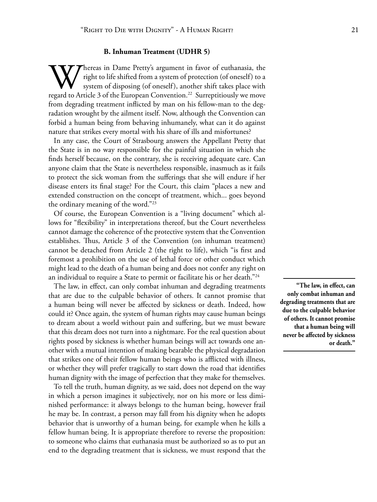#### **B. Inhuman Treatment (UDHR 5)**

W right to life shifted from a system of protection (of oneself) to a system of disposing (of oneself), another shift takes place with regard to Article 3 of the European Convention.<sup>22</sup> Surreptitiously we move right to life shifted from a system of protection (of oneself) to a system of disposing (of oneself), another shift takes place with from degrading treatment inflicted by man on his fellow-man to the degradation wrought by the ailment itself. Now, although the Convention can forbid a human being from behaving inhumanely, what can it do against nature that strikes every mortal with his share of ills and misfortunes?

In any case, the Court of Strasbourg answers the Appellant Pretty that the State is in no way responsible for the painful situation in which she finds herself because, on the contrary, she is receiving adequate care. Can anyone claim that the State is nevertheless responsible, inasmuch as it fails to protect the sick woman from the sufferings that she will endure if her disease enters its final stage? For the Court, this claim "places a new and extended construction on the concept of treatment, which... goes beyond the ordinary meaning of the word."23

Of course, the European Convention is a "living document" which allows for "flexibility" in interpretations thereof, but the Court nevertheless cannot damage the coherence of the protective system that the Convention establishes. Thus, Article 3 of the Convention (on inhuman treatment) cannot be detached from Article 2 (the right to life), which "is first and foremost a prohibition on the use of lethal force or other conduct which might lead to the death of a human being and does not confer any right on an individual to require a State to permit or facilitate his or her death."24

The law, in effect, can only combat inhuman and degrading treatments that are due to the culpable behavior of others. It cannot promise that a human being will never be affected by sickness or death. Indeed, how could it? Once again, the system of human rights may cause human beings to dream about a world without pain and suffering, but we must beware that this dream does not turn into a nightmare. For the real question about rights posed by sickness is whether human beings will act towards one another with a mutual intention of making bearable the physical degradation that strikes one of their fellow human beings who is afflicted with illness, or whether they will prefer tragically to start down the road that identifies human dignity with the image of perfection that they make for themselves.

To tell the truth, human dignity, as we said, does not depend on the way in which a person imagines it subjectively, nor on his more or less diminished performance: it always belongs to the human being, however frail he may be. In contrast, a person may fall from his dignity when he adopts behavior that is unworthy of a human being, for example when he kills a fellow human being. It is appropriate therefore to reverse the proposition: to someone who claims that euthanasia must be authorized so as to put an end to the degrading treatment that is sickness, we must respond that the

**"The law, in effect, can only combat inhuman and degrading treatments that are due to the culpable behavior of others. It cannot promise that a human being will never be affected by sickness or death."**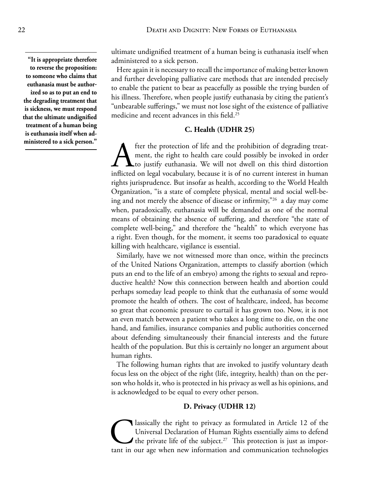**"It is appropriate therefore to reverse the proposition: to someone who claims that euthanasia must be authorized so as to put an end to the degrading treatment that is sickness, we must respond that the ultimate undignified treatment of a human being is euthanasia itself when administered to a sick person."**

ultimate undignified treatment of a human being is euthanasia itself when administered to a sick person.

Here again it is necessary to recall the importance of making better known and further developing palliative care methods that are intended precisely to enable the patient to bear as peacefully as possible the trying burden of his illness. Therefore, when people justify euthanasia by citing the patient's "unbearable sufferings," we must not lose sight of the existence of palliative medicine and recent advances in this field.25

#### **C. Health (UDHR 25)**

fter the protection of life and the prohibition of degrading treat-<br>ment, the right to health care could possibly be invoked in order<br>to justify euthanasia. We will not dwell on this third distortion<br>inflicted on legal voc ment, the right to health care could possibly be invoked in order to justify euthanasia. We will not dwell on this third distortion inflicted on legal vocabulary, because it is of no current interest in human rights jurisprudence. But insofar as health, according to the World Health Organization, "is a state of complete physical, mental and social well-being and not merely the absence of disease or infirmity,"26 a day may come when, paradoxically, euthanasia will be demanded as one of the normal means of obtaining the absence of suffering, and therefore "the state of complete well-being," and therefore the "health" to which everyone has a right. Even though, for the moment, it seems too paradoxical to equate killing with healthcare, vigilance is essential.

Similarly, have we not witnessed more than once, within the precincts of the United Nations Organization, attempts to classify abortion (which puts an end to the life of an embryo) among the rights to sexual and reproductive health? Now this connection between health and abortion could perhaps someday lead people to think that the euthanasia of some would promote the health of others. The cost of healthcare, indeed, has become so great that economic pressure to curtail it has grown too. Now, it is not an even match between a patient who takes a long time to die, on the one hand, and families, insurance companies and public authorities concerned about defending simultaneously their financial interests and the future health of the population. But this is certainly no longer an argument about human rights.

The following human rights that are invoked to justify voluntary death focus less on the object of the right (life, integrity, health) than on the person who holds it, who is protected in his privacy as well as his opinions, and is acknowledged to be equal to every other person.

#### **D. Privacy (UDHR 12)**

Iassically the right to privacy as formulated in Article 12 of the Universal Declaration of Human Rights essentially aims to defend the private life of the subject.<sup>27</sup> This protection is just as important in our age when Universal Declaration of Human Rights essentially aims to defend the private life of the subject.<sup>27</sup> This protection is just as important in our age when new information and communication technologies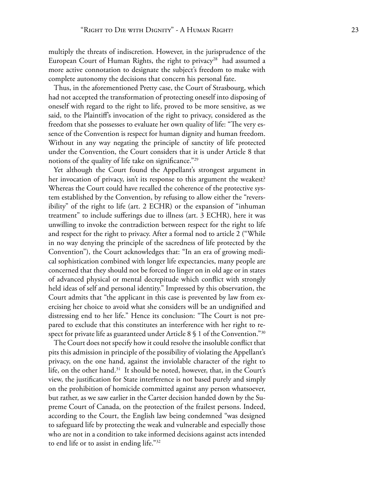multiply the threats of indiscretion. However, in the jurisprudence of the European Court of Human Rights, the right to privacy<sup>28</sup> had assumed a more active connotation to designate the subject's freedom to make with complete autonomy the decisions that concern his personal fate.

Thus, in the aforementioned Pretty case, the Court of Strasbourg, which had not accepted the transformation of protecting oneself into disposing of oneself with regard to the right to life, proved to be more sensitive, as we said, to the Plaintiff's invocation of the right to privacy, considered as the freedom that she possesses to evaluate her own quality of life: "The very es sence of the Convention is respect for human dignity and human freedom. Without in any way negating the principle of sanctity of life protected under the Convention, the Court considers that it is under Article 8 that notions of the quality of life take on significance."<sup>29</sup>

Yet although the Court found the Appellant's strongest argument in her invocation of privacy, isn't its response to this argument the weakest? Whereas the Court could have recalled the coherence of the protective sys tem established by the Convention, by refusing to allow either the "revers ibility" of the right to life (art. 2 ECHR) or the expansion of "inhuman treatment" to include sufferings due to illness (art. 3 ECHR), here it was unwilling to invoke the contradiction between respect for the right to life and respect for the right to privacy. After a formal nod to article 2 ("While in no way denying the principle of the sacredness of life protected by the Convention"), the Court acknowledges that: "In an era of growing medi cal sophistication combined with longer life expectancies, many people are concerned that they should not be forced to linger on in old age or in states of advanced physical or mental decrepitude which conflict with strongly held ideas of self and personal identity." Impressed by this observation, the Court admits that "the applicant in this case is prevented by law from ex ercising her choice to avoid what she considers will be an undignified and distressing end to her life." Hence its conclusion: "The Court is not pre pared to exclude that this constitutes an interference with her right to re spect for private life as guaranteed under Article 8 § 1 of the Convention."30

The Court does not specify how it could resolve the insoluble conflict that pits this admission in principle of the possibility of violating the Appellant's privacy, on the one hand, against the inviolable character of the right to life, on the other hand.<sup>31</sup> It should be noted, however, that, in the Court's view, the justification for State interference is not based purely and simply on the prohibition of homicide committed against any person whatsoever, but rather, as we saw earlier in the Carter decision handed down by the Su preme Court of Canada, on the protection of the frailest persons. Indeed, according to the Court, the English law being condemned "was designed to safeguard life by protecting the weak and vulnerable and especially those who are not in a condition to take informed decisions against acts intended to end life or to assist in ending life."32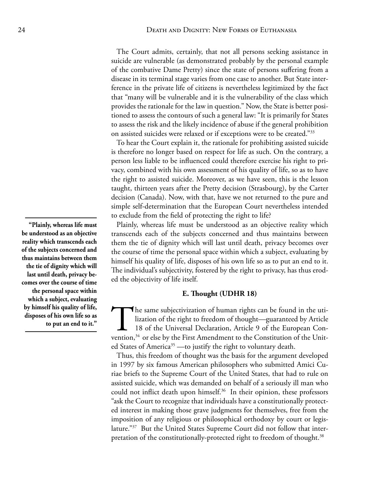The Court admits, certainly, that not all persons seeking assistance in suicide are vulnerable (as demonstrated probably by the personal example of the combative Dame Pretty) since the state of persons suffering from a disease in its terminal stage varies from one case to another. But State interference in the private life of citizens is nevertheless legitimized by the fact that "many will be vulnerable and it is the vulnerability of the class which provides the rationale for the law in question." Now, the State is better positioned to assess the contours of such a general law: "It is primarily for States to assess the risk and the likely incidence of abuse if the general prohibition on assisted suicides were relaxed or if exceptions were to be created."33

To hear the Court explain it, the rationale for prohibiting assisted suicide is therefore no longer based on respect for life as such. On the contrary, a person less liable to be influenced could therefore exercise his right to privacy, combined with his own assessment of his quality of life, so as to have the right to assisted suicide. Moreover, as we have seen, this is the lesson taught, thirteen years after the Pretty decision (Strasbourg), by the Carter decision (Canada). Now, with that, have we not returned to the pure and simple self-determination that the European Court nevertheless intended to exclude from the field of protecting the right to life?

Plainly, whereas life must be understood as an objective reality which transcends each of the subjects concerned and thus maintains between them the tie of dignity which will last until death, privacy becomes over the course of time the personal space within which a subject, evaluating by himself his quality of life, disposes of his own life so as to put an end to it. The individual's subjectivity, fostered by the right to privacy, has thus eroded the objectivity of life itself.

#### **E. Thought (UDHR 18)**

The same subjectivization of human rights can be found in the utilization of the right to freedom of thought—guaranteed by Article 18 of the Universal Declaration, Article 9 of the European Convention,<sup>34</sup> or else by the First Amendment to the Constitution of the United States of America<sup>35</sup> —to justify the right to voluntary death.

Thus, this freedom of thought was the basis for the argument developed in 1997 by six famous American philosophers who submitted Amici Curiae briefs to the Supreme Court of the United States, that had to rule on assisted suicide, which was demanded on behalf of a seriously ill man who could not inflict death upon himself.<sup>36</sup> In their opinion, these professors "ask the Court to recognize that individuals have a constitutionally protected interest in making those grave judgments for themselves, free from the imposition of any religious or philosophical orthodoxy by court or legislature."37 But the United States Supreme Court did not follow that interpretation of the constitutionally-protected right to freedom of thought.<sup>38</sup>

**"Plainly, whereas life must be understood as an objective reality which transcends each of the subjects concerned and thus maintains between them the tie of dignity which will last until death, privacy becomes over the course of time the personal space within which a subject, evaluating by himself his quality of life, disposes of his own life so as to put an end to it."**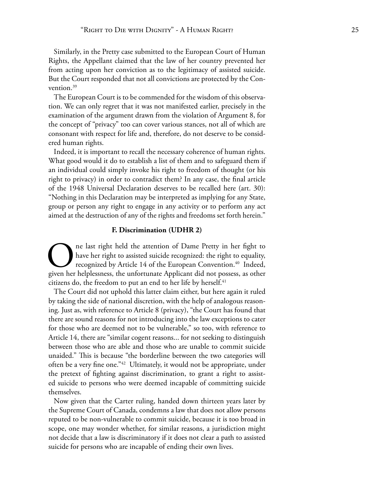Similarly, in the Pretty case submitted to the European Court of Human Rights, the Appellant claimed that the law of her country prevented her from acting upon her conviction as to the legitimacy of assisted suicide. But the Court responded that not all convictions are protected by the Con vention.<sup>39</sup>

The European Court is to be commended for the wisdom of this observa tion. We can only regret that it was not manifested earlier, precisely in the examination of the argument drawn from the violation of Argument 8, for the concept of "privacy" too can cover various stances, not all of which are consonant with respect for life and, therefore, do not deserve to be consid ered human rights.

Indeed, it is important to recall the necessary coherence of human rights. What good would it do to establish a list of them and to safeguard them if an individual could simply invoke his right to freedom of thought (or his right to privacy) in order to contradict them? In any case, the final article of the 1948 Universal Declaration deserves to be recalled here (art. 30): "Nothing in this Declaration may be interpreted as implying for any State, group or person any right to engage in any activity or to perform any act aimed at the destruction of any of the rights and freedoms set forth herein."

#### **F. Discrimination (UDHR 2)**

One last right held the attention of Dame Pretty in her fight to have her right to assisted suicide recognized: the right to equality, recognized by Article 14 of the European Convention.<sup>40</sup> Indeed, given her helplessness have her right to assisted suicide recognized: the right to equality, recognized by Article 14 of the European Convention.<sup>40</sup> Indeed, given her helplessness, the unfortunate Applicant did not possess, as other citizens do, the freedom to put an end to her life by herself. $41$ 

The Court did not uphold this latter claim either, but here again it ruled by taking the side of national discretion, with the help of analogous reason ing. Just as, with reference to Article 8 (privacy), "the Court has found that there are sound reasons for not introducing into the law exceptions to cater for those who are deemed not to be vulnerable," so too, with reference to Article 14, there are "similar cogent reasons... for not seeking to distinguish between those who are able and those who are unable to commit suicide unaided." This is because "the borderline between the two categories will often be a very fine one."42 Ultimately, it would not be appropriate, under the pretext of fighting against discrimination, to grant a right to assist ed suicide to persons who were deemed incapable of committing suicide themselves.

Now given that the Carter ruling, handed down thirteen years later by the Supreme Court of Canada, condemns a law that does not allow persons reputed to be non-vulnerable to commit suicide, because it is too broad in scope, one may wonder whether, for similar reasons, a jurisdiction might not decide that a law is discriminatory if it does not clear a path to assisted suicide for persons who are incapable of ending their own lives.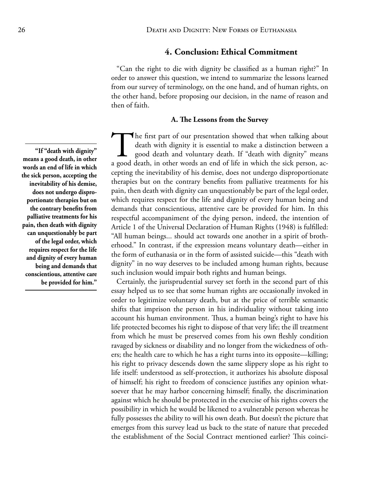#### **4. Conclusion: Ethical Commitment**

"Can the right to die with dignity be classified as a human right?" In order to answer this question, we intend to summarize the lessons learned from our survey of terminology, on the one hand, and of human rights, on the other hand, before proposing our decision, in the name of reason and then of faith.

#### **A. The Lessons from the Survey**

The first part of our presentation showed that when talking about death with dignity it is essential to make a distinction between a good death and voluntary death. If "death with dignity" means a good death, in other word death with dignity it is essential to make a distinction between a good death and voluntary death. If "death with dignity" means cepting the inevitability of his demise, does not undergo disproportionate therapies but on the contrary benefits from palliative treatments for his pain, then death with dignity can unquestionably be part of the legal order, which requires respect for the life and dignity of every human being and demands that conscientious, attentive care be provided for him. In this respectful accompaniment of the dying person, indeed, the intention of Article 1 of the Universal Declaration of Human Rights (1948) is fulfilled: "All human beings... should act towards one another in a spirit of brotherhood." In contrast, if the expression means voluntary death—either in the form of euthanasia or in the form of assisted suicide—this "death with dignity" in no way deserves to be included among human rights, because such inclusion would impair both rights and human beings.

Certainly, the jurisprudential survey set forth in the second part of this essay helped us to see that some human rights are occasionally invoked in order to legitimize voluntary death, but at the price of terrible semantic shifts that imprison the person in his individuality without taking into account his human environment. Thus, a human being's right to have his life protected becomes his right to dispose of that very life; the ill treatment from which he must be preserved comes from his own fleshly condition ravaged by sickness or disability and no longer from the wickedness of others; the health care to which he has a right turns into its opposite—killing; his right to privacy descends down the same slippery slope as his right to life itself: understood as self-protection, it authorizes his absolute disposal of himself; his right to freedom of conscience justifies any opinion whatsoever that he may harbor concerning himself; finally, the discrimination against which he should be protected in the exercise of his rights covers the possibility in which he would be likened to a vulnerable person whereas he fully possesses the ability to will his own death. But doesn't the picture that emerges from this survey lead us back to the state of nature that preceded the establishment of the Social Contract mentioned earlier? This coinci-

**"If "death with dignity" means a good death, in other words an end of life in which the sick person, accepting the inevitability of his demise, does not undergo disproportionate therapies but on the contrary benefits from palliative treatments for his pain, then death with dignity can unquestionably be part of the legal order, which requires respect for the life and dignity of every human being and demands that conscientious, attentive care be provided for him."**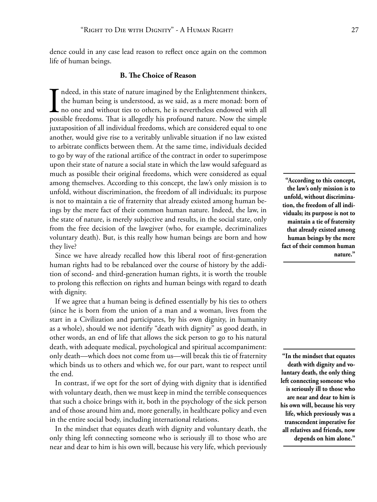dence could in any case lead reason to reflect once again on the common life of human beings.

#### **B. The Choice of Reason**

Indeed, in this state of nature imagined by the Enlightenment thinkers, the human being is understood, as we said, as a mere monad: born of no one and without ties to others, he is nevertheless endowed with all possible fr ndeed, in this state of nature imagined by the Enlightenment thinkers, the human being is understood, as we said, as a mere monad: born of no one and without ties to others, he is nevertheless endowed with all juxtaposition of all individual freedoms, which are considered equal to one another, would give rise to a veritably unlivable situation if no law existed to arbitrate conflicts between them. At the same time, individuals decided to go by way of the rational artifice of the contract in order to superimpose upon their state of nature a social state in which the law would safeguard as much as possible their original freedoms, which were considered as equal among themselves. According to this concept, the law's only mission is to unfold, without discrimination, the freedom of all individuals; its purpose is not to maintain a tie of fraternity that already existed among human beings by the mere fact of their common human nature. Indeed, the law, in the state of nature, is merely subjective and results, in the social state, only from the free decision of the lawgiver (who, for example, decriminalizes voluntary death). But, is this really how human beings are born and how they live?

Since we have already recalled how this liberal root of first-generation human rights had to be rebalanced over the course of history by the addition of second- and third-generation human rights, it is worth the trouble to prolong this reflection on rights and human beings with regard to death with dignity.

If we agree that a human being is defined essentially by his ties to others (since he is born from the union of a man and a woman, lives from the start in a Civilization and participates, by his own dignity, in humanity as a whole), should we not identify "death with dignity" as good death, in other words, an end of life that allows the sick person to go to his natural death, with adequate medical, psychological and spiritual accompaniment: only death—which does not come from us—will break this tie of fraternity which binds us to others and which we, for our part, want to respect until the end.

In contrast, if we opt for the sort of dying with dignity that is identified with voluntary death, then we must keep in mind the terrible consequences that such a choice brings with it, both in the psychology of the sick person and of those around him and, more generally, in healthcare policy and even in the entire social body, including international relations.

In the mindset that equates death with dignity and voluntary death, the only thing left connecting someone who is seriously ill to those who are near and dear to him is his own will, because his very life, which previously

**"According to this concept, the law's only mission is to unfold, without discrimination, the freedom of all individuals; its purpose is not to maintain a tie of fraternity that already existed among human beings by the mere fact of their common human nature."**

**"In the mindset that equates death with dignity and voluntary death, the only thing left connecting someone who is seriously ill to those who are near and dear to him is his own will, because his very life, which previously was a transcendent imperative for all relatives and friends, now depends on him alone."**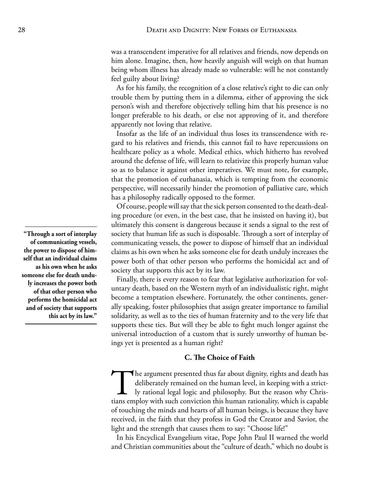was a transcendent imperative for all relatives and friends, now depends on him alone. Imagine, then, how heavily anguish will weigh on that human being whom illness has already made so vulnerable: will he not constantly feel guilty about living?

As for his family, the recognition of a close relative's right to die can only trouble them by putting them in a dilemma, either of approving the sick person's wish and therefore objectively telling him that his presence is no longer preferable to his death, or else not approving of it, and therefore apparently not loving that relative.

Insofar as the life of an individual thus loses its transcendence with regard to his relatives and friends, this cannot fail to have repercussions on healthcare policy as a whole. Medical ethics, which hitherto has revolved around the defense of life, will learn to relativize this properly human value so as to balance it against other imperatives. We must note, for example, that the promotion of euthanasia, which is tempting from the economic perspective, will necessarily hinder the promotion of palliative care, which has a philosophy radically opposed to the former.

Of course, people will say that the sick person consented to the death-dealing procedure (or even, in the best case, that he insisted on having it), but ultimately this consent is dangerous because it sends a signal to the rest of society that human life as such is disposable. Through a sort of interplay of communicating vessels, the power to dispose of himself that an individual claims as his own when he asks someone else for death unduly increases the power both of that other person who performs the homicidal act and of society that supports this act by its law.

Finally, there is every reason to fear that legislative authorization for voluntary death, based on the Western myth of an individualistic right, might become a temptation elsewhere. Fortunately, the other continents, generally speaking, foster philosophies that assign greater importance to familial solidarity, as well as to the ties of human fraternity and to the very life that supports these ties. But will they be able to fight much longer against the universal introduction of a custom that is surely unworthy of human beings yet is presented as a human right?

#### **C. The Choice of Faith**

The argument presented thus far about dignity, rights and death has deliberately remained on the human level, in keeping with a strictly rational legal logic and philosophy. But the reason why Christians employ with such c deliberately remained on the human level, in keeping with a strictly rational legal logic and philosophy. But the reason why Christians employ with such conviction this human rationality, which is capable of touching the minds and hearts of all human beings, is because they have received, in the faith that they profess in God the Creator and Savior, the light and the strength that causes them to say: "Choose life!"

In his Encyclical Evangelium vitae, Pope John Paul II warned the world and Christian communities about the "culture of death," which no doubt is

**"Through a sort of interplay of communicating vessels, the power to dispose of himself that an individual claims as his own when he asks someone else for death unduly increases the power both of that other person who performs the homicidal act and of society that supports this act by its law."**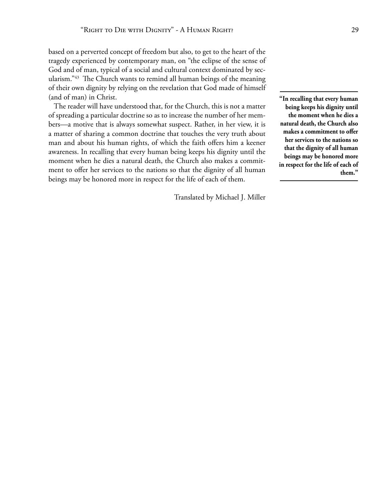based on a perverted concept of freedom but also, to get to the heart of the tragedy experienced by contemporary man, on "the eclipse of the sense of God and of man, typical of a social and cultural context dominated by secularism."43 The Church wants to remind all human beings of the meaning of their own dignity by relying on the revelation that God made of himself (and of man) in Christ.

The reader will have understood that, for the Church, this is not a matter of spreading a particular doctrine so as to increase the number of her members—a motive that is always somewhat suspect. Rather, in her view, it is a matter of sharing a common doctrine that touches the very truth about man and about his human rights, of which the faith offers him a keener awareness. In recalling that every human being keeps his dignity until the moment when he dies a natural death, the Church also makes a commitment to offer her services to the nations so that the dignity of all human beings may be honored more in respect for the life of each of them.

Translated by Michael J. Miller

**"In recalling that every human being keeps his dignity until the moment when he dies a natural death, the Church also makes a commitment to offer her services to the nations so that the dignity of all human beings may be honored more in respect for the life of each of them."**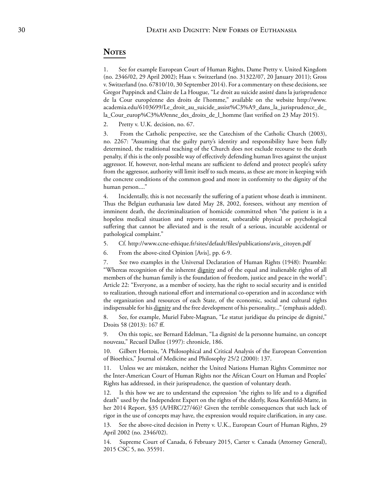#### Notes

1. See for example European Court of Human Rights, Dame Pretty v. United Kingdom (no. 2346/02, 29 April 2002); Haas v. Switzerland (no. 31322/07, 20 January 2011); Gross v. Switzerland (no. 67810/10, 30 September 2014). For a commentary on these decisions, see Gregor Puppinck and Claire de La Hougue, "Le droit au suicide assisté dans la jurisprudence de la Cour européenne des droits de l'homme," available on the website http://www. academia.edu/6103699/Le\_droit\_au\_suicide\_assist%C3%A9\_dans\_la\_jurisprudence\_de\_ la\_Cour\_europ%C3%A9enne\_des\_droits\_de\_l\_homme (last verified on 23 May 2015).

2. Pretty v. U.K. decision, no. 67.

3. From the Catholic perspective, see the Catechism of the Catholic Church (2003), no. 2267: "Assuming that the guilty party's identity and responsibility have been fully determined, the traditional teaching of the Church does not exclude recourse to the death penalty, if this is the only possible way of effectively defending human lives against the unjust aggressor. If, however, non-lethal means are sufficient to defend and protect people's safety from the aggressor, authority will limit itself to such means, as these are more in keeping with the concrete conditions of the common good and more in conformity to the dignity of the human person...."

4. Incidentally, this is not necessarily the suffering of a patient whose death is imminent. Thus the Belgian euthanasia law dated May 28, 2002, foresees, without any mention of imminent death, the decriminalization of homicide committed when "the patient is in a hopeless medical situation and reports constant, unbearable physical or psychological suffering that cannot be alleviated and is the result of a serious, incurable accidental or pathological complaint."

- 5. Cf. http://www.ccne-ethique.fr/sites/default/files/publications/avis\_citoyen.pdf
- 6. From the above-cited Opinion [Avis], pp. 6-9.

7. See two examples in the Universal Declaration of Human Rights (1948): Preamble: "Whereas recognition of the inherent dignity and of the equal and inalienable rights of all members of the human family is the foundation of freedom, justice and peace in the world"; Article 22: "Everyone, as a member of society, has the right to social security and is entitled to realization, through national effort and international co-operation and in accordance with the organization and resources of each State, of the economic, social and cultural rights indispensable for his dignity and the free development of his personality..." (emphasis added).

8. See, for example, Muriel Fabre-Magnan, "Le statut juridique du principe de dignité," Droits 58 (2013): 167 ff.

9. On this topic, see Bernard Edelman, "La dignité de la personne humaine, un concept nouveau," Recueil Dalloz (1997): chronicle, 186.

10. Gilbert Hottois, "A Philosophical and Critical Analysis of the European Convention of Bioethics," Journal of Medicine and Philosophy 25/2 (2000): 137.

11. Unless we are mistaken, neither the United Nations Human Rights Committee nor the Inter-American Court of Human Rights nor the African Court on Human and Peoples' Rights has addressed, in their jurisprudence, the question of voluntary death.

12. Is this how we are to understand the expression "the rights to life and to a dignified death" used by the Independent Expert on the rights of the elderly, Rosa Kornfeld-Matte, in her 2014 Report, §35 (A/HRC/27/46)? Given the terrible consequences that such lack of rigor in the use of concepts may have, the expression would require clarification, in any case.

13. See the above-cited decision in Pretty v. U.K., European Court of Human Rights, 29 April 2002 (no. 2346/02).

14. Supreme Court of Canada, 6 February 2015, Carter v. Canada (Attorney General), 2015 CSC 5, no. 35591.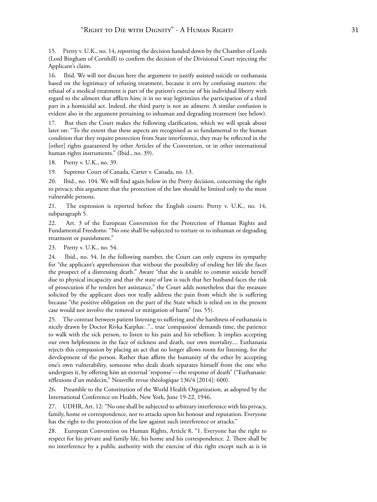15. Pretty v. U.K., no. 14, reporting the decision handed down by the Chamber of Lords (Lord Bingham of Cornhill) to confirm the decision of the Divisional Court rejecting the Applicant's claim.

16. Ibid. We will not discuss here the argument to justify assisted suicide or euthanasia based on the legitimacy of refusing treatment, because it errs by confusing matters: the refusal of a medical treatment is part of the patient's exercise of his individual liberty with regard to the ailment that afflicts him; it in no way legitimizes the participation of a third part in a homicidal act. Indeed, the third party is not an ailment. A similar confusion is evident also in the argument pertaining to inhuman and degrading treatment (see below).

17. But then the Court makes the following clarification, which we will speak about later on: "To the extent that these aspects are recognised as so fundamental to the human condition that they require protection from State interference, they may be reflected in the [other] rights guaranteed by other Articles of the Convention, or in other international human rights instruments." (Ibid., no. 39).

18. Pretty v. U.K., no. 39.

19. Supreme Court of Canada, Carter v. Canada, no. 13.

20. Ibid., no. 104. We will find again below in the Pretty decision, concerning the right to privacy, this argument that the protection of the law should be limited only to the most vulnerable persons.

21. The expression is reported before the English courts: Pretty v. U.K., no. 14, subparagraph 5.

22. Art. 3 of the European Convention for the Protection of Human Rights and Fundamental Freedoms: "No one shall be subjected to torture or to inhuman or degrading treatment or punishment."

23. Pretty v. U.K., no. 54.

24. Ibid., no. 54. In the following number, the Court can only express its sympathy for "the applicant's apprehension that without the possibility of ending her life she faces the prospect of a distressing death." Aware "that she is unable to commit suicide herself due to physical incapacity and that the state of law is such that her husband faces the risk of prosecution if he renders her assistance," the Court adds nonetheless that the measure solicited by the applicant does not really address the pain from which she is suffering because "the positive obligation on the part of the State which is relied on in the present case would not involve the removal or mitigation of harm" (no. 55).

25. The contrast between patient listening to suffering and the harshness of euthanasia is nicely drawn by Doctor Rivka Karplus: .".. true 'compassion' demands time, the patience to walk with the sick person, to listen to his pain and his rebellion. It implies accepting our own helplessness in the face of sickness and death, our own mortality.... Euthanasia rejects this compassion by placing an act that no longer allows room for listening, for the development of the person. Rather than affirm the humanity of the other by accepting one's own vulnerability, someone who deals death separates himself from the one who undergoes it, by offering him an external 'response'—the response of death" ("Euthanasie: réflexions d'un médecin," Nouvelle revue théologique 136/4 [2014]: 600).

26. Preamble to the Constitution of the World Health Organization, as adopted by the International Conference on Health, New York, June 19-22, 1946.

27. UDHR, Art. 12: "No one shall be subjected to arbitrary interference with his privacy, family, home or correspondence, nor to attacks upon his honour and reputation. Everyone has the right to the protection of the law against such interference or attacks."

28. European Convention on Human Rights, Article 8, "1. Everyone has the right to respect for his private and family life, his home and his correspondence. 2. There shall be no interference by a public authority with the exercise of this right except such as is in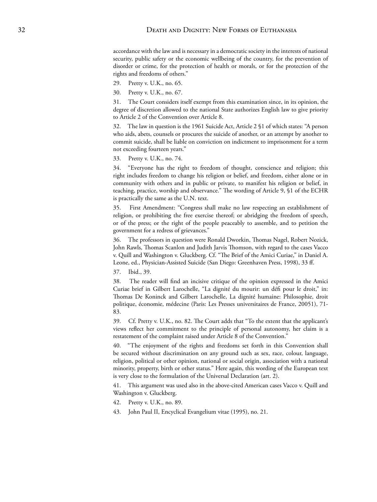accordance with the law and is necessary in a democratic society in the interests of national security, public safety or the economic wellbeing of the country, for the prevention of disorder or crime, for the protection of health or morals, or for the protection of the rights and freedoms of others."

- 29. Pretty v. U.K., no. 65.
- 30. Pretty v. U.K., no. 67.

31. The Court considers itself exempt from this examination since, in its opinion, the degree of discretion allowed to the national State authorizes English law to give priority to Article 2 of the Convention over Article 8.

32. The law in question is the 1961 Suicide Act, Article 2 §1 of which states: "A person who aids, abets, counsels or procures the suicide of another, or an attempt by another to commit suicide, shall be liable on conviction on indictment to imprisonment for a term not exceeding fourteen years."

33. Pretty v. U.K., no. 74.

34. "Everyone has the right to freedom of thought, conscience and religion; this right includes freedom to change his religion or belief, and freedom, either alone or in community with others and in public or private, to manifest his religion or belief, in teaching, practice, worship and observance." The wording of Article 9, §1 of the ECHR is practically the same as the U.N. text.

35. First Amendment: "Congress shall make no law respecting an establishment of religion, or prohibiting the free exercise thereof; or abridging the freedom of speech, or of the press; or the right of the people peaceably to assemble, and to petition the government for a redress of grievances."

36. The professors in question were Ronald Dworkin, Thomas Nagel, Robert Nozick, John Rawls, Thomas Scanlon and Judith Jarvis Thomson, with regard to the cases Vacco v. Quill and Washington v. Gluckberg. Cf. "The Brief of the Amici Curiae," in Daniel A. Leone, ed., Physician-Assisted Suicide (San Diego: Greenhaven Press, 1998), 33 ff.

37. Ibid., 39.

38. The reader will find an incisive critique of the opinion expressed in the Amici Curiae brief in Gilbert Larochelle, "La dignité du mourir: un défi pour le droit," in: Thomas De Koninck and Gilbert Larochelle, La dignité humaine: Philosophie, droit politique, économie, médecine (Paris: Les Presses universitaires de France, 20051), 71- 83.

39. Cf. Pretty v. U.K., no. 82. The Court adds that "To the extent that the applicant's views reflect her commitment to the principle of personal autonomy, her claim is a restatement of the complaint raised under Article 8 of the Convention."

40. "The enjoyment of the rights and freedoms set forth in this Convention shall be secured without discrimination on any ground such as sex, race, colour, language, religion, political or other opinion, national or social origin, association with a national minority, property, birth or other status." Here again, this wording of the European text is very close to the formulation of the Universal Declaration (art. 2).

41. This argument was used also in the above-cited American cases Vacco v. Quill and Washington v. Gluckberg.

42. Pretty v. U.K., no. 89.

43. John Paul II, Encyclical Evangelium vitae (1995), no. 21.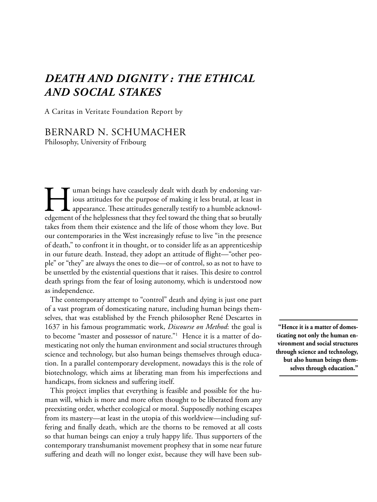## *DEATH AND DIGNITY : THE ETHICAL AND SOCIAL STAKES*

A Caritas in Veritate Foundation Report by

#### BERNARD N. SCHUMACHER Philosophy, University of Fribourg

I uman beings have ceaselessly dealt with death by endorsing various attitudes for the purpose of making it less brutal, at least in appearance. These attitudes generally testify to a humble acknowledgement of the helpless ious attitudes for the purpose of making it less brutal, at least in appearance. These attitudes generally testify to a humble acknowledgement of the helplessness that they feel toward the thing that so brutally takes from them their existence and the life of those whom they love. But our contemporaries in the West increasingly refuse to live "in the presence of death," to confront it in thought, or to consider life as an apprenticeship in our future death. Instead, they adopt an attitude of flight—"other people" or "they" are always the ones to die—or of control, so as not to have to be unsettled by the existential questions that it raises. This desire to control death springs from the fear of losing autonomy, which is understood now as independence.

The contemporary attempt to "control" death and dying is just one part of a vast program of domesticating nature, including human beings themselves, that was established by the French philosopher René Descartes in 1637 in his famous programmatic work, *Discourse on Method*: the goal is to become "master and possessor of nature."1 Hence it is a matter of domesticating not only the human environment and social structures through science and technology, but also human beings themselves through education. In a parallel contemporary development, nowadays this is the role of biotechnology, which aims at liberating man from his imperfections and handicaps, from sickness and suffering itself.

This project implies that everything is feasible and possible for the human will, which is more and more often thought to be liberated from any preexisting order, whether ecological or moral. Supposedly nothing escapes from its mastery—at least in the utopia of this worldview—including suffering and finally death, which are the thorns to be removed at all costs so that human beings can enjoy a truly happy life. Thus supporters of the contemporary transhumanist movement prophesy that in some near future suffering and death will no longer exist, because they will have been sub-

**"Hence it is a matter of domesticating not only the human environment and social structures through science and technology, but also human beings themselves through education."**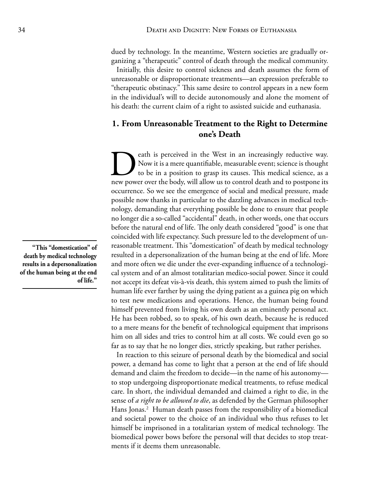dued by technology. In the meantime, Western societies are gradually organizing a "therapeutic" control of death through the medical community.

Initially, this desire to control sickness and death assumes the form of unreasonable or disproportionate treatments—an expression preferable to "therapeutic obstinacy." This same desire to control appears in a new form in the individual's will to decide autonomously and alone the moment of his death: the current claim of a right to assisted suicide and euthanasia.

#### **1. From Unreasonable Treatment to the Right to Determine one's Death**

**Example 18 Except** in the West in an increasingly reductive way.<br>Now it is a mere quantifiable, measurable event; science is thought<br>to be in a position to grasp its causes. This medical science, as a<br>new power over the b Now it is a mere quantifiable, measurable event; science is thought to be in a position to grasp its causes. This medical science, as a new power over the body, will allow us to control death and to postpone its occurrence. So we see the emergence of social and medical pressure, made possible now thanks in particular to the dazzling advances in medical technology, demanding that everything possible be done to ensure that people no longer die a so-called "accidental" death, in other words, one that occurs before the natural end of life. The only death considered "good" is one that coincided with life expectancy. Such pressure led to the development of unreasonable treatment. This "domestication" of death by medical technology resulted in a depersonalization of the human being at the end of life. More and more often we die under the ever-expanding influence of a technological system and of an almost totalitarian medico-social power. Since it could not accept its defeat vis-à-vis death, this system aimed to push the limits of human life ever farther by using the dying patient as a guinea pig on which to test new medications and operations. Hence, the human being found himself prevented from living his own death as an eminently personal act. He has been robbed, so to speak, of his own death, because he is reduced to a mere means for the benefit of technological equipment that imprisons him on all sides and tries to control him at all costs. We could even go so far as to say that he no longer dies, strictly speaking, but rather perishes.

In reaction to this seizure of personal death by the biomedical and social power, a demand has come to light that a person at the end of life should demand and claim the freedom to decide—in the name of his autonomy to stop undergoing disproportionate medical treatments, to refuse medical care. In short, the individual demanded and claimed a right to die, in the sense of *a right to be allowed to die*, as defended by the German philosopher Hans Jonas.<sup>2</sup> Human death passes from the responsibility of a biomedical and societal power to the choice of an individual who thus refuses to let himself be imprisoned in a totalitarian system of medical technology. The biomedical power bows before the personal will that decides to stop treatments if it deems them unreasonable.

**"This "domestication" of death by medical technology results in a depersonalization of the human being at the end of life."**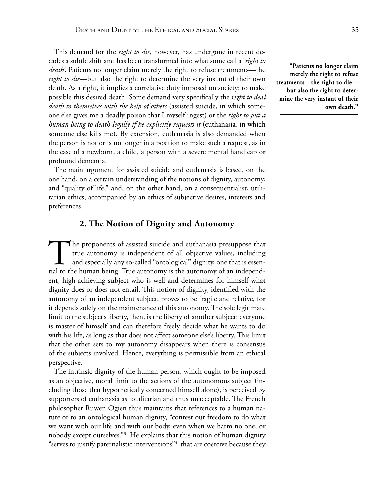This demand for the *right to die*, however, has undergone in recent decades a subtle shift and has been transformed into what some call a '*right to death'*. Patients no longer claim merely the right to refuse treatments—the *right to die*—but also the right to determine the very instant of their own death. As a right, it implies a correlative duty imposed on society: to make possible this desired death. Some demand very specifically the *right to deal death to themselves with the help of others* (assisted suicide, in which someone else gives me a deadly poison that I myself ingest) or the *right to put a human being to death legally if he explicitly requests it* (euthanasia, in which someone else kills me). By extension, euthanasia is also demanded when the person is not or is no longer in a position to make such a request, as in the case of a newborn, a child, a person with a severe mental handicap or profound dementia.

The main argument for assisted suicide and euthanasia is based, on the one hand, on a certain understanding of the notions of dignity, autonomy, and "quality of life," and, on the other hand, on a consequentialist, utilitarian ethics, accompanied by an ethics of subjective desires, interests and preferences.

#### **2. The Notion of Dignity and Autonomy**

The proponents of assisted suicide and euthanasia presuppose that true autonomy is independent of all objective values, including and especially any so-called "ontological" dignity, one that is essential to the human being. True autonomy is the autonomy of an independent, high-achieving subject who is well and determines for himself what dignity does or does not entail. This notion of dignity, identified with the autonomy of an independent subject, proves to be fragile and relative, for it depends solely on the maintenance of this autonomy. The sole legitimate limit to the subject's liberty, then, is the liberty of another subject: everyone is master of himself and can therefore freely decide what he wants to do with his life, as long as that does not affect someone else's liberty. This limit that the other sets to my autonomy disappears when there is consensus of the subjects involved. Hence, everything is permissible from an ethical perspective.

The intrinsic dignity of the human person, which ought to be imposed as an objective, moral limit to the actions of the autonomous subject (including those that hypothetically concerned himself alone), is perceived by supporters of euthanasia as totalitarian and thus unacceptable. The French philosopher Ruwen Ogien thus maintains that references to a human nature or to an ontological human dignity, "contest our freedom to do what we want with our life and with our body, even when we harm no one, or nobody except ourselves."3 He explains that this notion of human dignity "serves to justify paternalistic interventions" $4$  that are coercive because they

**"Patients no longer claim merely the right to refuse treatments—the right to die but also the right to determine the very instant of their own death."**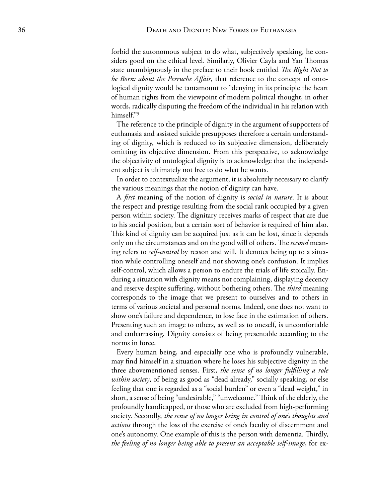forbid the autonomous subject to do what, subjectively speaking, he con siders good on the ethical level. Similarly, Olivier Cayla and Yan Thomas state unambiguously in the preface to their book entitled *The Right Not to be Born: about the Perruche Affair*, that reference to the concept of onto logical dignity would be tantamount to "denying in its principle the heart of human rights from the viewpoint of modern political thought, in other words, radically disputing the freedom of the individual in his relation with himself." 5

The reference to the principle of dignity in the argument of supporters of euthanasia and assisted suicide presupposes therefore a certain understand ing of dignity, which is reduced to its subjective dimension, deliberately omitting its objective dimension. From this perspective, to acknowledge the objectivity of ontological dignity is to acknowledge that the independ ent subject is ultimately not free to do what he wants.

In order to contextualize the argument, it is absolutely necessary to clarify the various meanings that the notion of dignity can have.

A *first* meaning of the notion of dignity is *social in nature*. It is about the respect and prestige resulting from the social rank occupied by a given person within society. The dignitary receives marks of respect that are due to his social position, but a certain sort of behavior is required of him also. This kind of dignity can be acquired just as it can be lost, since it depends only on the circumstances and on the good will of others. The *second* mean ing refers to *self-control* by reason and will. It denotes being up to a situa tion while controlling oneself and not showing one's confusion. It implies self-control, which allows a person to endure the trials of life stoically. En during a situation with dignity means not complaining, displaying decency and reserve despite suffering, without bothering others. The *third* meaning corresponds to the image that we present to ourselves and to others in terms of various societal and personal norms. Indeed, one does not want to show one's failure and dependence, to lose face in the estimation of others. Presenting such an image to others, as well as to oneself, is uncomfortable and embarrassing. Dignity consists of being presentable according to the norms in force.

Every human being, and especially one who is profoundly vulnerable, may find himself in a situation where he loses his subjective dignity in the three abovementioned senses. First, *the sense of no longer fulfilling a role within society*, of being as good as "dead already," socially speaking, or else feeling that one is regarded as a "social burden" or even a "dead weight," in short, a sense of being "undesirable," "unwelcome." Think of the elderly, the profoundly handicapped, or those who are excluded from high-performing society. Secondly, *the sense of no longer being in control of one's thoughts and actions* through the loss of the exercise of one's faculty of discernment and one's autonomy. One example of this is the person with dementia. Thirdly, *the feeling of no longer being able to present an acceptable self-image*, for ex -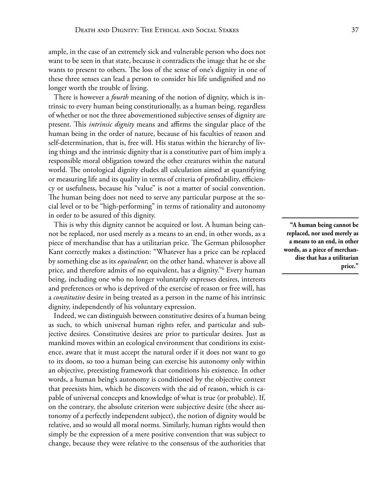#### ample, in the case of an extremely sick and vulnerable person who does not want to be seen in that state, because it contradicts the image that he or she wants to present to others. The loss of the sense of one's dignity in one of these three senses can lead a person to consider his life undignified and no longer worth the trouble of living.

There is however a *fourth* meaning of the notion of dignity, which is intrinsic to every human being constitutionally, as a human being, regardless of whether or not the three abovementioned subjective senses of dignity are present. This *intrinsic dignity* means and affirms the singular place of the human being in the order of nature, because of his faculties of reason and self-determination, that is, free will. His status within the hierarchy of living things and the intrinsic dignity that is a constitutive part of him imply a responsible moral obligation toward the other creatures within the natural world. The ontological dignity eludes all calculation aimed at quantifying or measuring life and its quality in terms of criteria of profitability, efficiency or usefulness, because his "value" is not a matter of social convention. The human being does not need to serve any particular purpose at the social level or to be "high-performing" in terms of rationality and autonomy in order to be assured of this dignity.

This is why this dignity cannot be acquired or lost. A human being cannot be replaced, nor used merely as a means to an end, in other words, as a piece of merchandise that has a utilitarian price. The German philosopher Kant correctly makes a distinction: "Whatever has a price can be replaced by something else as its *equivalent*; on the other hand, whatever is above all price, and therefore admits of no equivalent, has a dignity."6 Every human being, including one who no longer voluntarily expresses desires, interests and preferences or who is deprived of the exercise of reason or free will, has a *constitutive* desire in being treated as a person in the name of his intrinsic dignity, independently of his voluntary expression.

Indeed, we can distinguish between constitutive desires of a human being as such, to which universal human rights refer, and particular and subjective desires. Constitutive desires are prior to particular desires. Just as mankind moves within an ecological environment that conditions its existence, aware that it must accept the natural order if it does not want to go to its doom, so too a human being can exercise his autonomy only within an objective, preexisting framework that conditions his existence. In other words, a human being's autonomy is conditioned by the objective context that preexists him, which he discovers with the aid of reason, which is capable of universal concepts and knowledge of what is true (or probable). If, on the contrary, the absolute criterion were subjective desire (the sheer autonomy of a perfectly independent subject), the notion of dignity would be relative, and so would all moral norms. Similarly, human rights would then simply be the expression of a mere positive convention that was subject to change, because they were relative to the consensus of the authorities that

**"A human being cannot be replaced, nor used merely as a means to an end, in other words, as a piece of merchandise that has a utilitarian price."**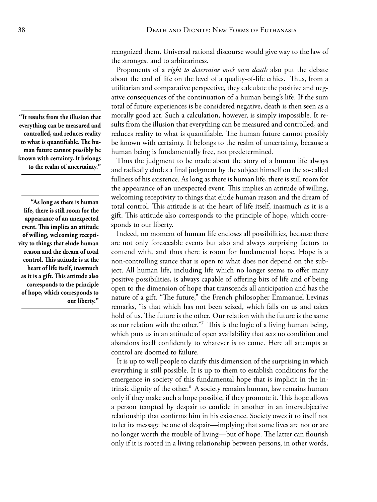recognized them. Universal rational discourse would give way to the law of the strongest and to arbitrariness.

Proponents of a *right to determine one's own death* also put the debate about the end of life on the level of a quality-of-life ethics. Thus, from a utilitarian and comparative perspective, they calculate the positive and negative consequences of the continuation of a human being's life. If the sum total of future experiences is be considered negative, death is then seen as a morally good act. Such a calculation, however, is simply impossible. It results from the illusion that everything can be measured and controlled, and reduces reality to what is quantifiable. The human future cannot possibly be known with certainty. It belongs to the realm of uncertainty, because a human being is fundamentally free, not predetermined.

Thus the judgment to be made about the story of a human life always and radically eludes a final judgment by the subject himself on the so-called fullness of his existence. As long as there is human life, there is still room for the appearance of an unexpected event. This implies an attitude of willing, welcoming receptivity to things that elude human reason and the dream of total control. This attitude is at the heart of life itself, inasmuch as it is a gift. This attitude also corresponds to the principle of hope, which corresponds to our liberty.

Indeed, no moment of human life encloses all possibilities, because there are not only foreseeable events but also and always surprising factors to contend with, and thus there is room for fundamental hope. Hope is a non-controlling stance that is open to what does not depend on the subject. All human life, including life which no longer seems to offer many positive possibilities, is always capable of offering bits of life and of being open to the dimension of hope that transcends all anticipation and has the nature of a gift. "The future," the French philosopher Emmanuel Levinas remarks, "is that which has not been seized, which falls on us and takes hold of us. The future is the other. Our relation with the future is the same as our relation with the other."<sup>7</sup> This is the logic of a living human being, which puts us in an attitude of open availability that sets no condition and abandons itself confidently to whatever is to come. Here all attempts at control are doomed to failure.

It is up to well people to clarify this dimension of the surprising in which everything is still possible. It is up to them to establish conditions for the emergence in society of this fundamental hope that is implicit in the intrinsic dignity of the other.8 A society remains human, law remains human only if they make such a hope possible, if they promote it. This hope allows a person tempted by despair to confide in another in an intersubjective relationship that confirms him in his existence. Society owes it to itself not to let its message be one of despair—implying that some lives are not or are no longer worth the trouble of living—but of hope. The latter can flourish only if it is rooted in a living relationship between persons, in other words,

**"It results from the illusion that everything can be measured and controlled, and reduces reality to what is quantifiable. The human future cannot possibly be known with certainty. It belongs to the realm of uncertainty."**

**"As long as there is human life, there is still room for the appearance of an unexpected event. This implies an attitude of willing, welcoming receptivity to things that elude human reason and the dream of total control. This attitude is at the heart of life itself, inasmuch as it is a gift. This attitude also corresponds to the principle of hope, which corresponds to our liberty."**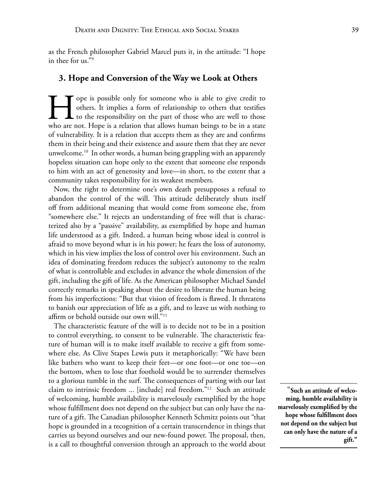as the French philosopher Gabriel Marcel puts it, in the attitude: "I hope in thee for us."9

#### **3. Hope and Conversion of the Way we Look at Others**

Tope is possible only for someone who is able to give credit to others. It implies a form of relationship to others that testifies to the responsibility on the part of those who are well to those who are not. Hope is a rel others. It implies a form of relationship to others that testifies  $\mathsf L$  to the responsibility on the part of those who are well to those who are not. Hope is a relation that allows human beings to be in a state of vulnerability. It is a relation that accepts them as they are and confirms them in their being and their existence and assure them that they are never unwelcome.10 In other words, a human being grappling with an apparently hopeless situation can hope only to the extent that someone else responds to him with an act of generosity and love—in short, to the extent that a community takes responsibility for its weakest members.

Now, the right to determine one's own death presupposes a refusal to abandon the control of the will. This attitude deliberately shuts itself off from additional meaning that would come from someone else, from "somewhere else." It rejects an understanding of free will that is characterized also by a "passive" availability, as exemplified by hope and human life understood as a gift. Indeed, a human being whose ideal is control is afraid to move beyond what is in his power; he fears the loss of autonomy, which in his view implies the loss of control over his environment. Such an idea of dominating freedom reduces the subject's autonomy to the realm of what is controllable and excludes in advance the whole dimension of the gift, including the gift of life. As the American philosopher Michael Sandel correctly remarks in speaking about the desire to liberate the human being from his imperfections: "But that vision of freedom is flawed. It threatens to banish our appreciation of life as a gift, and to leave us with nothing to affirm or behold outside our own will."11

The characteristic feature of the will is to decide not to be in a position to control everything, to consent to be vulnerable. The characteristic feature of human will is to make itself available to receive a gift from somewhere else. As Clive Stapes Lewis puts it metaphorically: "We have been like bathers who want to keep their feet—or one foot—or one toe—on the bottom, when to lose that foothold would be to surrender themselves to a glorious tumble in the surf. The consequences of parting with our last claim to intrinsic freedom ... [include] real freedom."12 Such an attitude of welcoming, humble availability is marvelously exemplified by the hope whose fulfillment does not depend on the subject but can only have the nature of a gift. The Canadian philosopher Kenneth Schmitz points out "that hope is grounded in a recognition of a certain transcendence in things that carries us beyond ourselves and our new-found power. The proposal, then, is a call to thoughtful conversion through an approach to the world about

"**Such an attitude of welcoming, humble availability is marvelously exemplified by the hope whose fulfillment does not depend on the subject but can only have the nature of a gift."**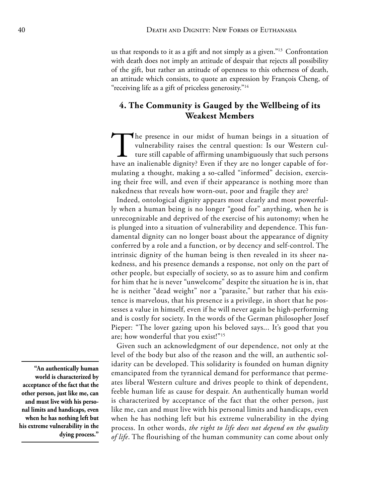us that responds to it as a gift and not simply as a given."13 Confrontation with death does not imply an attitude of despair that rejects all possibility of the gift, but rather an attitude of openness to this otherness of death, an attitude which consists, to quote an expression by François Cheng, of "receiving life as a gift of priceless generosity."<sup>14</sup>

## **4. The Community is Gauged by the Wellbeing of its Weakest Members**

The presence in our midst of human beings in a situation of vulnerability raises the central question: Is our Western culture still capable of affirming unambiguously that such persons have an inalienable dignity? Even if vulnerability raises the central question: Is our Western culture still capable of affirming unambiguously that such persons have an inalienable dignity? Even if they are no longer capable of formulating a thought, making a so-called "informed" decision, exercising their free will, and even if their appearance is nothing more than nakedness that reveals how worn-out, poor and fragile they are?

Indeed, ontological dignity appears most clearly and most powerfully when a human being is no longer "good for" anything, when he is unrecognizable and deprived of the exercise of his autonomy; when he is plunged into a situation of vulnerability and dependence. This fundamental dignity can no longer boast about the appearance of dignity conferred by a role and a function, or by decency and self-control. The intrinsic dignity of the human being is then revealed in its sheer nakedness, and his presence demands a response, not only on the part of other people, but especially of society, so as to assure him and confirm for him that he is never "unwelcome" despite the situation he is in, that he is neither "dead weight" nor a "parasite," but rather that his existence is marvelous, that his presence is a privilege, in short that he possesses a value in himself, even if he will never again be high-performing and is costly for society. In the words of the German philosopher Josef Pieper: "The lover gazing upon his beloved says... It's good that you are; how wonderful that you exist!"15

Given such an acknowledgment of our dependence, not only at the level of the body but also of the reason and the will, an authentic solidarity can be developed. This solidarity is founded on human dignity emancipated from the tyrannical demand for performance that permeates liberal Western culture and drives people to think of dependent, feeble human life as cause for despair. An authentically human world is characterized by acceptance of the fact that the other person, just like me, can and must live with his personal limits and handicaps, even when he has nothing left but his extreme vulnerability in the dying process. In other words, *the right to life does not depend on the quality of life*. The flourishing of the human community can come about only

**"An authentically human world is characterized by acceptance of the fact that the other person, just like me, can and must live with his personal limits and handicaps, even when he has nothing left but his extreme vulnerability in the dying process."**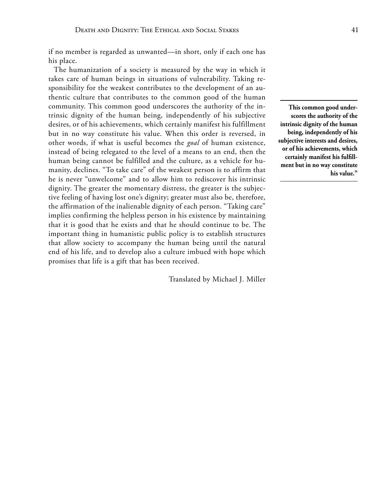if no member is regarded as unwanted—in short, only if each one has his place.

The humanization of a society is measured by the way in which it takes care of human beings in situations of vulnerability. Taking responsibility for the weakest contributes to the development of an authentic culture that contributes to the common good of the human community. This common good underscores the authority of the intrinsic dignity of the human being, independently of his subjective desires, or of his achievements, which certainly manifest his fulfillment but in no way constitute his value. When this order is reversed, in other words, if what is useful becomes the *goal* of human existence, instead of being relegated to the level of a means to an end, then the human being cannot be fulfilled and the culture, as a vehicle for humanity, declines. "To take care" of the weakest person is to affirm that he is never "unwelcome" and to allow him to rediscover his intrinsic dignity. The greater the momentary distress, the greater is the subjective feeling of having lost one's dignity; greater must also be, therefore, the affirmation of the inalienable dignity of each person. "Taking care" implies confirming the helpless person in his existence by maintaining that it is good that he exists and that he should continue to be. The important thing in humanistic public policy is to establish structures that allow society to accompany the human being until the natural end of his life, and to develop also a culture imbued with hope which promises that life is a gift that has been received.

Translated by Michael J. Miller

**This common good underscores the authority of the intrinsic dignity of the human being, independently of his subjective interests and desires, or of his achievements, which certainly manifest his fulfillment but in no way constitute his value."**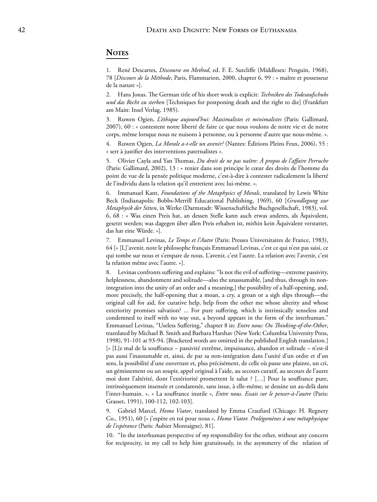### **NOTES**

1. René Descartes, *Discourse on Method*, ed. F. E. Sutcliffe (Middlesex: Penguin, 1968), 78 [*Discours de la Méthode*, Paris, Flammarion, 2000, chapter 6, 99 : « maître et possesseur de la nature »].

2. Hans Jonas. The German title of his short work is explicit: *Techniken des Todesaufschubs und das Recht zu sterben* [Techniques for postponing death and the right to die] (Frankfurt am Main: Insel Verlag, 1985).

3. Ruwen Ogien, *L'éthique aujourd'hui: Maximalistes et minimalistes* (Paris: Gallimard, 2007), 60 : « contestent notre liberté de faire ce que nous voulons de notre vie et de notre corps, même lorsque nous ne nuisons à personne, ou à personne d'autre que nous-même. ».

4. Ruwen Ogien, *La Morale a-t-elle un avenir?* (Nantes: Éditions Pleins Feux, 2006), 55 : « sert à justifier des interventions paternalistes ».

5. Olivier Cayla and Yan Thomas, *Du droit de ne pas naître: À propos de l'affaire Perruche* (Paris: Gallimard, 2002), 13 : « renier dans son principe le cœur des droits de l'homme du point de vue de la pensée politique moderne, c'est-à-dire à contester radicalement la liberté de l'individu dans la relation qu'il entretient avec lui-même. ».

6. Immanuel Kant, *Foundations of the Metaphysics of Morals*, translated by Lewis White Beck (Indianapolis: Bobbs-Merrill Educational Publishing, 1969), 60 [*Grundlegung zur Metaphysik der Sitten*, in Werke (Darmstadt: Wissenschaftliche Buchgesellschaft, 1983), vol. 6, 68 : « Was einen Preis hat, an dessen Stelle kann auch etwas anderes, als Äquivalent, gesetzt werden; was dagegen über allen Preis erhaben ist, mithin kein Äquivalent verstattet, das hat eine Würde. »].

7. Emmanuel Levinas, *Le Temps et l'Autre* (Paris: Presses Universitaires de France, 1983), 64 [« [L]'avenir, note le philosophe français Emmanuel Levinas, c'est ce qui n'est pas saisi, ce qui tombe sur nous et s'empare de nous. L'avenir, c'est l'autre. La relation avec l'avenir, c'est la relation même avec l'autre. »].

8. Levinas confronts suffering and explains: "Is not the evil of suffering—extreme passivity, helplessness, abandonment and solitude—also the unassumable, [and thus, through its nonintegration into the unity of an order and a meaning,] the possibility of a half-opening, and, more precisely, the half-opening that a moan, a cry, a groan or a sigh slips through—the original call for aid, for curative help, help from the other me whose alterity and whose exteriority promises salvation? ... For pure suffering, which is intrinsically senseless and condemned to itself with no way out, a beyond appears in the form of the interhuman." Emmanuel Levinas, "Useless Suffering," chapter 8 in: *Entre nous: On Thinking-of-the-Other*, translated by Michael B. Smith and Barbara Harshav (New York: Columbia University Press, 1998), 91-101 at 93-94. [Bracketed words are omitted in the published English translation.] [« [L]e mal de la souffrance – passivité extrême, impuissance, abandon et solitude – n'est-il pas aussi l'inassumable et, ainsi, de par sa non-intégration dans l'unité d'un ordre et d'un sens, la possibilité d'une ouverture et, plus précisément, de celle où passe une plainte, un cri, un gémissement ou un soupir, appel original à l'aide, au secours curatif, au secours de l'autre moi dont l'altérité, dont l'extériorité promettent le salut ? […] Pour la souffrance pure, intrinsèquement insensée et condamnée, sans issue, à elle-même, se dessine un au-delà dans l'inter-humain. », « La souffrance inutile », *Entre nous. Essais sur le penser-à-l'autre* (Paris: Grasset, 1991), 100-112, 102-103].

9. Gabriel Marcel, *Homo Viator*, translated by Emma Craufurd (Chicago: H. Regnery Co., 1951), 60 [« j'espère en toi pour nous », *Homo Viator. Prolégomènes à une métaphysique de l'espérance* (Paris: Aubier Montaigne), 81].

10. "In the interhuman perspective of *my* responsibility for the other, without any concern for reciprocity, in my call to help him gratuitously, in the asymmetry of the relation of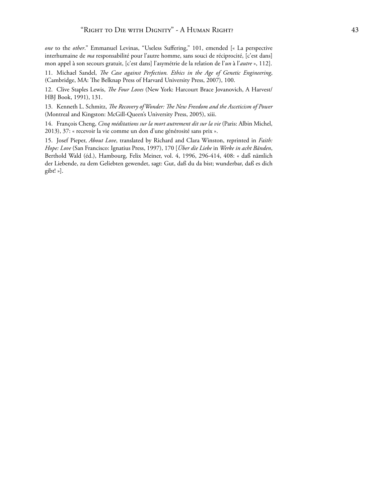*one* to the *other*." Emmanuel Levinas, "Useless Suffering," 101, emended [« La perspective interhumaine de *ma* responsabilité pour l'autre homme, sans souci de réciprocité, [c'est dans] mon appel à son secours gratuit, [c'est dans] l'asymétrie de la relation de l'*un* à l'*autre* », 112].

11. Michael Sandel, *The Case against Perfection. Ethics in the Age of Genetic Engineering*, (Cambridge, MA: The Belknap Press of Harvard University Press, 2007), 100.

12. Clive Staples Lewis, *The Four Loves* (New York: Harcourt Brace Jovanovich, A Harvest/ HBJ Book, 1991), 131.

13. Kenneth L. Schmitz, *The Recovery of Wonder: The New Freedom and the Asceticism of Power* (Montreal and Kingston: McGill-Queen's University Press, 2005), xiii.

14. François Cheng, *Cinq méditations sur la mort autrement dit sur la vie* (Paris: Albin Michel, 2013), 37: « recevoir la vie comme un don d'une générosité sans prix ».

15. Josef Pieper, *About Love*, translated by Richard and Clara Winston, reprinted in *Faith: Hope: Love* (San Francisco: Ignatius Press, 1997), 170 [*Über die Liebe* in *Werke in acht Bänden*, Berthold Wald (éd.), Hambourg, Felix Meiner, vol. 4, 1996, 296-414, 408: « daß nämlich der Liebende, zu dem Geliebten gewendet, sagt: Gut, daß du da bist; wunderbar, daß es dich gibt! »].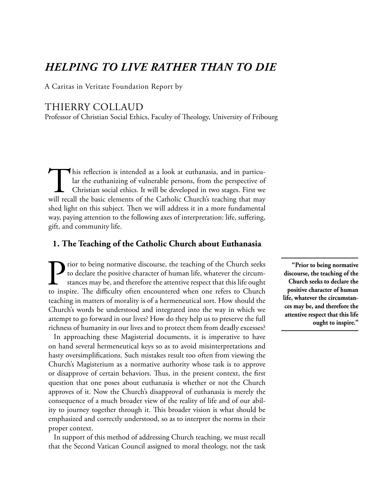# *HELPING TO LIVE RATHER THAN TO DIE*

A Caritas in Veritate Foundation Report by

## THIERRY COLLAUD

Professor of Christian Social Ethics, Faculty of Theology, University of Fribourg

This reflection is intended as a look at euthanasia, and in particular the euthanizing of vulnerable persons, from the perspective of Christian social ethics. It will be developed in two stages. First we will recall the ba lar the euthanizing of vulnerable persons, from the perspective of Christian social ethics. It will be developed in two stages. First we will recall the basic elements of the Catholic Church's teaching that may shed light on this subject. Then we will address it in a more fundamental way, paying attention to the following axes of interpretation: life, suffering, gift, and community life.

### **1. The Teaching of the Catholic Church about Euthanasia**

Prior to being normative discourse, the teaching of the Church seeks<br>to declare the positive character of human life, whatever the circum-<br>stances may be, and therefore the attentive respect that this life ought<br>to inspire to declare the positive character of human life, whatever the circumstances may be, and therefore the attentive respect that this life ought to inspire. The difficulty often encountered when one refers to Church teaching in matters of morality is of a hermeneutical sort. How should the Church's words be understood and integrated into the way in which we attempt to go forward in our lives? How do they help us to preserve the full richness of humanity in our lives and to protect them from deadly excesses?

In approaching these Magisterial documents, it is imperative to have on hand several hermeneutical keys so as to avoid misinterpretations and hasty oversimplifications. Such mistakes result too often from viewing the Church's Magisterium as a normative authority whose task is to approve or disapprove of certain behaviors. Thus, in the present context, the first question that one poses about euthanasia is whether or not the Church approves of it. Now the Church's disapproval of euthanasia is merely the consequence of a much broader view of the reality of life and of our ability to journey together through it. This broader vision is what should be emphasized and correctly understood, so as to interpret the norms in their proper context.

In support of this method of addressing Church teaching, we must recall that the Second Vatican Council assigned to moral theology, not the task

**"Prior to being normative discourse, the teaching of the Church seeks to declare the positive character of human life, whatever the circumstances may be, and therefore the attentive respect that this life ought to inspire."**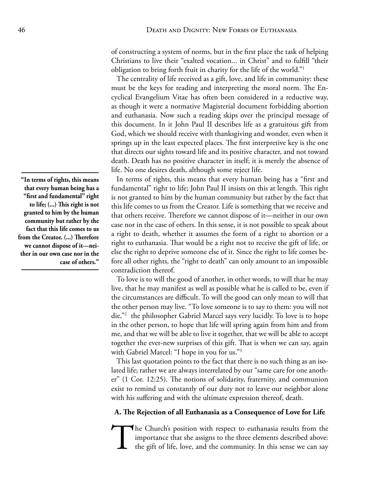of constructing a system of norms, but in the first place the task of helping Christians to live their "exalted vocation... in Christ" and to fulfill "their obligation to bring forth fruit in charity for the life of the world."1

The centrality of life received as a gift, love, and life in community: these must be the keys for reading and interpreting the moral norm. The Encyclical Evangelium Vitae has often been considered in a reductive way, as though it were a normative Magisterial document forbidding abortion and euthanasia. Now such a reading skips over the principal message of this document. In it John Paul II describes life as a gratuitous gift from God, which we should receive with thanksgiving and wonder, even when it springs up in the least expected places. The first interpretive key is the one that directs our sights toward life and its positive character, and not toward death. Death has no positive character in itself; it is merely the absence of life. No one desires death, although some reject life.

In terms of rights, this means that every human being has a "first and fundamental" right to life; John Paul II insists on this at length. This right is not granted to him by the human community but rather by the fact that this life comes to us from the Creator. Life is something that we receive and that others receive. Therefore we cannot dispose of it—neither in our own case nor in the case of others. In this sense, it is not possible to speak about a right to death, whether it assumes the form of a right to abortion or a right to euthanasia. That would be a right not to receive the gift of life, or else the right to deprive someone else of it. Since the right to life comes before all other rights, the "right to death" can only amount to an impossible contradiction thereof.

To love is to will the good of another, in other words, to will that he may live, that he may manifest as well as possible what he is called to be, even if the circumstances are difficult. To will the good can only mean to will that the other person may live. "To love someone is to say to them: you will not die,"2 the philosopher Gabriel Marcel says very lucidly. To love is to hope in the other person, to hope that life will spring again from him and from me, and that we will be able to live it together, that we will be able to accept together the ever-new surprises of this gift. That is when we can say, again with Gabriel Marcel: "I hope in you for us."3

This last quotation points to the fact that there is no such thing as an isolated life; rather we are always interrelated by our "same care for one another" (1 Cor. 12:25). The notions of solidarity, fraternity, and communion exist to remind us constantly of our duty not to leave our neighbor alone with his suffering and with the ultimate expression thereof, death.

### **A. The Rejection of all Euthanasia as a Consequence of Love for Life**

The Church's position with respect to euthanasia results from the importance that she assigns to the three elements described above: the gift of life, love, and the community. In this sense we can say

**"In terms of rights, this means that every human being has a "first and fundamental" right to life; (...) This right is not granted to him by the human community but rather by the fact that this life comes to us from the Creator. (...) Therefore we cannot dispose of it—neither in our own case nor in the case of others."**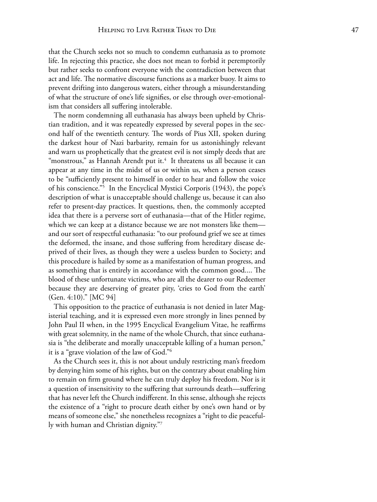that the Church seeks not so much to condemn euthanasia as to promote life. In rejecting this practice, she does not mean to forbid it peremptorily but rather seeks to confront everyone with the contradiction between that act and life. The normative discourse functions as a marker buoy. It aims to prevent drifting into dangerous waters, either through a misunderstanding of what the structure of one's life signifies, or else through over-emotional ism that considers all suffering intolerable.

The norm condemning all euthanasia has always been upheld by Chris tian tradition, and it was repeatedly expressed by several popes in the sec ond half of the twentieth century. The words of Pius XII, spoken during the darkest hour of Nazi barbarity, remain for us astonishingly relevant and warn us prophetically that the greatest evil is not simply deeds that are "monstrous," as Hannah Arendt put it. 4 It threatens us all because it can appear at any time in the midst of us or within us, when a person ceases to be "sufficiently present to himself in order to hear and follow the voice of his conscience." 5 In the Encyclical Mystici Corporis (1943), the pope's description of what is unacceptable should challenge us, because it can also refer to present-day practices. It questions, then, the commonly accepted idea that there is a perverse sort of euthanasia—that of the Hitler regime, which we can keep at a distance because we are not monsters like them and our sort of respectful euthanasia: "to our profound grief we see at times the deformed, the insane, and those suffering from hereditary disease de prived of their lives, as though they were a useless burden to Society; and this procedure is hailed by some as a manifestation of human progress, and as something that is entirely in accordance with the common good.... The blood of these unfortunate victims, who are all the dearer to our Redeemer because they are deserving of greater pity, 'cries to God from the earth' (Gen. 4:10)." [MC 94]

This opposition to the practice of euthanasia is not denied in later Mag isterial teaching, and it is expressed even more strongly in lines penned by John Paul II when, in the 1995 Encyclical Evangelium Vitae, he reaffirms with great solemnity, in the name of the whole Church, that since euthana sia is "the deliberate and morally unacceptable killing of a human person," it is a "grave violation of the law of God." 6

As the Church sees it, this is not about unduly restricting man's freedom by denying him some of his rights, but on the contrary about enabling him to remain on firm ground where he can truly deploy his freedom. Nor is it a question of insensitivity to the suffering that surrounds death—suffering that has never left the Church indifferent. In this sense, although she rejects the existence of a "right to procure death either by one's own hand or by means of someone else," she nonetheless recognizes a "right to die peaceful ly with human and Christian dignity." 7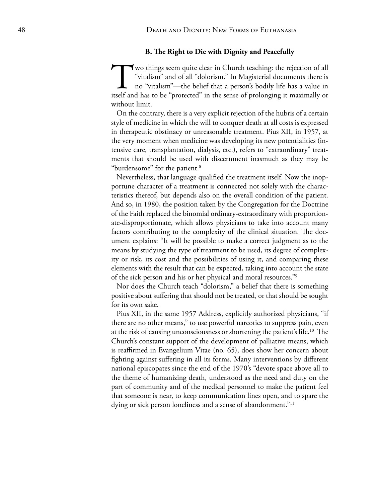#### **B. The Right to Die with Dignity and Peacefully**

Two things seem quite clear in Church teaching: the rejection of all "vitalism" and of all "dolorism." In Magisterial documents there is no "vitalism"—the belief that a person's bodily life has a value in itself and has to "vitalism" and of all "dolorism." In Magisterial documents there is no "vitalism"—the belief that a person's bodily life has a value in itself and has to be "protected" in the sense of prolonging it maximally or without limit.

On the contrary, there is a very explicit rejection of the hubris of a certain style of medicine in which the will to conquer death at all costs is expressed in therapeutic obstinacy or unreasonable treatment. Pius XII, in 1957, at the very moment when medicine was developing its new potentialities (in tensive care, transplantation, dialysis, etc.), refers to "extraordinary" treat ments that should be used with discernment inasmuch as they may be "burdensome" for the patient. 8

Nevertheless, that language qualified the treatment itself. Now the inop portune character of a treatment is connected not solely with the charac teristics thereof, but depends also on the overall condition of the patient. And so, in 1980, the position taken by the Congregation for the Doctrine of the Faith replaced the binomial ordinary-extraordinary with proportion ate-disproportionate, which allows physicians to take into account many factors contributing to the complexity of the clinical situation. The doc ument explains: "It will be possible to make a correct judgment as to the means by studying the type of treatment to be used, its degree of complex ity or risk, its cost and the possibilities of using it, and comparing these elements with the result that can be expected, taking into account the state of the sick person and his or her physical and moral resources." 9

Nor does the Church teach "dolorism," a belief that there is something positive about suffering that should not be treated, or that should be sought for its own sake.

Pius XII, in the same 1957 Address, explicitly authorized physicians, "if there are no other means," to use powerful narcotics to suppress pain, even at the risk of causing unconsciousness or shortening the patient's life.10 The Church's constant support of the development of palliative means, which is reaffirmed in Evangelium Vitae (no. 65), does show her concern about fighting against suffering in all its forms. Many interventions by different national episcopates since the end of the 1970's "devote space above all to the theme of humanizing death, understood as the need and duty on the part of community and of the medical personnel to make the patient feel that someone is near, to keep communication lines open, and to spare the dying or sick person loneliness and a sense of abandonment."<sup>11</sup>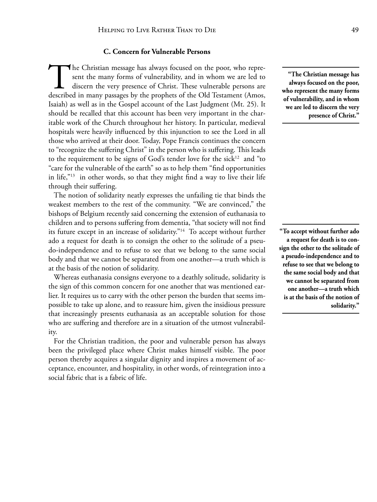### **C. Concern for Vulnerable Persons**

The Christian message has always focused on the poor, who repre-<br>sent the many forms of vulnerability, and in whom we are led to<br>discern the very presence of Christ. These vulnerable persons are<br>described in many passages sent the many forms of vulnerability, and in whom we are led to discern the very presence of Christ. These vulnerable persons are described in many passages by the prophets of the Old Testament (Amos, Isaiah) as well as in the Gospel account of the Last Judgment (Mt. 25). It should be recalled that this account has been very important in the charitable work of the Church throughout her history. In particular, medieval hospitals were heavily influenced by this injunction to see the Lord in all those who arrived at their door. Today, Pope Francis continues the concern to "recognize the suffering Christ" in the person who is suffering. This leads to the requirement to be signs of God's tender love for the sick<sup>12</sup> and "to "care for the vulnerable of the earth" so as to help them "find opportunities in life,"13 in other words, so that they might find a way to live their life through their suffering.

The notion of solidarity neatly expresses the unfailing tie that binds the weakest members to the rest of the community. "We are convinced," the bishops of Belgium recently said concerning the extension of euthanasia to children and to persons suffering from dementia, "that society will not find its future except in an increase of solidarity."14 To accept without further ado a request for death is to consign the other to the solitude of a pseudo-independence and to refuse to see that we belong to the same social body and that we cannot be separated from one another—a truth which is at the basis of the notion of solidarity.

Whereas euthanasia consigns everyone to a deathly solitude, solidarity is the sign of this common concern for one another that was mentioned earlier. It requires us to carry with the other person the burden that seems impossible to take up alone, and to reassure him, given the insidious pressure that increasingly presents euthanasia as an acceptable solution for those who are suffering and therefore are in a situation of the utmost vulnerability.

For the Christian tradition, the poor and vulnerable person has always been the privileged place where Christ makes himself visible. The poor person thereby acquires a singular dignity and inspires a movement of acceptance, encounter, and hospitality, in other words, of reintegration into a social fabric that is a fabric of life.

**"The Christian message has always focused on the poor, who represent the many forms of vulnerability, and in whom we are led to discern the very presence of Christ."**

**"To accept without further ado a request for death is to consign the other to the solitude of a pseudo-independence and to refuse to see that we belong to the same social body and that we cannot be separated from one another—a truth which is at the basis of the notion of solidarity."**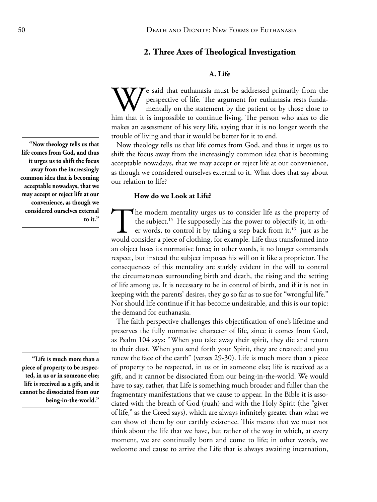### **2. Three Axes of Theological Investigation**

### **A. Life**

We said that euthanasia must be addressed primarily from the perspective of life. The argument for euthanasia rests fundamentally on the statement by the patient or by those close to him that it is impossible to continue l perspective of life. The argument for euthanasia rests fundamentally on the statement by the patient or by those close to him that it is impossible to continue living. The person who asks to die makes an assessment of his very life, saying that it is no longer worth the trouble of living and that it would be better for it to end.

Now theology tells us that life comes from God, and thus it urges us to shift the focus away from the increasingly common idea that is becoming acceptable nowadays, that we may accept or reject life at our convenience, as though we considered ourselves external to it. What does that say about our relation to life?

### **How do we Look at Life?**

The modern mentality urges us to consider life as the property of the subject.<sup>15</sup> He supposedly has the power to objectify it, in other words, to control it by taking a step back from it,<sup>16</sup> just as he would consider a p the subject.15 He supposedly has the power to objectify it, in other words, to control it by taking a step back from it,<sup>16</sup> just as he would consider a piece of clothing, for example. Life thus transformed into an object loses its normative force; in other words, it no longer commands respect, but instead the subject imposes his will on it like a proprietor. The consequences of this mentality are starkly evident in the will to control the circumstances surrounding birth and death, the rising and the setting of life among us. It is necessary to be in control of birth, and if it is not in keeping with the parents' desires, they go so far as to sue for "wrongful life." Nor should life continue if it has become undesirable, and this is our topic: the demand for euthanasia.

The faith perspective challenges this objectification of one's lifetime and preserves the fully normative character of life, since it comes from God, as Psalm 104 says: "When you take away their spirit, they die and return to their dust. When you send forth your Spirit, they are created; and you renew the face of the earth" (verses 29-30). Life is much more than a piece of property to be respected, in us or in someone else; life is received as a gift, and it cannot be dissociated from our being-in-the-world. We would have to say, rather, that Life is something much broader and fuller than the fragmentary manifestations that we cause to appear. In the Bible it is associated with the breath of God (ruah) and with the Holy Spirit (the "giver of life," as the Creed says), which are always infinitely greater than what we can show of them by our earthly existence. This means that we must not think about the life that we have, but rather of the way in which, at every moment, we are continually born and come to life; in other words, we welcome and cause to arrive the Life that is always awaiting incarnation,

**"Now theology tells us that life comes from God, and thus it urges us to shift the focus away from the increasingly common idea that is becoming acceptable nowadays, that we may accept or reject life at our convenience, as though we considered ourselves external to it."**

**"Life is much more than a piece of property to be respected, in us or in someone else; life is received as a gift, and it cannot be dissociated from our being-in-the-world."**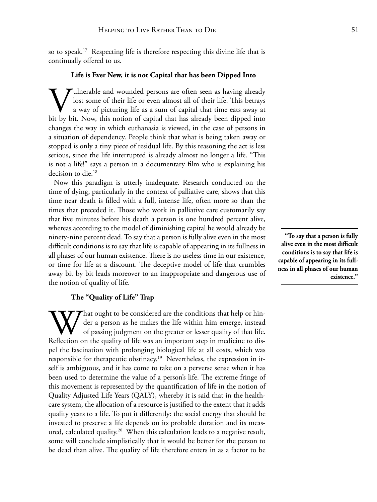so to speak.17 Respecting life is therefore respecting this divine life that is continually offered to us.

### **Life is Ever New, it is not Capital that has been Dipped Into**

 $\blacktriangledown$ ulnerable and wounded persons are often seen as having already lost some of their life or even almost all of their life. This betrays a way of picturing life as a sum of capital that time eats away at bit by bit. Now, this notion of capital that has already been dipped into changes the way in which euthanasia is viewed, in the case of persons in a situation of dependency. People think that what is being taken away or stopped is only a tiny piece of residual life. By this reasoning the act is less serious, since the life interrupted is already almost no longer a life. "This is not a life!" says a person in a documentary film who is explaining his decision to die.<sup>18</sup>

Now this paradigm is utterly inadequate. Research conducted on the time of dying, particularly in the context of palliative care, shows that this time near death is filled with a full, intense life, often more so than the times that preceded it. Those who work in palliative care customarily say that five minutes before his death a person is one hundred percent alive, whereas according to the model of diminishing capital he would already be ninety-nine percent dead. To say that a person is fully alive even in the most difficult conditions is to say that life is capable of appearing in its fullness in all phases of our human existence. There is no useless time in our existence, or time for life at a discount. The deceptive model of life that crumbles away bit by bit leads moreover to an inappropriate and dangerous use of the notion of quality of life.

#### **The "Quality of Life" Trap**

What ought to be considered are the conditions that help or hindred of passing judgment on the greater or lesser quality of that life.<br>Reflection on the quality of life was an important step in medicine to disder a person as he makes the life within him emerge, instead of passing judgment on the greater or lesser quality of that life. Reflection on the quality of life was an important step in medicine to dispel the fascination with prolonging biological life at all costs, which was responsible for therapeutic obstinacy.19 Nevertheless, the expression in itself is ambiguous, and it has come to take on a perverse sense when it has been used to determine the value of a person's life. The extreme fringe of this movement is represented by the quantification of life in the notion of Quality Adjusted Life Years (QALY), whereby it is said that in the healthcare system, the allocation of a resource is justified to the extent that it adds quality years to a life. To put it differently: the social energy that should be invested to preserve a life depends on its probable duration and its measured, calculated quality.20 When this calculation leads to a negative result, some will conclude simplistically that it would be better for the person to be dead than alive. The quality of life therefore enters in as a factor to be

**"To say that a person is fully alive even in the most difficult conditions is to say that life is capable of appearing in its fullness in all phases of our human existence."**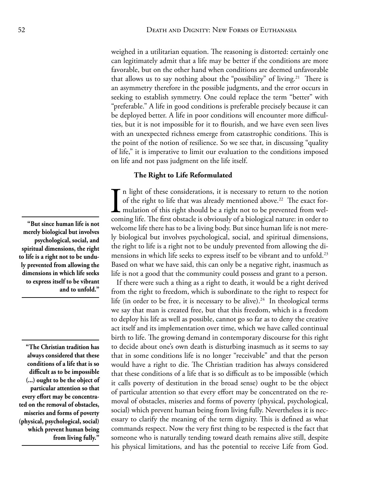weighed in a utilitarian equation. The reasoning is distorted: certainly one can legitimately admit that a life may be better if the conditions are more favorable, but on the other hand when conditions are deemed unfavorable that allows us to say nothing about the "possibility" of living.<sup>21</sup> There is an asymmetry therefore in the possible judgments, and the error occurs in seeking to establish symmetry. One could replace the term "better" with "preferable." A life in good conditions is preferable precisely because it can be deployed better. A life in poor conditions will encounter more difficulties, but it is not impossible for it to flourish, and we have even seen lives with an unexpected richness emerge from catastrophic conditions. This is the point of the notion of resilience. So we see that, in discussing "quality of life," it is imperative to limit our evaluation to the conditions imposed on life and not pass judgment on the life itself.

#### **The Right to Life Reformulated**

In light of these considerations, it is necessary to return to the notion of the right to life that was already mentioned above.<sup>22</sup> The exact for-<br>mulation of this right should be a right not to be prevented from welcomin In light of these considerations, it is necessary to return to the notion of the right to life that was already mentioned above.<sup>22</sup> The exact formulation of this right should be a right not to be prevented from welwelcome life there has to be a living body. But since human life is not merely biological but involves psychological, social, and spiritual dimensions, the right to life is a right not to be unduly prevented from allowing the dimensions in which life seeks to express itself to be vibrant and to unfold.<sup>23</sup> Based on what we have said, this can only be a negative right, inasmuch as life is not a good that the community could possess and grant to a person.

If there were such a thing as a right to death, it would be a right derived from the right to freedom, which is subordinate to the right to respect for life (in order to be free, it is necessary to be alive).<sup>24</sup> In theological terms we say that man is created free, but that this freedom, which is a freedom to deploy his life as well as possible, cannot go so far as to deny the creative act itself and its implementation over time, which we have called continual birth to life. The growing demand in contemporary discourse for this right to decide about one's own death is disturbing inasmuch as it seems to say that in some conditions life is no longer "receivable" and that the person would have a right to die. The Christian tradition has always considered that these conditions of a life that is so difficult as to be impossible (which it calls poverty of destitution in the broad sense) ought to be the object of particular attention so that every effort may be concentrated on the removal of obstacles, miseries and forms of poverty (physical, psychological, social) which prevent human being from living fully. Nevertheless it is necessary to clarify the meaning of the term dignity. This is defined as what commands respect. Now the very first thing to be respected is the fact that someone who is naturally tending toward death remains alive still, despite his physical limitations, and has the potential to receive Life from God.

**"But since human life is not merely biological but involves psychological, social, and spiritual dimensions, the right to life is a right not to be unduly prevented from allowing the dimensions in which life seeks to express itself to be vibrant and to unfold."**

**"The Christian tradition has always considered that these conditions of a life that is so difficult as to be impossible (...) ought to be the object of particular attention so that every effort may be concentrated on the removal of obstacles, miseries and forms of poverty (physical, psychological, social) which prevent human being from living fully."**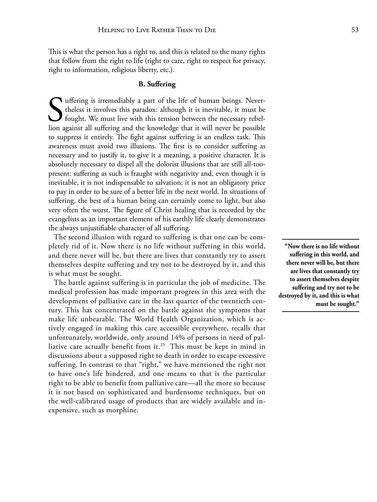This is what the person has a right to, and this is related to the many rights that follow from the right to life (right to care, right to respect for privacy, right to information, religious liberty, etc.).

### **B. Suffering**

S<sub>lion</sub> uffering is irremediably a part of the life of human beings. Nevertheless it involves this paradox: although it is inevitable, it must be fought. We must live with this tension between the necessary rebellion against all suffering and the knowledge that it will never be possible to suppress it entirely. The fight against suffering is an endless task. This awareness must avoid two illusions. The first is to consider suffering as necessary and to justify it, to give it a meaning, a positive character. It is absolutely necessary to dispel all the dolorist illusions that are still all-toopresent: suffering as such is fraught with negativity and, even though it is inevitable, it is not indispensable to salvation; it is not an obligatory price to pay in order to be sure of a better life in the next world. In situations of suffering, the best of a human being can certainly come to light, but also very often the worst. The figure of Christ healing that is recorded by the evangelists as an important element of his earthly life clearly demonstrates the always unjustifiable character of all suffering.

The second illusion with regard to suffering is that one can be completely rid of it. Now there is no life without suffering in this world, and there never will be, but there are lives that constantly try to assert themselves despite suffering and try not to be destroyed by it, and this is what must be sought.

The battle against suffering is in particular the job of medicine. The medical profession has made important progress in this area with the development of palliative care in the last quarter of the twentieth century. This has concentrated on the battle against the symptoms that make life unbearable. The World Health Organization, which is actively engaged in making this care accessible everywhere, recalls that unfortunately, worldwide, only around 14% of persons in need of palliative care actually benefit from it.<sup>25</sup> This must be kept in mind in discussions about a supposed right to death in order to escape excessive suffering. In contrast to that "right," we have mentioned the right not to have one's life hindered, and one means to that is the particular right to be able to benefit from palliative care—all the more so because it is not based on sophisticated and burdensome techniques, but on the well-calibrated usage of products that are widely available and inexpensive, such as morphine.

**"Now there is no life without suffering in this world, and there never will be, but there are lives that constantly try to assert themselves despite suffering and try not to be destroyed by it, and this is what must be sought."**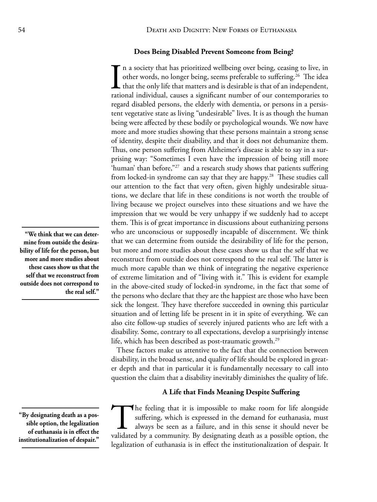### **Does Being Disabled Prevent Someone from Being?**

In a society that has prioritized wellbeing over being, ceasing to live, in other words, no longer being, seems preferable to suffering.<sup>26</sup> The idea that the only life that matters and is desirable is that of an independe n a society that has prioritized wellbeing over being, ceasing to live, in other words, no longer being, seems preferable to suffering.26 The idea  $\Box$  that the only life that matters and is desirable is that of an independent, regard disabled persons, the elderly with dementia, or persons in a persistent vegetative state as living "undesirable" lives. It is as though the human being were affected by these bodily or psychological wounds. We now have more and more studies showing that these persons maintain a strong sense of identity, despite their disability, and that it does not dehumanize them. Thus, one person suffering from Alzheimer's disease is able to say in a surprising way: "Sometimes I even have the impression of being still more 'human' than before,"27 and a research study shows that patients suffering from locked-in syndrome can say that they are happy.<sup>28</sup> These studies call our attention to the fact that very often, given highly undesirable situations, we declare that life in these conditions is not worth the trouble of living because we project ourselves into these situations and we have the impression that we would be very unhappy if we suddenly had to accept them. This is of great importance in discussions about euthanizing persons who are unconscious or supposedly incapable of discernment. We think that we can determine from outside the desirability of life for the person, but more and more studies about these cases show us that the self that we reconstruct from outside does not correspond to the real self. The latter is much more capable than we think of integrating the negative experience of extreme limitation and of "living with it." This is evident for example in the above-cited study of locked-in syndrome, in the fact that some of the persons who declare that they are the happiest are those who have been sick the longest. They have therefore succeeded in owning this particular situation and of letting life be present in it in spite of everything. We can also cite follow-up studies of severely injured patients who are left with a disability. Some, contrary to all expectations, develop a surprisingly intense life, which has been described as post-traumatic growth.<sup>29</sup>

These factors make us attentive to the fact that the connection between disability, in the broad sense, and quality of life should be explored in greater depth and that in particular it is fundamentally necessary to call into question the claim that a disability inevitably diminishes the quality of life.

### **A Life that Finds Meaning Despite Suffering**

The feeling that it is impossible to make room for life alongside suffering, which is expressed in the demand for euthanasia, must always be seen as a failure, and in this sense it should never be validated by a community. suffering, which is expressed in the demand for euthanasia, must always be seen as a failure, and in this sense it should never be validated by a community. By designating death as a possible option, the legalization of euthanasia is in effect the institutionalization of despair. It

**"We think that we can determine from outside the desirability of life for the person, but more and more studies about these cases show us that the self that we reconstruct from outside does not correspond to the real self."**

**"By designating death as a possible option, the legalization of euthanasia is in effect the institutionalization of despair."**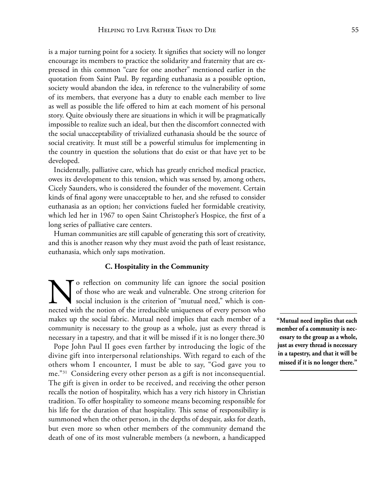is a major turning point for a society. It signifies that society will no longer encourage its members to practice the solidarity and fraternity that are expressed in this common "care for one another" mentioned earlier in the quotation from Saint Paul. By regarding euthanasia as a possible option, society would abandon the idea, in reference to the vulnerability of some of its members, that everyone has a duty to enable each member to live as well as possible the life offered to him at each moment of his personal story. Quite obviously there are situations in which it will be pragmatically impossible to realize such an ideal, but then the discomfort connected with the social unacceptability of trivialized euthanasia should be the source of social creativity. It must still be a powerful stimulus for implementing in the country in question the solutions that do exist or that have yet to be developed.

Incidentally, palliative care, which has greatly enriched medical practice, owes its development to this tension, which was sensed by, among others, Cicely Saunders, who is considered the founder of the movement. Certain kinds of final agony were unacceptable to her, and she refused to consider euthanasia as an option; her convictions fueled her formidable creativity, which led her in 1967 to open Saint Christopher's Hospice, the first of a long series of palliative care centers.

Human communities are still capable of generating this sort of creativity, and this is another reason why they must avoid the path of least resistance, euthanasia, which only saps motivation.

### **C. Hospitality in the Community**

No reflection on community life can ignore the social position of those who are weak and vulnerable. One strong criterion for social inclusion is the criterion of "mutual need," which is connected with the notion of the ir of those who are weak and vulnerable. One strong criterion for social inclusion is the criterion of "mutual need," which is connected with the notion of the irreducible uniqueness of every person who makes up the social fabric. Mutual need implies that each member of a community is necessary to the group as a whole, just as every thread is necessary in a tapestry, and that it will be missed if it is no longer there.30

Pope John Paul II goes even farther by introducing the logic of the divine gift into interpersonal relationships. With regard to each of the others whom I encounter, I must be able to say, "God gave you to me."31 Considering every other person as a gift is not inconsequential. The gift is given in order to be received, and receiving the other person recalls the notion of hospitality, which has a very rich history in Christian tradition. To offer hospitality to someone means becoming responsible for his life for the duration of that hospitality. This sense of responsibility is summoned when the other person, in the depths of despair, asks for death, but even more so when other members of the community demand the death of one of its most vulnerable members (a newborn, a handicapped **"Mutual need implies that each member of a community is necessary to the group as a whole, just as every thread is necessary in a tapestry, and that it will be missed if it is no longer there."**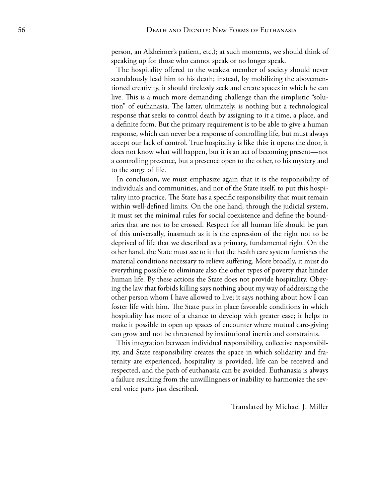person, an Alzheimer's patient, etc.); at such moments, we should think of speaking up for those who cannot speak or no longer speak.

The hospitality offered to the weakest member of society should never scandalously lead him to his death; instead, by mobilizing the abovemen tioned creativity, it should tirelessly seek and create spaces in which he can live. This is a much more demanding challenge than the simplistic "solu tion" of euthanasia. The latter, ultimately, is nothing but a technological response that seeks to control death by assigning to it a time, a place, and a definite form. But the primary requirement is to be able to give a human response, which can never be a response of controlling life, but must always accept our lack of control. True hospitality is like this: it opens the door, it does not know what will happen, but it is an act of becoming present—not a controlling presence, but a presence open to the other, to his mystery and to the surge of life.

In conclusion, we must emphasize again that it is the responsibility of individuals and communities, and not of the State itself, to put this hospi tality into practice. The State has a specific responsibility that must remain within well-defined limits. On the one hand, through the judicial system, it must set the minimal rules for social coexistence and define the bound aries that are not to be crossed. Respect for all human life should be part of this universally, inasmuch as it is the expression of the right not to be deprived of life that we described as a primary, fundamental right. On the other hand, the State must see to it that the health care system furnishes the material conditions necessary to relieve suffering. More broadly, it must do everything possible to eliminate also the other types of poverty that hinder human life. By these actions the State does not provide hospitality. Obey ing the law that forbids killing says nothing about my way of addressing the other person whom I have allowed to live; it says nothing about how I can foster life with him. The State puts in place favorable conditions in which hospitality has more of a chance to develop with greater ease; it helps to make it possible to open up spaces of encounter where mutual care-giving can grow and not be threatened by institutional inertia and constraints.

This integration between individual responsibility, collective responsibil ity, and State responsibility creates the space in which solidarity and fra ternity are experienced, hospitality is provided, life can be received and respected, and the path of euthanasia can be avoided. Euthanasia is always a failure resulting from the unwillingness or inability to harmonize the sev eral voice parts just described.

Translated by Michael J. Miller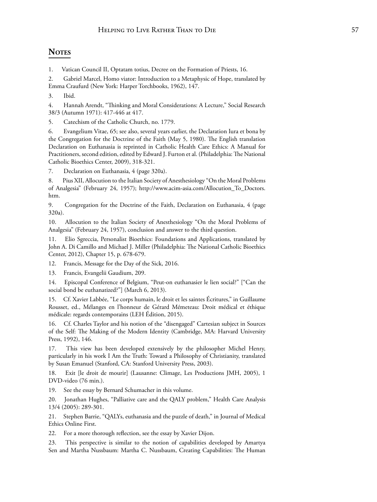### NOTES

1. Vatican Council II, Optatam totius, Decree on the Formation of Priests, 16.

2. Gabriel Marcel, Homo viator: Introduction to a Metaphysic of Hope, translated by Emma Craufurd (New York: Harper Torchbooks, 1962), 147.

3. Ibid.

4. Hannah Arendt, "Thinking and Moral Considerations: A Lecture," Social Research 38/3 (Autumn 1971): 417-446 at 417.

5. Catechism of the Catholic Church, no. 1779.

6. Evangelium Vitae, 65; see also, several years earlier, the Declaration Iura et bona by the Congregation for the Doctrine of the Faith (May 5, 1980). The English translation Declaration on Euthanasia is reprinted in Catholic Health Care Ethics: A Manual for Practitioners, second edition, edited by Edward J. Furton et al. (Philadelphia: The National Catholic Bioethics Center, 2009), 318-321.

7. Declaration on Euthanasia, 4 (page 320a).

8. Pius XII, Allocution to the Italian Society of Anesthesiology "On the Moral Problems of Analgesia" (February 24, 1957); http://www.acim-asia.com/Allocution\_To\_Doctors. htm.

9. Congregation for the Doctrine of the Faith, Declaration on Euthanasia, 4 (page 320a).

10. Allocution to the Italian Society of Anesthesiology "On the Moral Problems of Analgesia" (February 24, 1957), conclusion and answer to the third question.

11. Elio Sgreccia, Personalist Bioethics: Foundations and Applications, translated by John A. Di Camillo and Michael J. Miller (Philadelphia: The National Catholic Bioethics Center, 2012), Chapter 15, p. 678-679.

12. Francis, Message for the Day of the Sick, 2016.

13. Francis, Evangelii Gaudium, 209.

14. Episcopal Conference of Belgium, "Peut-on euthanasier le lien social?" ["Can the social bond be euthanatized?"] (March 6, 2013).

15. Cf. Xavier Labbée, "Le corps humain, le droit et les saintes Écritures," in Guillaume Rousset, ed., Mélanges en l'honneur de Gérard Mémeteau: Droit médical et éthique médicale: regards contemporains (LEH Édition, 2015).

16. Cf. Charles Taylor and his notion of the "disengaged" Cartesian subject in Sources of the Self: The Making of the Modern Identity (Cambridge, MA: Harvard University Press, 1992), 146.

17. This view has been developed extensively by the philosopher Michel Henry, particularly in his work I Am the Truth: Toward a Philosophy of Christianity, translated by Susan Emanuel (Stanford, CA: Stanford University Press, 2003).

18. Exit [le droit de mourir] (Lausanne: Climage, Les Productions JMH, 2005), 1 DVD-video (76 min.).

19. See the essay by Bernard Schumacher in this volume.

20. Jonathan Hughes, "Palliative care and the QALY problem," Health Care Analysis 13/4 (2005): 289-301.

21. Stephen Barrie, "QALYs, euthanasia and the puzzle of death," in Journal of Medical Ethics Online First.

22. For a more thorough reflection, see the essay by Xavier Dijon.

23. This perspective is similar to the notion of capabilities developed by Amartya Sen and Martha Nussbaum: Martha C. Nussbaum, Creating Capabilities: The Human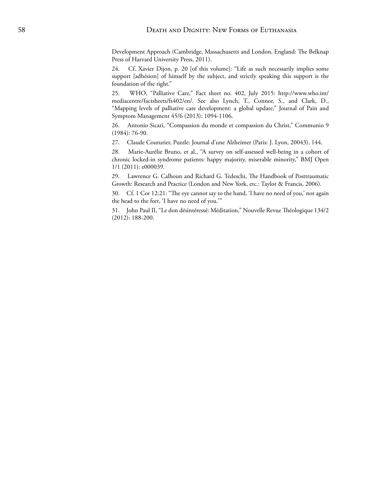Development Approach (Cambridge, Massachusetts and London, England: The Belknap Press of Harvard University Press, 2011).

24. Cf. Xavier Dijon, p. 20 [of this volume]: "Life as such necessarily implies some support [adhésion] of himself by the subject, and strictly speaking this support is the foundation of the right."

25. WHO, "Palliative Care," Fact sheet no. 402, July 2015: http://www.who.int/ mediacentre/factsheets/fs402/en/. See also Lynch, T., Connor, S., and Clark, D., "Mapping levels of palliative care development: a global update," Journal of Pain and Symptom Management 45/6 (2013): 1094-1106.

26. Antonio Sicari, "Compassion du monde et compassion du Christ," Communio 9 (1984): 76-90.

27. Claude Couturier, Puzzle: Journal d'une Alzheimer (Paris: J. Lyon, 20043), 144.

28. Marie-Aurélie Bruno, et al., "A survey on self-assessed well-being in a cohort of chronic locked-in syndrome patients: happy majority, miserable minority," BMJ Open 1/1 (2011): e000039.

29. Lawrence G. Calhoun and Richard G. Tedeschi, The Handbook of Posttraumatic Growth: Research and Practice (London and New York, etc.: Taylor & Francis, 2006).

30. Cf. 1 Cor 12:21: "The eye cannot say to the hand, 'I have no need of you,' nor again the head to the feet, 'I have no need of you.'"

31. John Paul II, "Le don désintéressé: Méditation," Nouvelle Revue Théologique 134/2 (2012): 188-200.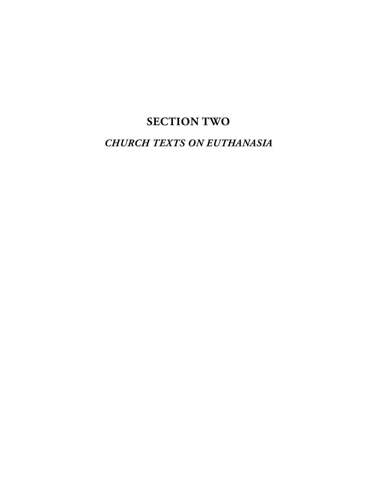# **SECTION TWO**

*CHURCH TEXTS ON EUTHANASIA*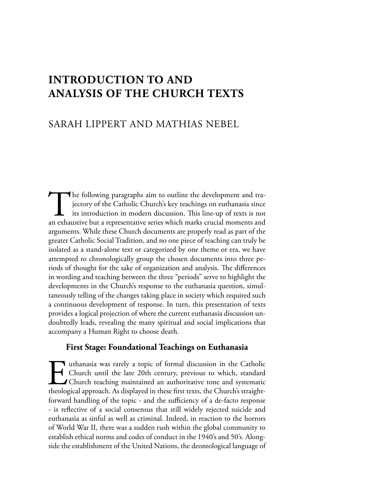# **INTRODUCTION TO AND ANALYSIS OF THE CHURCH TEXTS**

## SARAH LIPPERT AND MATHIAS NEBEL

The following paragraphs aim to outline the development and trajectory of the Catholic Church's key teachings on euthanasia since its introduction in modern discussion. This line-up of texts is not an exhaustive but a representative series which marks crucial moments and arguments. While these Church documents are properly read as part of the greater Catholic Social Tradition, and no one piece of teaching can truly be isolated as a stand-alone text or categorized by one theme or era, we have attempted to chronologically group the chosen documents into three periods of thought for the sake of organization and analysis. The differences in wording and teaching between the three "periods" serve to highlight the developments in the Church's response to the euthanasia question, simultaneously telling of the changes taking place in society which required such a continuous development of response. In turn, this presentation of texts provides a logical projection of where the current euthanasia discussion undoubtedly leads, revealing the many spiritual and social implications that accompany a Human Right to choose death.

### **First Stage: Foundational Teachings on Euthanasia**

In uthanasia was rarely a topic of formal discussion in the Catholic Church until the late 20th century, previous to which, standard Church teaching maintained an authoritative tone and systematic theological approach. As Church until the late 20th century, previous to which, standard ■ Church teaching maintained an authoritative tone and systematic forward handling of the topic - and the sufficiency of a de-facto response - is reflective of a social consensus that still widely rejected suicide and euthanasia as sinful as well as criminal. Indeed, in reaction to the horrors of World War II, there was a sudden rush within the global community to establish ethical norms and codes of conduct in the 1940's and 50's. Alongside the establishment of the United Nations, the deontological language of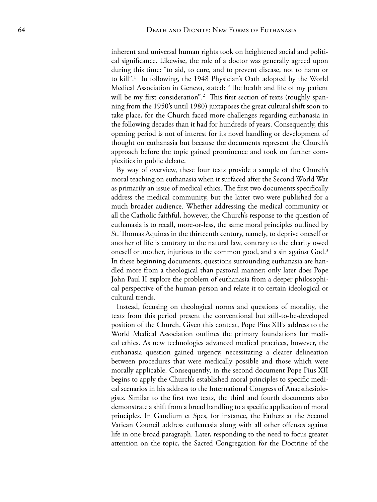inherent and universal human rights took on heightened social and politi cal significance. Likewise, the role of a doctor was generally agreed upon during this time: "to aid, to cure, and to prevent disease, not to harm or to kill". 1 In following, the 1948 Physician's Oath adopted by the World Medical Association in Geneva, stated: "The health and life of my patient will be my first consideration". 2 This first section of texts (roughly span ning from the 1950's until 1980) juxtaposes the great cultural shift soon to take place, for the Church faced more challenges regarding euthanasia in the following decades than it had for hundreds of years. Consequently, this opening period is not of interest for its novel handling or development of thought on euthanasia but because the documents represent the Church's approach before the topic gained prominence and took on further com plexities in public debate.

By way of overview, these four texts provide a sample of the Church's moral teaching on euthanasia when it surfaced after the Second World War as primarily an issue of medical ethics. The first two documents specifically address the medical community, but the latter two were published for a much broader audience. Whether addressing the medical community or all the Catholic faithful, however, the Church's response to the question of euthanasia is to recall, more-or-less, the same moral principles outlined by St. Thomas Aquinas in the thirteenth century, namely, to deprive oneself or another of life is contrary to the natural law, contrary to the charity owed oneself or another, injurious to the common good, and a sin against God. 3 In these beginning documents, questions surrounding euthanasia are han dled more from a theological than pastoral manner; only later does Pope John Paul II explore the problem of euthanasia from a deeper philosophi cal perspective of the human person and relate it to certain ideological or cultural trends.

Instead, focusing on theological norms and questions of morality, the texts from this period present the conventional but still-to-be-developed position of the Church. Given this context, Pope Pius XII's address to the World Medical Association outlines the primary foundations for medi cal ethics. As new technologies advanced medical practices, however, the euthanasia question gained urgency, necessitating a clearer delineation between procedures that were medically possible and those which were morally applicable. Consequently, in the second document Pope Pius XII begins to apply the Church's established moral principles to specific medi cal scenarios in his address to the International Congress of Anaesthesiolo gists. Similar to the first two texts, the third and fourth documents also demonstrate a shift from a broad handling to a specific application of moral principles. In Gaudium et Spes, for instance, the Fathers at the Second Vatican Council address euthanasia along with all other offenses against life in one broad paragraph. Later, responding to the need to focus greater attention on the topic, the Sacred Congregation for the Doctrine of the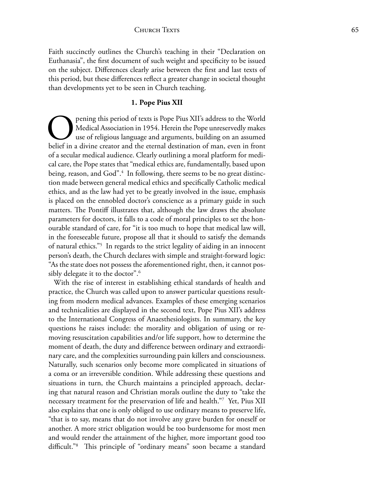### Church Texts 65

Faith succinctly outlines the Church's teaching in their "Declaration on Euthanasia", the first document of such weight and specificity to be issued on the subject. Differences clearly arise between the first and last texts of this period, but these differences reflect a greater change in societal thought than developments yet to be seen in Church teaching.

### **1. Pope Pius XII**

**Community of the United States** is Pope Pius XII's address to the World Medical Association in 1954. Herein the Pope unreservedly makes use of religious language and arguments, building on an assumed belief in a divine cr Medical Association in 1954. Herein the Pope unreservedly makes use of religious language and arguments, building on an assumed of a secular medical audience. Clearly outlining a moral platform for medi cal care, the Pope states that "medical ethics are, fundamentally, based upon being, reason, and God". 4 In following, there seems to be no great distinc tion made between general medical ethics and specifically Catholic medical ethics, and as the law had yet to be greatly involved in the issue, emphasis is placed on the ennobled doctor's conscience as a primary guide in such matters. The Pontiff illustrates that, although the law draws the absolute parameters for doctors, it falls to a code of moral principles to set the hon ourable standard of care, for "it is too much to hope that medical law will, in the foreseeable future, propose all that it should to satisfy the demands of natural ethics." 5 In regards to the strict legality of aiding in an innocent person's death, the Church declares with simple and straight-forward logic: "As the state does not possess the aforementioned right, then, it cannot pos sibly delegate it to the doctor". 6

With the rise of interest in establishing ethical standards of health and practice, the Church was called upon to answer particular questions result ing from modern medical advances. Examples of these emerging scenarios and technicalities are displayed in the second text, Pope Pius XII's address to the International Congress of Anaesthesiologists. In summary, the key questions he raises include: the morality and obligation of using or re moving resuscitation capabilities and/or life support, how to determine the moment of death, the duty and difference between ordinary and extraordi nary care, and the complexities surrounding pain killers and consciousness. Naturally, such scenarios only become more complicated in situations of a coma or an irreversible condition. While addressing these questions and situations in turn, the Church maintains a principled approach, declar ing that natural reason and Christian morals outline the duty to "take the necessary treatment for the preservation of life and health." 7 Yet, Pius XII also explains that one is only obliged to use ordinary means to preserve life, "that is to say, means that do not involve any grave burden for oneself or another. A more strict obligation would be too burdensome for most men and would render the attainment of the higher, more important good too difficult." 8 This principle of "ordinary means" soon became a standard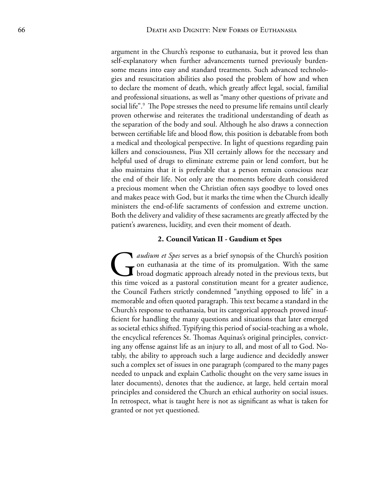argument in the Church's response to euthanasia, but it proved less than self-explanatory when further advancements turned previously burden some means into easy and standard treatments. Such advanced technolo gies and resuscitation abilities also posed the problem of how and when to declare the moment of death, which greatly affect legal, social, familial and professional situations, as well as "many other questions of private and social life". 9 The Pope stresses the need to presume life remains until clearly proven otherwise and reiterates the traditional understanding of death as the separation of the body and soul. Although he also draws a connection between certifiable life and blood flow, this position is debatable from both a medical and theological perspective. In light of questions regarding pain killers and consciousness, Pius XII certainly allows for the necessary and helpful used of drugs to eliminate extreme pain or lend comfort, but he also maintains that it is preferable that a person remain conscious near the end of their life. Not only are the moments before death considered a precious moment when the Christian often says goodbye to loved ones and makes peace with God, but it marks the time when the Church ideally ministers the end-of-life sacraments of confession and extreme unction. Both the delivery and validity of these sacraments are greatly affected by the patient's awareness, lucidity, and even their moment of death.

#### **2. Council Vatican II - Gaudium et Spes**

**G** audium et Spes serves as a brief synopsis of the Church's position on euthanasia at the time of its promulgation. With the same broad dogmatic approach already noted in the previous texts, but this time voiced as a pas on euthanasia at the time of its promulgation. With the same broad dogmatic approach already noted in the previous texts, but this time voiced as a pastoral constitution meant for a greater audience, the Council Fathers strictly condemned "anything opposed to life" in a memorable and often quoted paragraph. This text became a standard in the Church's response to euthanasia, but its categorical approach proved insufficient for handling the many questions and situations that later emerged as societal ethics shifted. Typifying this period of social-teaching as a whole, the encyclical references St. Thomas Aquinas's original principles, convict ing any offense against life as an injury to all, and most of all to God. No tably, the ability to approach such a large audience and decidedly answer such a complex set of issues in one paragraph (compared to the many pages needed to unpack and explain Catholic thought on the very same issues in later documents), denotes that the audience, at large, held certain moral principles and considered the Church an ethical authority on social issues. In retrospect, what is taught here is not as significant as what is taken for granted or not yet questioned.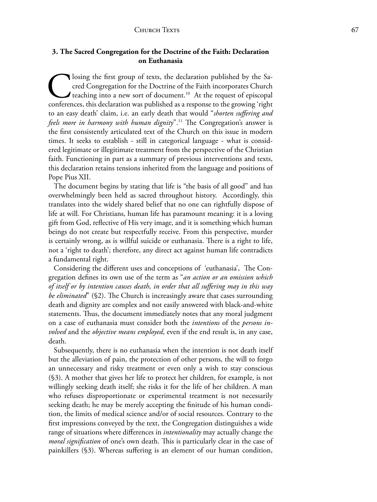### **3. The Sacred Congregation for the Doctrine of the Faith: Declaration on Euthanasia**

Iosing the first group of texts, the declaration published by the Sacred Congregation for the Doctrine of the Faith incorporates Church teaching into a new sort of document.<sup>10</sup> At the request of episcopal conferences, thi cred Congregation for the Doctrine of the Faith incorporates Church teaching into a new sort of document.<sup>10</sup> At the request of episcopal conferences, this declaration was published as a response to the growing 'right to an easy death' claim, i.e. an early death that would "*shorten suffering and feels more in harmony with human dignity*".11 The Congregation's answer is the first consistently articulated text of the Church on this issue in modern times. It seeks to establish - still in categorical language - what is consid ered legitimate or illegitimate treatment from the perspective of the Christian faith. Functioning in part as a summary of previous interventions and texts, this declaration retains tensions inherited from the language and positions of Pope Pius XII.

The document begins by stating that life is "the basis of all good" and has overwhelmingly been held as sacred throughout history. Accordingly, this translates into the widely shared belief that no one can rightfully dispose of life at will. For Christians, human life has paramount meaning: it is a loving gift from God, reflective of His very image, and it is something which human beings do not create but respectfully receive. From this perspective, murder is certainly wrong, as is willful suicide or euthanasia. There is a right to life, not a 'right to death'; therefore, any direct act against human life contradicts a fundamental right.

Considering the different uses and conceptions of 'euthanasia', The Con gregation defines its own use of the term as "*an action or an omission which of itself or by intention causes death, in order that all suffering may in this way be eliminated*" (§2). The Church is increasingly aware that cases surrounding death and dignity are complex and not easily answered with black-and-white statements. Thus, the document immediately notes that any moral judgment on a case of euthanasia must consider both the *intentions* of the *persons in volved* and the *objective means employed*, even if the end result is, in any case, death.

Subsequently, there is no euthanasia when the intention is not death itself but the alleviation of pain, the protection of other persons, the will to forgo an unnecessary and risky treatment or even only a wish to stay conscious (§3). A mother that gives her life to protect her children, for example, is not willingly seeking death itself; she risks it for the life of her children. A man who refuses disproportionate or experimental treatment is not necessarily seeking death; he may be merely accepting the finitude of his human condi tion, the limits of medical science and/or of social resources. Contrary to the first impressions conveyed by the text, the Congregation distinguishes a wide range of situations where differences in *intentionality* may actually change the *moral signification* of one's own death. This is particularly clear in the case of painkillers (§3). Whereas suffering is an element of our human condition,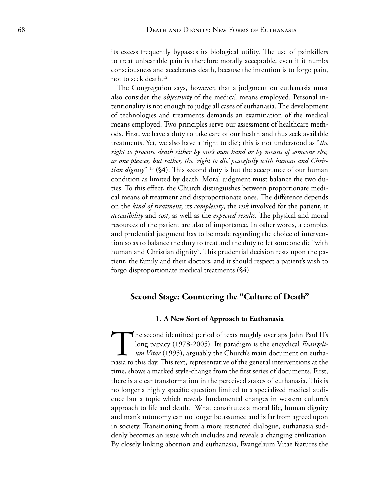its excess frequently bypasses its biological utility. The use of painkillers to treat unbearable pain is therefore morally acceptable, even if it numbs consciousness and accelerates death, because the intention is to forgo pain, not to seek death.12

The Congregation says, however, that a judgment on euthanasia must also consider the *objectivity* of the medical means employed. Personal in tentionality is not enough to judge all cases of euthanasia. The development of technologies and treatments demands an examination of the medical means employed. Two principles serve our assessment of healthcare meth ods. First, we have a duty to take care of our health and thus seek available treatments. Yet, we also have a 'right to die'; this is not understood as "*the right to procure death either by one's own hand or by means of someone else, as one pleases, but rather, the 'right to die' peacefully with human and Chris tian dignity*" 13 (§4). This second duty is but the acceptance of our human condition as limited by death. Moral judgment must balance the two du ties. To this effect, the Church distinguishes between proportionate medi cal means of treatment and disproportionate ones. The difference depends on the *kind of treatment*, its *complexity*, the *risk* involved for the patient, it *accessibility* and *cost*, as well as the *expected results*. The physical and moral resources of the patient are also of importance. In other words, a complex and prudential judgment has to be made regarding the choice of interven tion so as to balance the duty to treat and the duty to let someone die "with human and Christian dignity". This prudential decision rests upon the pa tient, the family and their doctors, and it should respect a patient's wish to forgo disproportionate medical treatments (§4).

### **Second Stage: Countering the "Culture of Death"**

### **1. A New Sort of Approach to Euthanasia**

The second identified period of texts roughly overlaps John Paul II's<br>long papacy (1978-2005). Its paradigm is the encyclical *Evangeli-*<br>um Vitae (1995), arguably the Church's main document on eutha-<br>nasia to this day. Th long papacy (1978-2005). Its paradigm is the encyclical *Evangeli um Vitae* (1995), arguably the Church's main document on eutha nasia to this day. This text, representative of the general interventions at the time, shows a marked style-change from the first series of documents. First, there is a clear transformation in the perceived stakes of euthanasia. This is no longer a highly specific question limited to a specialized medical audi ence but a topic which reveals fundamental changes in western culture's approach to life and death. What constitutes a moral life, human dignity and man's autonomy can no longer be assumed and is far from agreed upon in society. Transitioning from a more restricted dialogue, euthanasia sud denly becomes an issue which includes and reveals a changing civilization. By closely linking abortion and euthanasia, Evangelium Vitae features the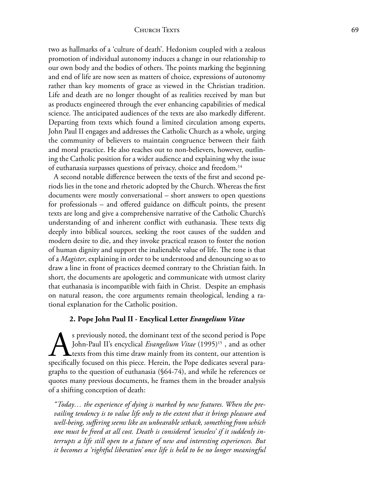#### Church Texts 69

two as hallmarks of a 'culture of death'. Hedonism coupled with a zealous promotion of individual autonomy induces a change in our relationship to our own body and the bodies of others. The points marking the beginning and end of life are now seen as matters of choice, expressions of autonomy rather than key moments of grace as viewed in the Christian tradition. Life and death are no longer thought of as realities received by man but as products engineered through the ever enhancing capabilities of medical science. The anticipated audiences of the texts are also markedly different. Departing from texts which found a limited circulation among experts, John Paul II engages and addresses the Catholic Church as a whole, urging the community of believers to maintain congruence between their faith and moral practice. He also reaches out to non-believers, however, outlin ing the Catholic position for a wider audience and explaining why the issue of euthanasia surpasses questions of privacy, choice and freedom.14

A second notable difference between the texts of the first and second pe riods lies in the tone and rhetoric adopted by the Church. Whereas the first documents were mostly conversational – short answers to open questions for professionals – and offered guidance on difficult points, the present texts are long and give a comprehensive narrative of the Catholic Church's understanding of and inherent conflict with euthanasia. These texts dig deeply into biblical sources, seeking the root causes of the sudden and modern desire to die, and they invoke practical reason to foster the notion of human dignity and support the inalienable value of life. The tone is that of a *Magister*, explaining in order to be understood and denouncing so as to draw a line in front of practices deemed contrary to the Christian faith. In short, the documents are apologetic and communicate with utmost clarity that euthanasia is incompatible with faith in Christ. Despite an emphasis on natural reason, the core arguments remain theological, lending a ra tional explanation for the Catholic position.

#### **2. Pope John Paul II - Encylical Letter** *Evangelium Vitae*

Subsequently provided, the dominant text of the second period is Pope<br>John-Paul II's encyclical *Evangelium Vitae* (1995)<sup>15</sup>, and as other<br>specifically focused on this piece. Herein, the Pope dedicates several para-John-Paul II's encyclical *Evangelium Vitae* (1995)<sup>15</sup>, and as other texts from this time draw mainly from its content, our attention is graphs to the question of euthanasia (§64-74), and while he references or quotes many previous documents, he frames them in the broader analysis of a shifting conception of death:

*"Today… the experience of dying is marked by new features. When the pre vailing tendency is to value life only to the extent that it brings pleasure and well-being, suffering seems like an unbearable setback, something from which one must be freed at all cost. Death is considered 'senseless' if it suddenly in terrupts a life still open to a future of new and interesting experiences. But it becomes a 'rightful liberation' once life is held to be no longer meaningful*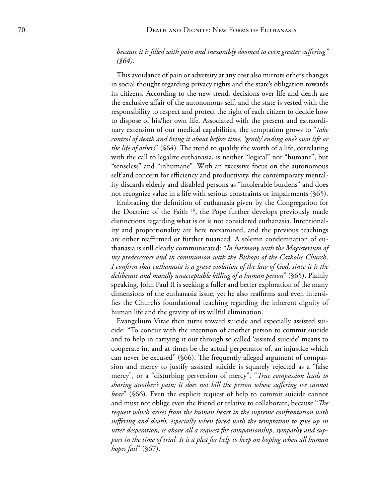### *because it is filled with pain and inexorably doomed to even greater suffering" (§64).*

This avoidance of pain or adversity at any cost also mirrors others changes in social thought regarding privacy rights and the state's obligation towards its citizens. According to the new trend, decisions over life and death are the exclusive affair of the autonomous self, and the state is vested with the responsibility to respect and protect the right of each citizen to decide how to dispose of his/her own life. Associated with the present and extraordi nary extension of our medical capabilities, the temptation grows to "*take control of death and bring it about before time, 'gently' ending one's own life or the life of others*" (§64). The trend to qualify the worth of a life, correlating with the call to legalize euthanasia, is neither "logical" nor "humane", but "senseless" and "inhumane". With an excessive focus on the autonomous self and concern for efficiency and productivity, the contemporary mental ity discards elderly and disabled persons as "intolerable burdens" and does not recognize value in a life with serious constraints or impairments (§65).

Embracing the definition of euthanasia given by the Congregation for the Doctrine of the Faith <sup>16</sup>, the Pope further develops previously made distinctions regarding what is or is not considered euthanasia. Intentional ity and proportionality are here reexamined, and the previous teachings are either reaffirmed or further nuanced. A solemn condemnation of eu thanasia is still clearly communicated: "*In harmony with the Magisterium of my predecessors and in communion with the Bishops of the Catholic Church, I confirm that euthanasia is a grave violation of the law of God, since it is the deliberate and morally unacceptable killing of a human person*" (§65). Plainly speaking, John Paul II is seeking a fuller and better exploration of the many dimensions of the euthanasia issue, yet he also reaffirms and even intensi fies the Church's foundational teaching regarding the inherent dignity of human life and the gravity of its willful elimination.

Evangelium Vitae then turns toward suicide and especially assisted sui cide: "To concur with the intention of another person to commit suicide and to help in carrying it out through so called 'assisted suicide' means to cooperate in, and at times be the actual perpetrator of, an injustice which can never be excused" (§66). The frequently alleged argument of compas sion and mercy to justify assisted suicide is squarely rejected as a "false mercy", or a "disturbing perversion of mercy". "*True compassion leads to sharing another's pain; it does not kill the person whose suffering we cannot bear*" (§66). Even the explicit request of help to commit suicide cannot and must not oblige even the friend or relative to collaborate, because "*The request which arises from the human heart in the supreme confrontation with suffering and death, especially when faced with the temptation to give up in utter desperation, is above all a request for companionship, sympathy and sup port in the time of trial. It is a plea for help to keep on hoping when all human hopes fail*" (§67).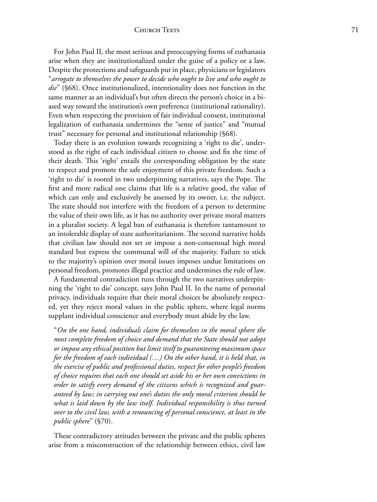#### Church Texts 71

For John Paul II, the most serious and preoccupying forms of euthanasia arise when they are institutionalized under the guise of a policy or a law. Despite the protections and safeguards put in place, physicians or legislators "*arrogate to themselves the power to decide who ought to live and who ought to die*" (§68). Once institutionalized, intentionality does not function in the same manner as an individual's but often directs the person's choice in a bi ased way toward the institution's own preference (institutional rationality). Even when respecting the provision of fair individual consent, institutional legalization of euthanasia undermines the "sense of justice" and "mutual trust" necessary for personal and institutional relationship (§68).

Today there is an evolution towards recognizing a 'right to die', under stood as the right of each individual citizen to choose and fix the time of their death. This 'right' entails the corresponding obligation by the state to respect and promote the safe enjoyment of this private freedom. Such a 'right to die' is rooted in two underpinning narratives, says the Pope. The first and more radical one claims that life is a relative good, the value of which can only and exclusively be assessed by its owner, i.e. the subject. The state should not interfere with the freedom of a person to determine the value of their own life, as it has no authority over private moral matters in a pluralist society. A legal ban of euthanasia is therefore tantamount to an intolerable display of state authoritarianism. The second narrative holds that civilian law should not set or impose a non-consensual high moral standard but express the communal will of the majority. Failure to stick to the majority's opinion over moral issues imposes undue limitations on personal freedom, promotes illegal practice and undermines the rule of law.

A fundamental contradiction runs through the two narratives underpin ning the 'right to die' concept, says John Paul II. In the name of personal privacy, individuals require that their moral choices be absolutely respect ed, yet they reject moral values in the public sphere, where legal norms supplant individual conscience and everybody must abide by the law. "*On the one hand, individuals claim for themselves in the moral sphere the* 

*most complete freedom of choice and demand that the State should not adopt or impose any ethical position but limit itself to guaranteeing maximum space for the freedom of each individual (…) On the other hand, it is held that, in the exercise of public and professional duties, respect for other people's freedom of choice requires that each one should set aside his or her own convictions in order to satisfy every demand of the citizens which is recognized and guaranteed by law; in carrying out one's duties the only moral criterion should be what is laid down by the law itself. Individual responsibility is thus turned over to the civil law, with a renouncing of personal conscience, at least in the public sphere*" (§70).

These contradictory attitudes between the private and the public spheres arise from a misconstruction of the relationship between ethics, civil law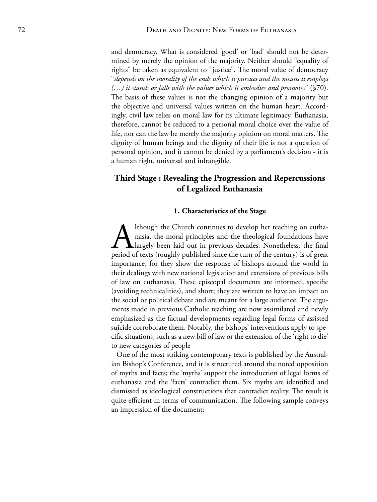and democracy. What is considered 'good' or 'bad' should not be deter mined by merely the opinion of the majority. Neither should "equality of rights" be taken as equivalent to "justice". The moral value of democracy "*depends on the morality of the ends which it pursues and the means it employs (…) it stands or falls with the values which it embodies and promotes*" (§70). The basis of these values is not the changing opinion of a majority but the objective and universal values written on the human heart. Accord ingly, civil law relies on moral law for its ultimate legitimacy. Euthanasia, therefore, cannot be reduced to a personal moral choice over the value of life, nor can the law be merely the majority opinion on moral matters. The dignity of human beings and the dignity of their life is not a question of personal opinion, and it cannot be denied by a parliament's decision - it is a human right, universal and infrangible.

### **Third Stage : Revealing the Progression and Repercussions of Legalized Euthanasia**

### **1. Characteristics of the Stage**

Ithough the Church continues to develop her teaching on eutha<br>nasia, the moral principles and the theological foundations have<br>period of texts (roughly published since the turn of the century) is of great Ithough the Church continues to develop her teaching on euthanasia, the moral principles and the theological foundations have largely been laid out in previous decades. Nonetheless, the final period of texts (roughly published since the turn of the century) is of great importance, for they show the response of bishops around the world in their dealings with new national legislation and extensions of previous bills of law on euthanasia. These episcopal documents are informed, specific (avoiding technicalities), and short; they are written to have an impact on the social or political debate and are meant for a large audience. The argu ments made in previous Catholic teaching are now assimilated and newly emphasized as the factual developments regarding legal forms of assisted suicide corroborate them. Notably, the bishops' interventions apply to spe cific situations, such as a new bill of law or the extension of the 'right to die' to new categories of people

One of the most striking contemporary texts is published by the Austral ian Bishop's Conference, and it is structured around the noted opposition of myths and facts; the 'myths' support the introduction of legal forms of euthanasia and the 'facts' contradict them. Six myths are identified and dismissed as ideological constructions that contradict reality. The result is quite efficient in terms of communication. The following sample conveys an impression of the document: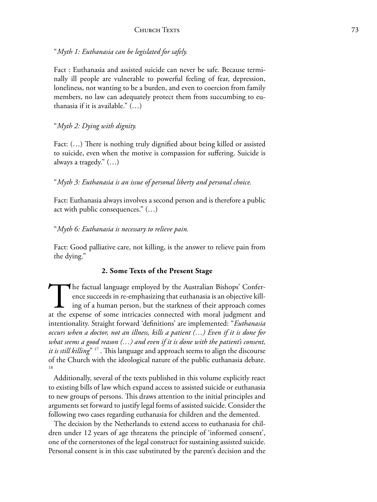### Church Texts 73

### "*Myth 1: Euthanasia can be legislated for safely.*

Fact : Euthanasia and assisted suicide can never be safe. Because terminally ill people are vulnerable to powerful feeling of fear, depression, loneliness, not wanting to be a burden, and even to coercion from family members, no law can adequately protect them from succumbing to euthanasia if it is available." (…)

### "*Myth 2: Dying with dignity.*

Fact: (…) There is nothing truly dignified about being killed or assisted to suicide, even when the motive is compassion for suffering. Suicide is always a tragedy." (…)

### "*Myth 3: Euthanasia is an issue of personal liberty and personal choice.*

Fact: Euthanasia always involves a second person and is therefore a public act with public consequences." (…)

### "*Myth 6: Euthanasia is necessary to relieve pain.*

Fact: Good palliative care, not killing, is the answer to relieve pain from the dying."

### **2. Some Texts of the Present Stage**

The factual language employed by the Australian Bishops' Conference succeeds in re-emphasizing that euthanasia is an objective killing of a human person, but the starkness of their approach comes at the expense of some int ence succeeds in re-emphasizing that euthanasia is an objective killing of a human person, but the starkness of their approach comes at the expense of some intricacies connected with moral judgment and intentionality. Straight forward 'definitions' are implemented: "*Euthanasia occurs when a doctor, not an illness, kills a patient (…) Even if it is done for what seems a good reason (…) and even if it is done with the patient's consent, it is still killing*" 17 . This language and approach seems to align the discourse of the Church with the ideological nature of the public euthanasia debate. 18

Additionally, several of the texts published in this volume explicitly react to existing bills of law which expand access to assisted suicide or euthanasia to new groups of persons. This draws attention to the initial principles and arguments set forward to justify legal forms of assisted suicide. Consider the following two cases regarding euthanasia for children and the demented.

The decision by the Netherlands to extend access to euthanasia for children under 12 years of age threatens the principle of 'informed consent', one of the cornerstones of the legal construct for sustaining assisted suicide. Personal consent is in this case substituted by the parent's decision and the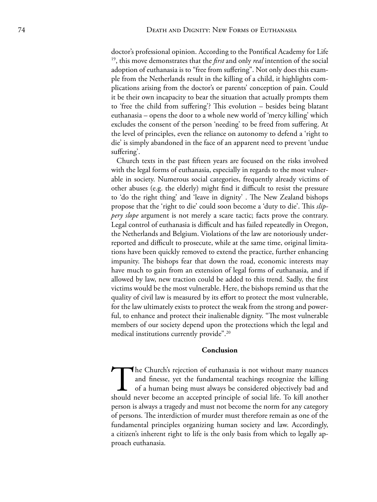doctor's professional opinion. According to the Pontifical Academy for Life 19, this move demonstrates that the *first* and only *real* intention of the social adoption of euthanasia is to "free from suffering". Not only does this exam ple from the Netherlands result in the killing of a child, it highlights com plications arising from the doctor's or parents' conception of pain. Could it be their own incapacity to bear the situation that actually prompts them to 'free the child from suffering'? This evolution – besides being blatant euthanasia – opens the door to a whole new world of 'mercy killing' which excludes the consent of the person 'needing' to be freed from suffering. At the level of principles, even the reliance on autonomy to defend a 'right to die' is simply abandoned in the face of an apparent need to prevent 'undue suffering'.

Church texts in the past fifteen years are focused on the risks involved with the legal forms of euthanasia, especially in regards to the most vulner able in society. Numerous social categories, frequently already victims of other abuses (e.g. the elderly) might find it difficult to resist the pressure to 'do the right thing' and 'leave in dignity' . The New Zealand bishops propose that the 'right to die' could soon become a 'duty to die'. This *slip pery slope* argument is not merely a scare tactic; facts prove the contrary. Legal control of euthanasia is difficult and has failed repeatedly in Oregon, the Netherlands and Belgium. Violations of the law are notoriously underreported and difficult to prosecute, while at the same time, original limitations have been quickly removed to extend the practice, further enhancing impunity. The bishops fear that down the road, economic interests may have much to gain from an extension of legal forms of euthanasia, and if allowed by law, new traction could be added to this trend. Sadly, the first victims would be the most vulnerable. Here, the bishops remind us that the quality of civil law is measured by its effort to protect the most vulnerable, for the law ultimately exists to protect the weak from the strong and power ful, to enhance and protect their inalienable dignity. "The most vulnerable members of our society depend upon the protections which the legal and medical institutions currently provide".20

#### **Conclusion**

The Church's rejection of euthanasia is not without many nuances<br>and finesse, yet the fundamental teachings recognize the killing<br>of a human being must always be considered objectively bad and<br>should never become an accept and finesse, yet the fundamental teachings recognize the killing of a human being must always be considered objectively bad and should never become an accepted principle of social life. To kill another person is always a tragedy and must not become the norm for any category of persons. The interdiction of murder must therefore remain as one of the fundamental principles organizing human society and law. Accordingly, a citizen's inherent right to life is the only basis from which to legally ap proach euthanasia.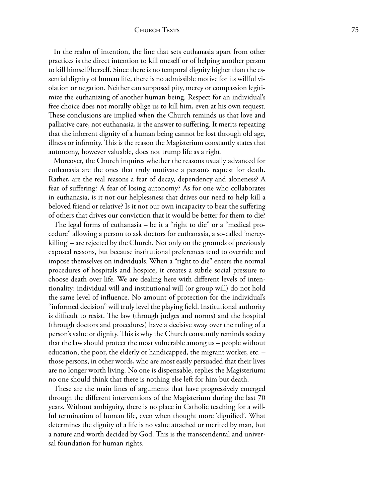#### Church Texts 75

In the realm of intention, the line that sets euthanasia apart from other practices is the direct intention to kill oneself or of helping another person to kill himself/herself. Since there is no temporal dignity higher than the es sential dignity of human life, there is no admissible motive for its willful vi olation or negation. Neither can supposed pity, mercy or compassion legiti mize the euthanizing of another human being. Respect for an individual's free choice does not morally oblige us to kill him, even at his own request. These conclusions are implied when the Church reminds us that love and palliative care, not euthanasia, is the answer to suffering. It merits repeating that the inherent dignity of a human being cannot be lost through old age, illness or infirmity. This is the reason the Magisterium constantly states that autonomy, however valuable, does not trump life as a right.

Moreover, the Church inquires whether the reasons usually advanced for euthanasia are the ones that truly motivate a person's request for death. Rather, are the real reasons a fear of decay, dependency and aloneness? A fear of suffering? A fear of losing autonomy? As for one who collaborates in euthanasia, is it not our helplessness that drives our need to help kill a beloved friend or relative? Is it not our own incapacity to bear the suffering of others that drives our conviction that it would be better for them to die?

The legal forms of euthanasia – be it a "right to die" or a "medical pro cedure" allowing a person to ask doctors for euthanasia, a so-called 'mercykilling' – are rejected by the Church. Not only on the grounds of previously exposed reasons, but because institutional preferences tend to override and impose themselves on individuals. When a "right to die" enters the normal procedures of hospitals and hospice, it creates a subtle social pressure to choose death over life. We are dealing here with different levels of inten tionality: individual will and institutional will (or group will) do not hold the same level of influence. No amount of protection for the individual's "informed decision" will truly level the playing field. Institutional authority is difficult to resist. The law (through judges and norms) and the hospital (through doctors and procedures) have a decisive sway over the ruling of a person's value or dignity. This is why the Church constantly reminds society that the law should protect the most vulnerable among us – people without education, the poor, the elderly or handicapped, the migrant worker, etc. – those persons, in other words, who are most easily persuaded that their lives are no longer worth living. No one is dispensable, replies the Magisterium; no one should think that there is nothing else left for him but death.

These are the main lines of arguments that have progressively emerged through the different interventions of the Magisterium during the last 70 years. Without ambiguity, there is no place in Catholic teaching for a will ful termination of human life, even when thought more 'dignified'. What determines the dignity of a life is no value attached or merited by man, but a nature and worth decided by God. This is the transcendental and univer sal foundation for human rights.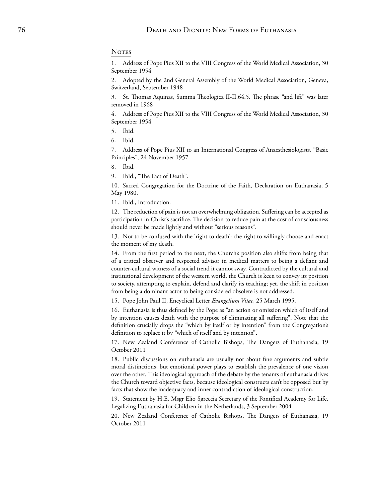#### **Notes**

1. Address of Pope Pius XII to the VIII Congress of the World Medical Association, 30 September 1954

2. Adopted by the 2nd General Assembly of the World Medical Association, Geneva, Switzerland, September 1948

3. St. Thomas Aquinas, Summa Theologica II-II.64.5. The phrase "and life" was later removed in 1968

4. Address of Pope Pius XII to the VIII Congress of the World Medical Association, 30 September 1954

5. Ibid.

6. Ibid.

7. Address of Pope Pius XII to an International Congress of Anaesthesiologists, "Basic Principles", 24 November 1957

- 8. Ibid.
- 9. Ibid., "The Fact of Death".

10. Sacred Congregation for the Doctrine of the Faith, Declaration on Euthanasia, 5 May 1980.

11. Ibid., Introduction.

12. The reduction of pain is not an overwhelming obligation. Suffering can be accepted as participation in Christ's sacrifice. The decision to reduce pain at the cost of consciousness should never be made lightly and without "serious reasons".

13. Not to be confused with the 'right to death'- the right to willingly choose and enact the moment of my death.

14. From the first period to the next, the Church's position also shifts from being that of a critical observer and respected advisor in medical matters to being a defiant and counter-cultural witness of a social trend it cannot sway. Contradicted by the cultural and institutional development of the western world, the Church is keen to convey its position to society, attempting to explain, defend and clarify its teaching; yet, the shift in position from being a dominant actor to being considered obsolete is not addressed.

15. Pope John Paul II, Encyclical Letter *Evangelium Vitae*, 25 March 1995.

16. Euthanasia is thus defined by the Pope as "an action or omission which of itself and by intention causes death with the purpose of eliminating all suffering". Note that the definition crucially drops the "which by itself or by intention" from the Congregation's definition to replace it by "which of itself and by intention".

17. New Zealand Conference of Catholic Bishops, The Dangers of Euthanasia, 19 October 2011

18. Public discussions on euthanasia are usually not about fine arguments and subtle moral distinctions, but emotional power plays to establish the prevalence of one vision over the other. This ideological approach of the debate by the tenants of euthanasia drives the Church toward objective facts, because ideological constructs can't be opposed but by facts that show the inadequacy and inner contradiction of ideological construction.

19. Statement by H.E. Msgr Elio Sgreccia Secretary of the Pontifical Academy for Life, Legalizing Euthanasia for Children in the Netherlands, 3 September 2004

20. New Zealand Conference of Catholic Bishops, The Dangers of Euthanasia, 19 October 2011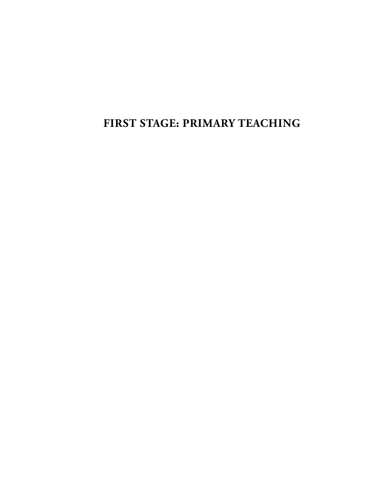**FIRST STAGE: PRIMARY TEACHING**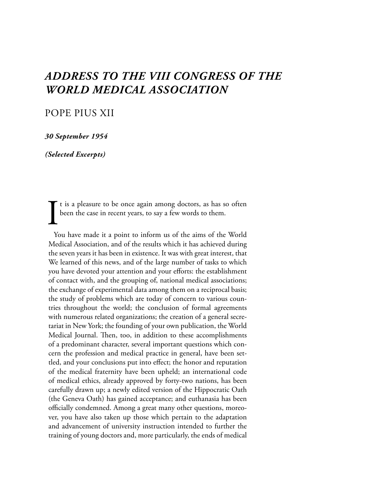# *ADDRESS TO THE VIII CONGRESS OF THE WORLD MEDICAL ASSOCIATION*

### POPE PIUS XII

### *30 September 1954*

### *(Selected Excerpts)*

I It is a pleasure to be once again among doctors, as has so often been the case in recent years, to say a few words to them.

You have made it a point to inform us of the aims of the World Medical Association, and of the results which it has achieved during the seven years it has been in existence. It was with great interest, that We learned of this news, and of the large number of tasks to which you have devoted your attention and your efforts: the establishment of contact with, and the grouping of, national medical associations; the exchange of experimental data among them on a reciprocal basis; the study of problems which are today of concern to various countries throughout the world; the conclusion of formal agreements with numerous related organizations; the creation of a general secretariat in New York; the founding of your own publication, the World Medical Journal. Then, too, in addition to these accomplishments of a predominant character, several important questions which concern the profession and medical practice in general, have been settled, and your conclusions put into effect; the honor and reputation of the medical fraternity have been upheld; an international code of medical ethics, already approved by forty-two nations, has been carefully drawn up; a newly edited version of the Hippocratic Oath (the Geneva Oath) has gained acceptance; and euthanasia has been officially condemned. Among a great many other questions, moreover, you have also taken up those which pertain to the adaptation and advancement of university instruction intended to further the training of young doctors and, more particularly, the ends of medical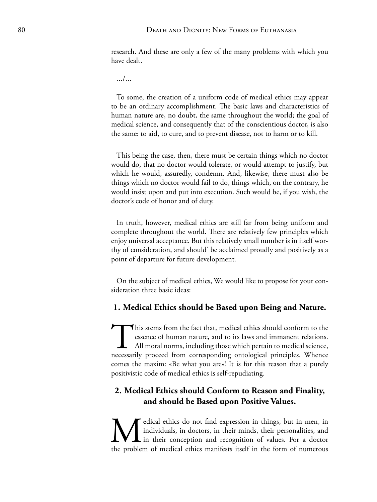research. And these are only a few of the many problems with which you have dealt.

.../...

To some, the creation of a uniform code of medical ethics may appear to be an ordinary accomplishment. The basic laws and characteristics of human nature are, no doubt, the same throughout the world; the goal of medical science, and consequently that of the conscientious doctor, is also the same: to aid, to cure, and to prevent disease, not to harm or to kill.

This being the case, then, there must be certain things which no doctor would do, that no doctor would tolerate, or would attempt to justify, but which he would, assuredly, condemn. And, likewise, there must also be things which no doctor would fail to do, things which, on the contrary, he would insist upon and put into execution. Such would be, if you wish, the doctor's code of honor and of duty.

In truth, however, medical ethics are still far from being uniform and complete throughout the world. There are relatively few principles which enjoy universal acceptance. But this relatively small number is in itself worthy of consideration, and should' be acclaimed proudly and positively as a point of departure for future development.

On the subject of medical ethics, We would like to propose for your consideration three basic ideas:

### **1. Medical Ethics should be Based upon Being and Nature.**

This stems from the fact that, medical ethics should conform to the essence of human nature, and to its laws and immanent relations.<br>All moral norms, including those which pertain to medical science, necessarily proceed fr essence of human nature, and to its laws and immanent relations. All moral norms, including those which pertain to medical science, necessarily proceed from corresponding ontological principles. Whence comes the maxim: «Be what you are»! It is for this reason that a purely positivistic code of medical ethics is self-repudiating.

### **2. Medical Ethics should Conform to Reason and Finality, and should be Based upon Positive Values.**

Medical ethics do not find expression in things, but in men, in individuals, in doctors, in their minds, their personalities, and in their conception and recognition of values. For a doctor the problem of medical ethics ma individuals, in doctors, in their minds, their personalities, and in their conception and recognition of values. For a doctor the problem of medical ethics manifests itself in the form of numerous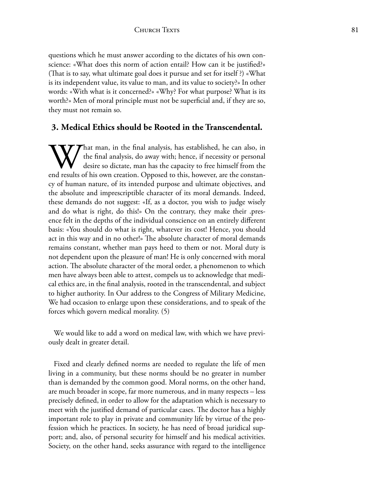questions which he must answer according to the dictates of his own conscience: «What does this norm of action entail? How can it be justified?» (That is to say, what ultimate goal does it pursue and set for itself ?) «What is its independent value, its value to man, and its value to society?» In other words: «With what is it concerned?» «Why? For what purpose? What is its worth?» Men of moral principle must not be superficial and, if they are so, they must not remain so.

## **3. Medical Ethics should be Rooted in the Transcendental.**

What man, in the final analysis, has established, he can also, in the final analysis, do away with; hence, if necessity or personal desire so dictate, man has the capacity to free himself from the end results of his own cr the final analysis, do away with; hence, if necessity or personal desire so dictate, man has the capacity to free himself from the end results of his own creation. Opposed to this, however, are the constancy of human nature, of its intended purpose and ultimate objectives, and the absolute and imprescriptible character of its moral demands. Indeed, these demands do not suggest: «If, as a doctor, you wish to judge wisely and do what is right, do this!» On the contrary, they make their .presence felt in the depths of the individual conscience on an entirely different basis: «You should do what is right, whatever its cost! Hence, you should act in this way and in no other!» The absolute character of moral demands remains constant, whether man pays heed to them or not. Moral duty is not dependent upon the pleasure of man! He is only concerned with moral action. The absolute character of the moral order, a phenomenon to which men have always been able to attest, compels us to acknowledge that medical ethics are, in the final analysis, rooted in the transcendental, and subject to higher authority. In Our address to the Congress of Military Medicine, We had occasion to enlarge upon these considerations, and to speak of the forces which govern medical morality. (5)

We would like to add a word on medical law, with which we have previously dealt in greater detail.

Fixed and clearly defined norms are needed to regulate the life of men living in a community, but these norms should be no greater in number than is demanded by the common good. Moral norms, on the other hand, are much broader in scope, far more numerous, and in many respects – less precisely defined, in order to allow for the adaptation which is necessary to meet with the justified demand of particular cases. The doctor has a highly important role to play in private and community life by virtue of the profession which he practices. In society, he has need of broad juridical support; and, also, of personal security for himself and his medical activities. Society, on the other hand, seeks assurance with regard to the intelligence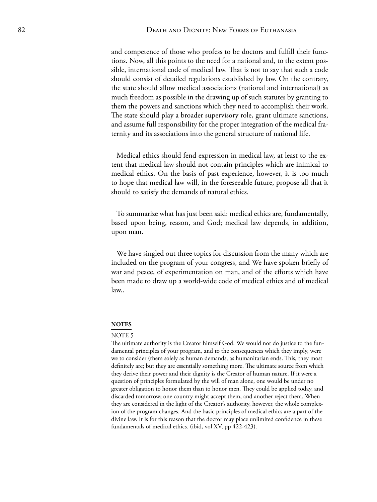and competence of those who profess to be doctors and fulfill their functions. Now, all this points to the need for a national and, to the extent possible, international code of medical law. That is not to say that such a code should consist of detailed regulations established by law. On the contrary, the state should allow medical associations (national and international) as much freedom as possible in the drawing up of such statutes by granting to them the powers and sanctions which they need to accomplish their work. The state should play a broader supervisory role, grant ultimate sanctions, and assume full responsibility for the proper integration of the medical fraternity and its associations into the general structure of national life.

Medical ethics should fend expression in medical law, at least to the extent that medical law should not contain principles which are inimical to medical ethics. On the basis of past experience, however, it is too much to hope that medical law will, in the foreseeable future, propose all that it should to satisfy the demands of natural ethics.

To summarize what has just been said: medical ethics are, fundamentally, based upon being, reason, and God; medical law depends, in addition, upon man.

We have singled out three topics for discussion from the many which are included on the program of your congress, and We have spoken briefly of war and peace, of experimentation on man, and of the efforts which have been made to draw up a world-wide code of medical ethics and of medical law..

#### **notes**

#### NOTE 5

The ultimate authority is the Creator himself God. We would not do justice to the fundamental principles of your program, and to the consequences which they imply, were we to consider (them solely as human demands, as humanitarian ends. This, they most definitely are; but they are essentially something more. The ultimate source from which they derive their power and their dignity is the Creator of human nature. If it were a question of principles formulated by the will of man alone, one would be under no greater obligation to honor them than to honor men. They could be applied today, and discarded tomorrow; one country might accept them, and another reject them. When they are considered in the light of the Creator's authority, however, the whole complexion of the program changes. And the basic principles of medical ethics are a part of the divine law. It is for this reason that the doctor may place unlimited confidence in these fundamentals of medical ethics. (ibid, vol XV, pp 422-423).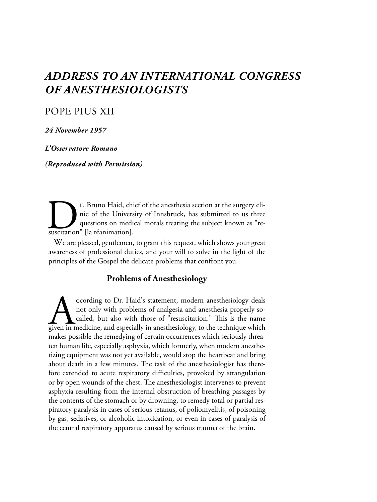# *ADDRESS TO AN INTERNATIONAL CONGRESS OF ANESTHESIOLOGISTS*

## POPE PIUS XII

#### *24 November 1957*

#### *L'Osservatore Romano*

*(Reproduced with Permission)* 

r. Bruno Haid, chief of the anesthesia section at the surgery clinic of the University of Innsbruck, has submitted to us three questions on medical morals treating the subject known as "resuscitation" [la réanimation]. nic of the University of Innsbruck, has submitted to us three questions on medical morals treating the subject known as "resuscitation" [la réanimation].

We are pleased, gentlemen, to grant this request, which shows your great awareness of professional duties, and your will to solve in the light of the principles of the Gospel the delicate problems that confront you.

## **Problems of Anesthesiology**

Cording to Dr. Haid's statement, modern anesthesiology deals not only with problems of analgesia and anesthesia properly so-<br>called, but also with those of "resuscitation." This is the name<br>given in medicine, and especiall not only with problems of analgesia and anesthesia properly socalled, but also with those of "resuscitation." This is the name given in medicine, and especially in anesthesiology, to the technique which makes possible the remedying of certain occurrences which seriously threaten human life, especially asphyxia, which formerly, when modern anesthetizing equipment was not yet available, would stop the heartbeat and bring about death in a few minutes. The task of the anesthesiologist has therefore extended to acute respiratory difficulties, provoked by strangulation or by open wounds of the chest. The anesthesiologist intervenes to prevent asphyxia resulting from the internal obstruction of breathing passages by the contents of the stomach or by drowning, to remedy total or partial respiratory paralysis in cases of serious tetanus, of poliomyelitis, of poisoning by gas, sedatives, or alcoholic intoxication, or even in cases of paralysis of the central respiratory apparatus caused by serious trauma of the brain.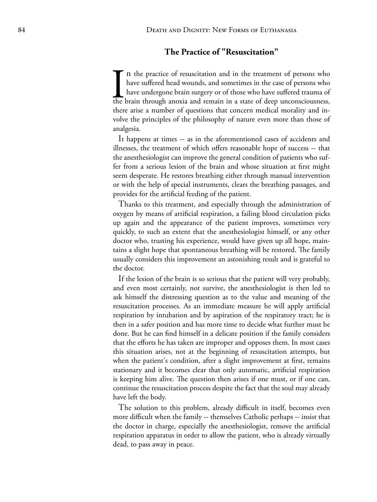#### **The Practice of "Resuscitation"**

In the practice of resuscitation and in the treatment of persons who have suffered head wounds, and sometimes in the case of persons who have undergone brain surgery or of those who have suffered trauma of the brain throug n the practice of resuscitation and in the treatment of persons who have suffered head wounds, and sometimes in the case of persons who have undergone brain surgery or of those who have suffered trauma of there arise a number of questions that concern medical morality and in volve the principles of the philosophy of nature even more than those of analgesia. It happens at times -- as in the aforementioned cases of accidents and

illnesses, the treatment of which offers reasonable hope of success -- that the anesthesiologist can improve the general condition of patients who suffer from a serious lesion of the brain and whose situation at first might seem desperate. He restores breathing either through manual intervention or with the help of special instruments, clears the breathing passages, and provides for the artificial feeding of the patient. Thanks to this treatment, and especially through the administration of

oxygen by means of artificial respiration, a failing blood circulation picks up again and the appearance of the patient improves, sometimes very quickly, to such an extent that the anesthesiologist himself, or any other doctor who, trusting his experience, would have given up all hope, main tains a slight hope that spontaneous breathing will be restored. The family usually considers this improvement an astonishing result and is grateful to the doctor.<br>If the lesion of the brain is so serious that the patient will very probably,

and even most certainly, not survive, the anesthesiologist is then led to ask himself the distressing question as to the value and meaning of the resuscitation processes. As an immediate measure he will apply artificial respiration by intubation and by aspiration of the respiratory tract; he is then in a safer position and has more time to decide what further must be done. But he can find himself in a delicate position if the family considers that the efforts he has taken are improper and opposes them. In most cases this situation arises, not at the beginning of resuscitation attempts, but when the patient's condition, after a slight improvement at first, remains stationary and it becomes clear that only automatic, artificial respiration is keeping him alive. The question then arises if one must, or if one can, continue the resuscitation process despite the fact that the soul may already

have left the body. The solution to this problem, already difficult in itself, becomes even more difficult when the family -- themselves Catholic perhaps -- insist that the doctor in charge, especially the anesthesiologist, remove the artificial respiration apparatus in order to allow the patient, who is already virtually dead, to pass away in peace.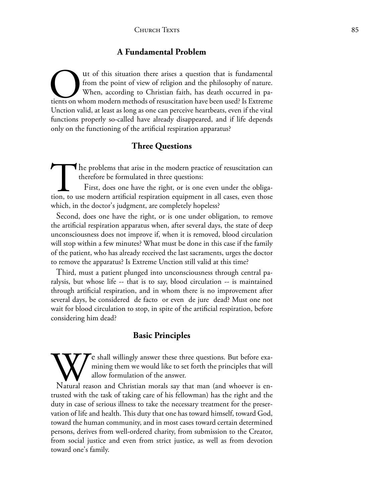## **A Fundamental Problem**

It of this situation there arises a question that is fundamental<br>from the point of view of religion and the philosophy of nature.<br>When, according to Christian faith, has death occurred in pa-<br>tients on whom modern methods from the point of view of religion and the philosophy of nature. When, according to Christian faith, has death occurred in pa-Unction valid, at least as long as one can perceive heartbeats, even if the vital functions properly so-called have already disappeared, and if life depends only on the functioning of the artificial respiration apparatus?

## **Three Questions**

therefore be formulated in three questions:

The problems that arise in the modern practice of resuscitation can therefore be formulated in three questions:<br>First, does one have the right, or is one even under the obligation, to use modern artificial respiration equi First, does one have the right, or is one even under the obligawhich, in the doctor's judgment, are completely hopeless?

Second, does one have the right, or is one under obligation, to remove the artificial respiration apparatus when, after several days, the state of deep unconsciousness does not improve if, when it is removed, blood circulation will stop within a few minutes? What must be done in this case if the family of the patient, who has already received the last sacraments, urges the doctor to remove the apparatus? Is Extreme Unction still valid at this time?

Third, must a patient plunged into unconsciousness through central paralysis, but whose life -- that is to say, blood circulation -- is maintained through artificial respiration, and in whom there is no improvement after several days, be considered de facto or even de jure dead? Must one not wait for blood circulation to stop, in spite of the artificial respiration, before considering him dead?

#### **Basic Principles**

e shall willingly answer these three questions. But before examining them we would like to set forth the principles that will allow formulation of the answer.

Natural reason and Christian morals say that man (and whoever is entrusted with the task of taking care of his fellowman) has the right and the duty in case of serious illness to take the necessary treatment for the preservation of life and health. This duty that one has toward himself, toward God, toward the human community, and in most cases toward certain determined persons, derives from well-ordered charity, from submission to the Creator, from social justice and even from strict justice, as well as from devotion toward one's family.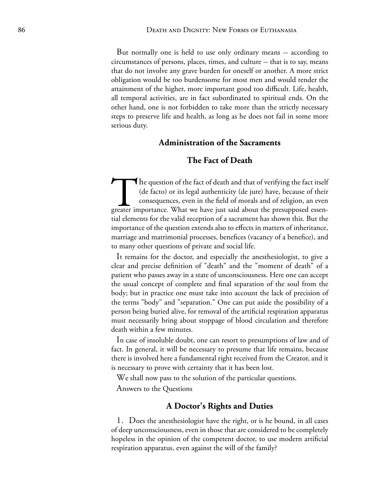But normally one is held to use only ordinary means -- according to circumstances of persons, places, times, and culture -- that is to say, means that do not involve any grave burden for oneself or another. A more strict obligation would be too burdensome for most men and would render the attainment of the higher, more important good too difficult. Life, health, all temporal activities, are in fact subordinated to spiritual ends. On the other hand, one is not forbidden to take more than the strictly necessary steps to preserve life and health, as long as he does not fail in some more serious duty.

## **Administration of the Sacraments**

## **The Fact of Death**

The question of the fact of death and that of verifying the fact itself (de facto) or its legal authenticity (de jure) have, because of their consequences, even in the field of morals and of religion, an even greater impor (de facto) or its legal authenticity (de jure) have, because of their consequences, even in the field of morals and of religion, an even tial elements for the valid reception of a sacrament has shown this. But the importance of the question extends also to effects in matters of inheritance, marriage and matrimonial processes, benefices (vacancy of a benefice), and to many other questions of private and social life.

It remains for the doctor, and especially the anesthesiologist, to give a clear and precise definition of "death" and the "moment of death" of a patient who passes away in a state of unconsciousness. Here one can accept the usual concept of complete and final separation of the soul from the body; but in practice one must take into account the lack of precision of the terms "body" and "separation." One can put aside the possibility of a person being buried alive, for removal of the artificial respiration apparatus must necessarily bring about stoppage of blood circulation and therefore death within a few minutes.

In case of insoluble doubt, one can resort to presumptions of law and of fact. In general, it will be necessary to presume that life remains, because there is involved here a fundamental right received from the Creator, and it is necessary to prove with certainty that it has been lost.

We shall now pass to the solution of the particular questions.

Answers to the Questions

#### **A Doctor's Rights and Duties**

1. Does the anesthesiologist have the right, or is he bound, in all cases of deep unconsciousness, even in those that are considered to be completely hopeless in the opinion of the competent doctor, to use modern artificial respiration apparatus, even against the will of the family?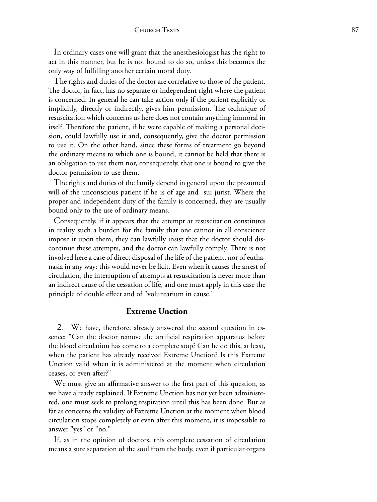In ordinary cases one will grant that the anesthesiologist has the right to act in this manner, but he is not bound to do so, unless this becomes the only way of fulfilling another certain moral duty. The rights and duties of the doctor are correlative to those of the patient.

The doctor, in fact, has no separate or independent right where the patient is concerned. In general he can take action only if the patient explicitly or implicitly, directly or indirectly, gives him permission. The technique of resuscitation which concerns us here does not contain anything immoral in itself. Therefore the patient, if he were capable of making a personal deci sion, could lawfully use it and, consequently, give the doctor permission to use it. On the other hand, since these forms of treatment go beyond the ordinary means to which one is bound, it cannot be held that there is an obligation to use them nor, consequently, that one is bound to give the doctor permission to use them. The rights and duties of the family depend in general upon the presumed

will of the unconscious patient if he is of age and sui jurist. Where the proper and independent duty of the family is concerned, they are usually bound only to the use of ordinary means.<br>Consequently, if it appears that the attempt at resuscitation constitutes

in reality such a burden for the family that one cannot in all conscience impose it upon them, they can lawfully insist that the doctor should dis continue these attempts, and the doctor can lawfully comply. There is not involved here a case of direct disposal of the life of the patient, nor of eutha nasia in any way: this would never be licit. Even when it causes the arrest of circulation, the interruption of attempts at resuscitation is never more than an indirect cause of the cessation of life, and one must apply in this case the principle of double effect and of "voluntarium in cause."

## **Extreme Unction**

2. We have, therefore, already answered the second question in essence: "Can the doctor remove the artificial respiration apparatus before the blood circulation has come to a complete stop? Can he do this, at least, when the patient has already received Extreme Unction? Is this Extreme Unction valid when it is administered at the moment when circulation ceases, or even after?" We must give an affirmative answer to the first part of this question, as

we have already explained. If Extreme Unction has not yet been administe red, one must seek to prolong respiration until this has been done. But as far as concerns the validity of Extreme Unction at the moment when blood circulation stops completely or even after this moment, it is impossible to answer "yes" or "no." If, as in the opinion of doctors, this complete cessation of circulation

means a sure separation of the soul from the body, even if particular organs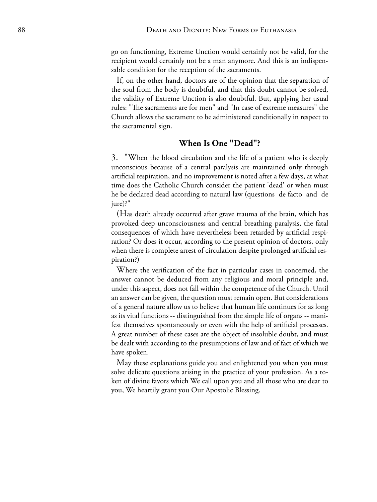go on functioning, Extreme Unction would certainly not be valid, for the recipient would certainly not be a man anymore. And this is an indispen sable condition for the reception of the sacraments. If, on the other hand, doctors are of the opinion that the separation of

the soul from the body is doubtful, and that this doubt cannot be solved, the validity of Extreme Unction is also doubtful. But, applying her usual rules: "The sacraments are for men" and "In case of extreme measures" the Church allows the sacrament to be administered conditionally in respect to the sacramental sign.

#### **When Is One "Dead"?**

3. "When the blood circulation and the life of a patient who is deeply unconscious because of a central paralysis are maintained only through artificial respiration, and no improvement is noted after a few days, at what time does the Catholic Church consider the patient 'dead' or when must he be declared dead according to natural law (questions de facto and de jure)?"

(Has death already occurred after grave trauma of the brain, which has provoked deep unconsciousness and central breathing paralysis, the fatal consequences of which have nevertheless been retarded by artificial respi ration? Or does it occur, according to the present opinion of doctors, only when there is complete arrest of circulation despite prolonged artificial res -

piration?) Where the verification of the fact in particular cases in concerned, the answer cannot be deduced from any religious and moral principle and, under this aspect, does not fall within the competence of the Church. Until an answer can be given, the question must remain open. But considerations of a general nature allow us to believe that human life continues for as long as its vital functions -- distinguished from the simple life of organs -- mani fest themselves spontaneously or even with the help of artificial processes. A great number of these cases are the object of insoluble doubt, and must be dealt with according to the presumptions of law and of fact of which we have spoken.<br>May these explanations guide you and enlightened you when you must

solve delicate questions arising in the practice of your profession. As a to ken of divine favors which We call upon you and all those who are dear to you, We heartily grant you Our Apostolic Blessing.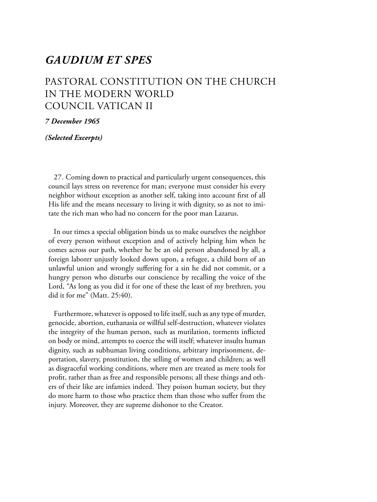# *GAUDIUM ET SPES*

## PASTORAL CONSTITUTION ON THE CHURCH IN THE MODERN WORLD COUNCIL VATICAN II

#### *7 December 1965*

*(Selected Excerpts)*

27. Coming down to practical and particularly urgent consequences, this council lays stress on reverence for man; everyone must consider his every neighbor without exception as another self, taking into account first of all His life and the means necessary to living it with dignity, so as not to imitate the rich man who had no concern for the poor man Lazarus.

In our times a special obligation binds us to make ourselves the neighbor of every person without exception and of actively helping him when he comes across our path, whether he be an old person abandoned by all, a foreign laborer unjustly looked down upon, a refugee, a child born of an unlawful union and wrongly suffering for a sin he did not commit, or a hungry person who disturbs our conscience by recalling the voice of the Lord, "As long as you did it for one of these the least of my brethren, you did it for me" (Matt. 25:40).

Furthermore, whatever is opposed to life itself, such as any type of murder, genocide, abortion, euthanasia or willful self-destruction, whatever violates the integrity of the human person, such as mutilation, torments inflicted on body or mind, attempts to coerce the will itself; whatever insults human dignity, such as subhuman living conditions, arbitrary imprisonment, deportation, slavery, prostitution, the selling of women and children; as well as disgraceful working conditions, where men are treated as mere tools for profit, rather than as free and responsible persons; all these things and others of their like are infamies indeed. They poison human society, but they do more harm to those who practice them than those who suffer from the injury. Moreover, they are supreme dishonor to the Creator.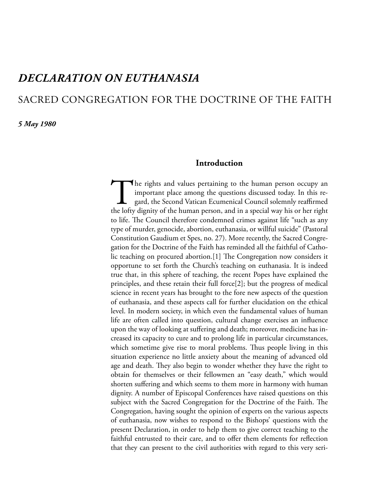## *DECLARATION ON EUTHANASIA*

## SACRED CONGREGATION FOR THE DOCTRINE OF THE FAITH

*5 May 1980*

#### **Introduction**

The rights and values pertaining to the human person occupy an important place among the questions discussed today. In this regard, the Second Vatican Ecumenical Council solemnly reaffirmed the lofty dignity of the human person, and in a special way his or her right to life. The Council therefore condemned crimes against life "such as any type of murder, genocide, abortion, euthanasia, or willful suicide" (Pastoral Constitution Gaudium et Spes, no. 27). More recently, the Sacred Congregation for the Doctrine of the Faith has reminded all the faithful of Catholic teaching on procured abortion.[1] The Congregation now considers it opportune to set forth the Church's teaching on euthanasia. It is indeed true that, in this sphere of teaching, the recent Popes have explained the principles, and these retain their full force[2]; but the progress of medical science in recent years has brought to the fore new aspects of the question of euthanasia, and these aspects call for further elucidation on the ethical level. In modern society, in which even the fundamental values of human life are often called into question, cultural change exercises an influence upon the way of looking at suffering and death; moreover, medicine has increased its capacity to cure and to prolong life in particular circumstances, which sometime give rise to moral problems. Thus people living in this situation experience no little anxiety about the meaning of advanced old age and death. They also begin to wonder whether they have the right to obtain for themselves or their fellowmen an "easy death," which would shorten suffering and which seems to them more in harmony with human dignity. A number of Episcopal Conferences have raised questions on this subject with the Sacred Congregation for the Doctrine of the Faith. The Congregation, having sought the opinion of experts on the various aspects of euthanasia, now wishes to respond to the Bishops' questions with the present Declaration, in order to help them to give correct teaching to the faithful entrusted to their care, and to offer them elements for reflection that they can present to the civil authorities with regard to this very seri-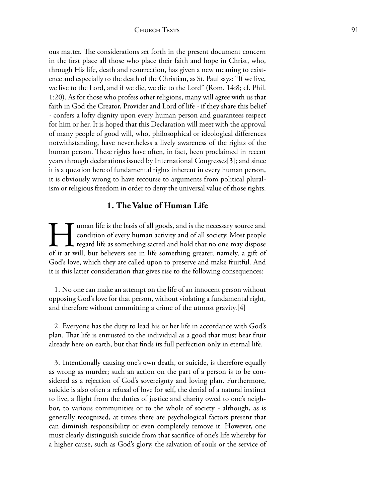ous matter. The considerations set forth in the present document concern in the first place all those who place their faith and hope in Christ, who, through His life, death and resurrection, has given a new meaning to existence and especially to the death of the Christian, as St. Paul says: "If we live, we live to the Lord, and if we die, we die to the Lord" (Rom. 14:8; cf. Phil. 1:20). As for those who profess other religions, many will agree with us that faith in God the Creator, Provider and Lord of life - if they share this belief - confers a lofty dignity upon every human person and guarantees respect for him or her. It is hoped that this Declaration will meet with the approval of many people of good will, who, philosophical or ideological differences notwithstanding, have nevertheless a lively awareness of the rights of the human person. These rights have often, in fact, been proclaimed in recent years through declarations issued by International Congresses[3]; and since it is a question here of fundamental rights inherent in every human person, it is obviously wrong to have recourse to arguments from political pluralism or religious freedom in order to deny the universal value of those rights.

## **1. The Value of Human Life**

I uman life is the basis of all goods, and is the necessary source and condition of every human activity and of all society. Most people regard life as something sacred and hold that no one may dispose of it at will, but b condition of every human activity and of all society. Most people regard life as something sacred and hold that no one may dispose of it at will, but believers see in life something greater, namely, a gift of God's love, which they are called upon to preserve and make fruitful. And it is this latter consideration that gives rise to the following consequences:

1. No one can make an attempt on the life of an innocent person without opposing God's love for that person, without violating a fundamental right, and therefore without committing a crime of the utmost gravity.[4]

2. Everyone has the duty to lead his or her life in accordance with God's plan. That life is entrusted to the individual as a good that must bear fruit already here on earth, but that finds its full perfection only in eternal life.

3. Intentionally causing one's own death, or suicide, is therefore equally as wrong as murder; such an action on the part of a person is to be considered as a rejection of God's sovereignty and loving plan. Furthermore, suicide is also often a refusal of love for self, the denial of a natural instinct to live, a flight from the duties of justice and charity owed to one's neighbor, to various communities or to the whole of society - although, as is generally recognized, at times there are psychological factors present that can diminish responsibility or even completely remove it. However, one must clearly distinguish suicide from that sacrifice of one's life whereby for a higher cause, such as God's glory, the salvation of souls or the service of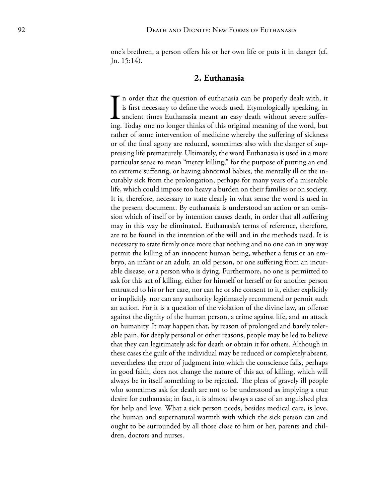one's brethren, a person offers his or her own life or puts it in danger (cf. Jn. 15:14).

#### **2. Euthanasia**

In order that the question of euthanasia can be properly dealt with, it is first necessary to define the words used. Etymologically speaking, in ancient times Euthanasia meant an easy death without severe suffering. Today n order that the question of euthanasia can be properly dealt with, it is first necessary to define the words used. Etymologically speaking, in ancient times Euthanasia meant an easy death without severe suffer rather of some intervention of medicine whereby the suffering of sickness or of the final agony are reduced, sometimes also with the danger of sup pressing life prematurely. Ultimately, the word Euthanasia is used in a more particular sense to mean "mercy killing," for the purpose of putting an end to extreme suffering, or having abnormal babies, the mentally ill or the in curably sick from the prolongation, perhaps for many years of a miserable life, which could impose too heavy a burden on their families or on society. It is, therefore, necessary to state clearly in what sense the word is used in the present document. By euthanasia is understood an action or an omis sion which of itself or by intention causes death, in order that all suffering may in this way be eliminated. Euthanasia's terms of reference, therefore, are to be found in the intention of the will and in the methods used. It is necessary to state firmly once more that nothing and no one can in any way permit the killing of an innocent human being, whether a fetus or an em bryo, an infant or an adult, an old person, or one suffering from an incur able disease, or a person who is dying. Furthermore, no one is permitted to ask for this act of killing, either for himself or herself or for another person entrusted to his or her care, nor can he or she consent to it, either explicitly or implicitly. nor can any authority legitimately recommend or permit such an action. For it is a question of the violation of the divine law, an offense against the dignity of the human person, a crime against life, and an attack on humanity. It may happen that, by reason of prolonged and barely toler able pain, for deeply personal or other reasons, people may be led to believe that they can legitimately ask for death or obtain it for others. Although in these cases the guilt of the individual may be reduced or completely absent, nevertheless the error of judgment into which the conscience falls, perhaps in good faith, does not change the nature of this act of killing, which will always be in itself something to be rejected. The pleas of gravely ill people who sometimes ask for death are not to be understood as implying a true desire for euthanasia; in fact, it is almost always a case of an anguished plea for help and love. What a sick person needs, besides medical care, is love, the human and supernatural warmth with which the sick person can and ought to be surrounded by all those close to him or her, parents and chil dren, doctors and nurses.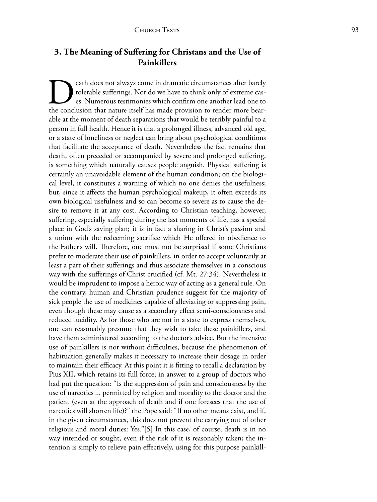## **3. The Meaning of Suffering for Christans and the Use of Painkillers**

eath does not always come in dramatic circumstances after barely tolerable sufferings. Nor do we have to think only of extreme cases. Numerous testimonies which confirm one another lead one to the conclusion that nature it tolerable sufferings. Nor do we have to think only of extreme cas es. Numerous testimonies which confirm one another lead one to the conclusion that nature itself has made provision to render more bear able at the moment of death separations that would be terribly painful to a person in full health. Hence it is that a prolonged illness, advanced old age, or a state of loneliness or neglect can bring about psychological conditions that facilitate the acceptance of death. Nevertheless the fact remains that death, often preceded or accompanied by severe and prolonged suffering, is something which naturally causes people anguish. Physical suffering is certainly an unavoidable element of the human condition; on the biologi cal level, it constitutes a warning of which no one denies the usefulness; but, since it affects the human psychological makeup, it often exceeds its own biological usefulness and so can become so severe as to cause the de sire to remove it at any cost. According to Christian teaching, however, suffering, especially suffering during the last moments of life, has a special place in God's saving plan; it is in fact a sharing in Christ's passion and a union with the redeeming sacrifice which He offered in obedience to the Father's will. Therefore, one must not be surprised if some Christians prefer to moderate their use of painkillers, in order to accept voluntarily at least a part of their sufferings and thus associate themselves in a conscious way with the sufferings of Christ crucified (cf. Mt. 27:34). Nevertheless it would be imprudent to impose a heroic way of acting as a general rule. On the contrary, human and Christian prudence suggest for the majority of sick people the use of medicines capable of alleviating or suppressing pain, even though these may cause as a secondary effect semi-consciousness and reduced lucidity. As for those who are not in a state to express themselves, one can reasonably presume that they wish to take these painkillers, and have them administered according to the doctor's advice. But the intensive use of painkillers is not without difficulties, because the phenomenon of habituation generally makes it necessary to increase their dosage in order to maintain their efficacy. At this point it is fitting to recall a declaration by Pius XII, which retains its full force; in answer to a group of doctors who had put the question: "Is the suppression of pain and consciousness by the use of narcotics ... permitted by religion and morality to the doctor and the patient (even at the approach of death and if one foresees that the use of narcotics will shorten life)?" the Pope said: "If no other means exist, and if, in the given circumstances, this does not prevent the carrying out of other religious and moral duties: Yes."[5] In this case, of course, death is in no way intended or sought, even if the risk of it is reasonably taken; the in tention is simply to relieve pain effectively, using for this purpose painkill -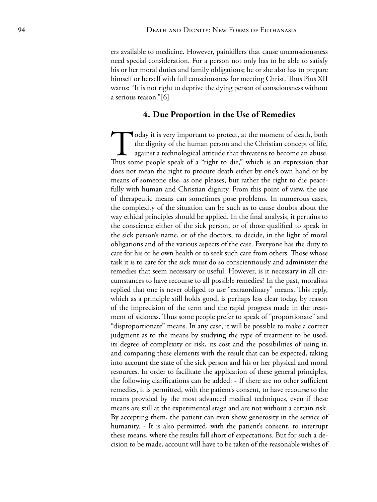ers available to medicine. However, painkillers that cause unconsciousness need special consideration. For a person not only has to be able to satisfy his or her moral duties and family obligations; he or she also has to prepare himself or herself with full consciousness for meeting Christ. Thus Pius XII warns: "It is not right to deprive the dying person of consciousness without a serious reason."[6]

#### **4. Due Proportion in the Use of Remedies**

 $\blacktriangleright$  oday it is very important to protect, at the moment of death, both the dignity of the human person and the Christian concept of life, against a technological attitude that threatens to become an abuse. Thus some people speak of a "right to die," which is an expression that does not mean the right to procure death either by one's own hand or by means of someone else, as one pleases, but rather the right to die peace fully with human and Christian dignity. From this point of view, the use of therapeutic means can sometimes pose problems. In numerous cases, the complexity of the situation can be such as to cause doubts about the way ethical principles should be applied. In the final analysis, it pertains to the conscience either of the sick person, or of those qualified to speak in the sick person's name, or of the doctors, to decide, in the light of moral obligations and of the various aspects of the case. Everyone has the duty to care for his or he own health or to seek such care from others. Those whose task it is to care for the sick must do so conscientiously and administer the remedies that seem necessary or useful. However, is it necessary in all cir cumstances to have recourse to all possible remedies? In the past, moralists replied that one is never obliged to use "extraordinary" means. This reply, which as a principle still holds good, is perhaps less clear today, by reason of the imprecision of the term and the rapid progress made in the treat ment of sickness. Thus some people prefer to speak of "proportionate" and "disproportionate" means. In any case, it will be possible to make a correct judgment as to the means by studying the type of treatment to be used, its degree of complexity or risk, its cost and the possibilities of using it, and comparing these elements with the result that can be expected, taking into account the state of the sick person and his or her physical and moral resources. In order to facilitate the application of these general principles, the following clarifications can be added: - If there are no other sufficient remedies, it is permitted, with the patient's consent, to have recourse to the means provided by the most advanced medical techniques, even if these means are still at the experimental stage and are not without a certain risk. By accepting them, the patient can even show generosity in the service of humanity. - It is also permitted, with the patient's consent, to interrupt these means, where the results fall short of expectations. But for such a de cision to be made, account will have to be taken of the reasonable wishes of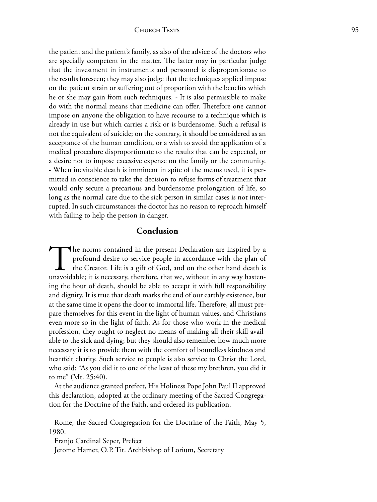the patient and the patient's family, as also of the advice of the doctors who are specially competent in the matter. The latter may in particular judge that the investment in instruments and personnel is disproportionate to the results foreseen; they may also judge that the techniques applied impose on the patient strain or suffering out of proportion with the benefits which he or she may gain from such techniques. - It is also permissible to make do with the normal means that medicine can offer. Therefore one cannot impose on anyone the obligation to have recourse to a technique which is already in use but which carries a risk or is burdensome. Such a refusal is not the equivalent of suicide; on the contrary, it should be considered as an acceptance of the human condition, or a wish to avoid the application of a medical procedure disproportionate to the results that can be expected, or a desire not to impose excessive expense on the family or the community. - When inevitable death is imminent in spite of the means used, it is per mitted in conscience to take the decision to refuse forms of treatment that would only secure a precarious and burdensome prolongation of life, so long as the normal care due to the sick person in similar cases is not inter rupted. In such circumstances the doctor has no reason to reproach himself with failing to help the person in danger.

## **Conclusion**

The norms contained in the present Declaration are inspired by a profound desire to service people in accordance with the plan of the Creator. Life is a gift of God, and on the other hand death is unavoidable; it is necess profound desire to service people in accordance with the plan of the Creator. Life is a gift of God, and on the other hand death is unavoidable; it is necessary, therefore, that we, without in any way hasten ing the hour of death, should be able to accept it with full responsibility and dignity. It is true that death marks the end of our earthly existence, but at the same time it opens the door to immortal life. Therefore, all must pre pare themselves for this event in the light of human values, and Christians even more so in the light of faith. As for those who work in the medical profession, they ought to neglect no means of making all their skill avail able to the sick and dying; but they should also remember how much more necessary it is to provide them with the comfort of boundless kindness and heartfelt charity. Such service to people is also service to Christ the Lord, who said: "As you did it to one of the least of these my brethren, you did it to me" (Mt. 25:40).

At the audience granted prefect, His Holiness Pope John Paul II approved this declaration, adopted at the ordinary meeting of the Sacred Congrega tion for the Doctrine of the Faith, and ordered its publication.

Rome, the Sacred Congregation for the Doctrine of the Faith, May 5, 1980.

Franjo Cardinal Seper, Prefect

Jerome Hamer, O.P. Tit. Archbishop of Lorium, Secretary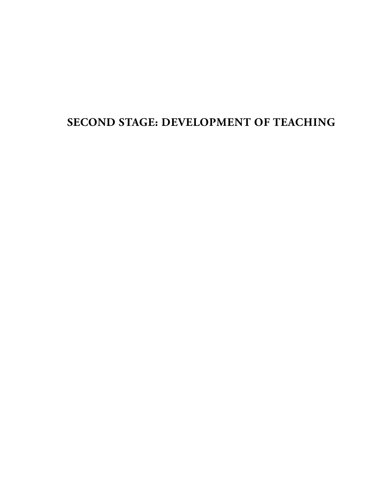# **SECOND STAGE: DEVELOPMENT OF TEACHING**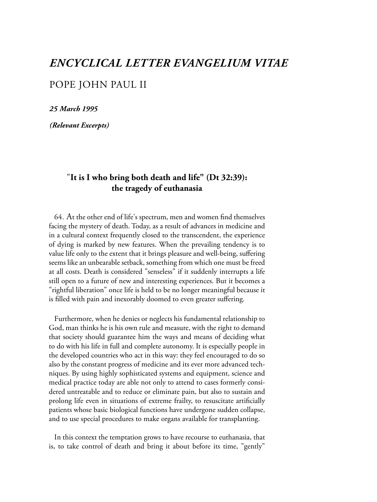## *ENCYCLICAL LETTER EVANGELIUM VITAE*

## POPE JOHN PAUL II

*25 March 1995*

*(Relevant Excerpts)*

## "**It is I who bring both death and life" (Dt 32:39): the tragedy of euthanasia**

64. At the other end of life's spectrum, men and women find themselves facing the mystery of death. Today, as a result of advances in medicine and in a cultural context frequently closed to the transcendent, the experience of dying is marked by new features. When the prevailing tendency is to value life only to the extent that it brings pleasure and well-being, suffering seems like an unbearable setback, something from which one must be freed at all costs. Death is considered "senseless" if it suddenly interrupts a life still open to a future of new and interesting experiences. But it becomes a "rightful liberation" once life is held to be no longer meaningful because it is filled with pain and inexorably doomed to even greater suffering.

Furthermore, when he denies or neglects his fundamental relationship to God, man thinks he is his own rule and measure, with the right to demand that society should guarantee him the ways and means of deciding what to do with his life in full and complete autonomy. It is especially people in the developed countries who act in this way: they feel encouraged to do so also by the constant progress of medicine and its ever more advanced techniques. By using highly sophisticated systems and equipment, science and medical practice today are able not only to attend to cases formerly considered untreatable and to reduce or eliminate pain, but also to sustain and prolong life even in situations of extreme frailty, to resuscitate artificially patients whose basic biological functions have undergone sudden collapse, and to use special procedures to make organs available for transplanting.

In this context the temptation grows to have recourse to euthanasia, that is, to take control of death and bring it about before its time, "gently"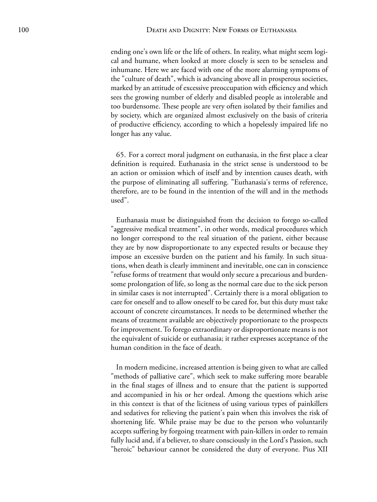ending one's own life or the life of others. In reality, what might seem logical and humane, when looked at more closely is seen to be senseless and inhumane. Here we are faced with one of the more alarming symptoms of the "culture of death", which is advancing above all in prosperous societies, marked by an attitude of excessive preoccupation with efficiency and which sees the growing number of elderly and disabled people as intolerable and too burdensome. These people are very often isolated by their families and by society, which are organized almost exclusively on the basis of criteria of productive efficiency, according to which a hopelessly impaired life no longer has any value.

65. For a correct moral judgment on euthanasia, in the first place a clear definition is required. Euthanasia in the strict sense is understood to be an action or omission which of itself and by intention causes death, with the purpose of eliminating all suffering. "Euthanasia's terms of reference, therefore, are to be found in the intention of the will and in the methods used".

Euthanasia must be distinguished from the decision to forego so-called "aggressive medical treatment", in other words, medical procedures which no longer correspond to the real situation of the patient, either because they are by now disproportionate to any expected results or because they impose an excessive burden on the patient and his family. In such situations, when death is clearly imminent and inevitable, one can in conscience "refuse forms of treatment that would only secure a precarious and burdensome prolongation of life, so long as the normal care due to the sick person in similar cases is not interrupted". Certainly there is a moral obligation to care for oneself and to allow oneself to be cared for, but this duty must take account of concrete circumstances. It needs to be determined whether the means of treatment available are objectively proportionate to the prospects for improvement. To forego extraordinary or disproportionate means is not the equivalent of suicide or euthanasia; it rather expresses acceptance of the human condition in the face of death.

In modern medicine, increased attention is being given to what are called "methods of palliative care", which seek to make suffering more bearable in the final stages of illness and to ensure that the patient is supported and accompanied in his or her ordeal. Among the questions which arise in this context is that of the licitness of using various types of painkillers and sedatives for relieving the patient's pain when this involves the risk of shortening life. While praise may be due to the person who voluntarily accepts suffering by forgoing treatment with pain-killers in order to remain fully lucid and, if a believer, to share consciously in the Lord's Passion, such "heroic" behaviour cannot be considered the duty of everyone. Pius XII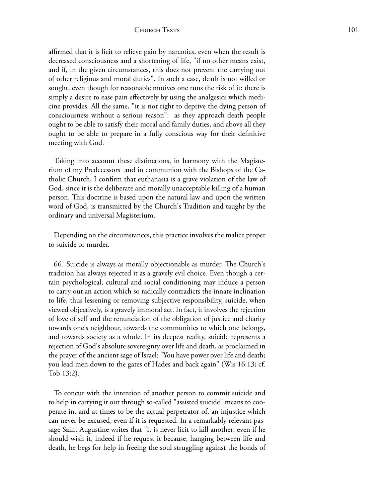affirmed that it is licit to relieve pain by narcotics, even when the result is decreased consciousness and a shortening of life, "if no other means exist, and if, in the given circumstances, this does not prevent the carrying out of other religious and moral duties". In such a case, death is not willed or sought, even though for reasonable motives one runs the risk of it: there is simply a desire to ease pain effectively by using the analgesics which medicine provides. All the same, "it is not right to deprive the dying person of consciousness without a serious reason": as they approach death people ought to be able to satisfy their moral and family duties, and above all they ought to be able to prepare in a fully conscious way for their definitive meeting with God.

Taking into account these distinctions, in harmony with the Magisterium of my Predecessors and in communion with the Bishops of the Catholic Church, I confirm that euthanasia is a grave violation of the law of God, since it is the deliberate and morally unacceptable killing of a human person. This doctrine is based upon the natural law and upon the written word of God, is transmitted by the Church's Tradition and taught by the ordinary and universal Magisterium.

Depending on the circumstances, this practice involves the malice proper to suicide or murder.

66. Suicide is always as morally objectionable as murder. The Church's tradition has always rejected it as a gravely evil choice. Even though a certain psychological, cultural and social conditioning may induce a person to carry out an action which so radically contradicts the innate inclination to life, thus lessening or removing subjective responsibility, suicide, when viewed objectively, is a gravely immoral act. In fact, it involves the rejection of love of self and the renunciation of the obligation of justice and charity towards one's neighbour, towards the communities to which one belongs, and towards society as a whole. In its deepest reality, suicide represents a rejection of God's absolute sovereignty over life and death, as proclaimed in the prayer of the ancient sage of Israel: "You have power over life and death; you lead men down to the gates of Hades and back again" (Wis 16:13; cf. Tob 13:2).

To concur with the intention of another person to commit suicide and to help in carrying it out through so-called "assisted suicide" means to cooperate in, and at times to be the actual perpetrator of, an injustice which can never be excused, even if it is requested. In a remarkably relevant passage Saint Augustine writes that "it is never licit to kill another: even if he should wish it, indeed if he request it because, hanging between life and death, he begs for help in freeing the soul struggling against the bonds of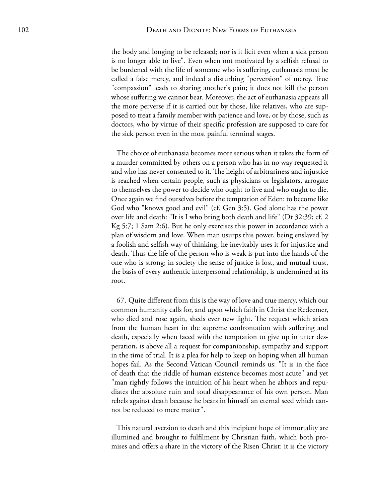the body and longing to be released; nor is it licit even when a sick person is no longer able to live". Even when not motivated by a selfish refusal to be burdened with the life of someone who is suffering, euthanasia must be called a false mercy, and indeed a disturbing "perversion" of mercy. True "compassion" leads to sharing another's pain; it does not kill the person whose suffering we cannot bear. Moreover, the act of euthanasia appears all the more perverse if it is carried out by those, like relatives, who are supposed to treat a family member with patience and love, or by those, such as doctors, who by virtue of their specific profession are supposed to care for the sick person even in the most painful terminal stages.

The choice of euthanasia becomes more serious when it takes the form of a murder committed by others on a person who has in no way requested it and who has never consented to it. The height of arbitrariness and injustice is reached when certain people, such as physicians or legislators, arrogate to themselves the power to decide who ought to live and who ought to die. Once again we find ourselves before the temptation of Eden: to become like God who "knows good and evil" (cf. Gen 3:5). God alone has the power over life and death: "It is I who bring both death and life" (Dt 32:39; cf. 2 Kg 5:7; 1 Sam 2:6). But he only exercises this power in accordance with a plan of wisdom and love. When man usurps this power, being enslaved by a foolish and selfish way of thinking, he inevitably uses it for injustice and death. Thus the life of the person who is weak is put into the hands of the one who is strong; in society the sense of justice is lost, and mutual trust, the basis of every authentic interpersonal relationship, is undermined at its root.

67. Quite different from this is the way of love and true mercy, which our common humanity calls for, and upon which faith in Christ the Redeemer, who died and rose again, sheds ever new light. The request which arises from the human heart in the supreme confrontation with suffering and death, especially when faced with the temptation to give up in utter desperation, is above all a request for companionship, sympathy and support in the time of trial. It is a plea for help to keep on hoping when all human hopes fail. As the Second Vatican Council reminds us: "It is in the face of death that the riddle of human existence becomes most acute" and yet "man rightly follows the intuition of his heart when he abhors and repudiates the absolute ruin and total disappearance of his own person. Man rebels against death because he bears in himself an eternal seed which cannot be reduced to mere matter".

This natural aversion to death and this incipient hope of immortality are illumined and brought to fulfilment by Christian faith, which both promises and offers a share in the victory of the Risen Christ: it is the victory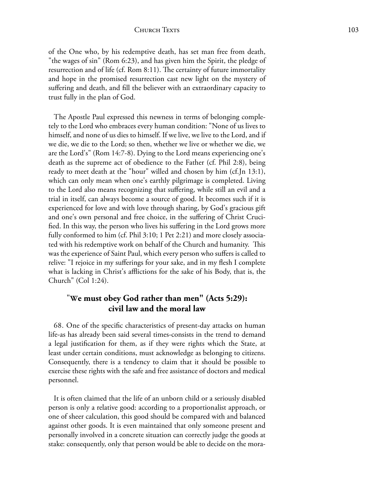of the One who, by his redemptive death, has set man free from death, "the wages of sin" (Rom 6:23), and has given him the Spirit, the pledge of resurrection and of life (cf. Rom 8:11). The certainty of future immortality and hope in the promised resurrection cast new light on the mystery of suffering and death, and fill the believer with an extraordinary capacity to trust fully in the plan of God.

The Apostle Paul expressed this newness in terms of belonging completely to the Lord who embraces every human condition: "None of us lives to himself, and none of us dies to himself. If we live, we live to the Lord, and if we die, we die to the Lord; so then, whether we live or whether we die, we are the Lord's" (Rom 14:7-8). Dying to the Lord means experiencing one's death as the supreme act of obedience to the Father (cf. Phil 2:8), being ready to meet death at the "hour" willed and chosen by him (cf.Jn 13:1), which can only mean when one's earthly pilgrimage is completed. Living to the Lord also means recognizing that suffering, while still an evil and a trial in itself, can always become a source of good. It becomes such if it is experienced for love and with love through sharing, by God's gracious gift and one's own personal and free choice, in the suffering of Christ Crucified. In this way, the person who lives his suffering in the Lord grows more fully conformed to him (cf. Phil 3:10; 1 Pet 2:21) and more closely associated with his redemptive work on behalf of the Church and humanity. This was the experience of Saint Paul, which every person who suffers is called to relive: "I rejoice in my sufferings for your sake, and in my flesh I complete what is lacking in Christ's afflictions for the sake of his Body, that is, the Church" (Col 1:24).

## "**We must obey God rather than men" (Acts 5:29): civil law and the moral law**

68. One of the specific characteristics of present-day attacks on human life-as has already been said several times-consists in the trend to demand a legal justification for them, as if they were rights which the State, at least under certain conditions, must acknowledge as belonging to citizens. Consequently, there is a tendency to claim that it should be possible to exercise these rights with the safe and free assistance of doctors and medical personnel.

It is often claimed that the life of an unborn child or a seriously disabled person is only a relative good: according to a proportionalist approach, or one of sheer calculation, this good should be compared with and balanced against other goods. It is even maintained that only someone present and personally involved in a concrete situation can correctly judge the goods at stake: consequently, only that person would be able to decide on the mora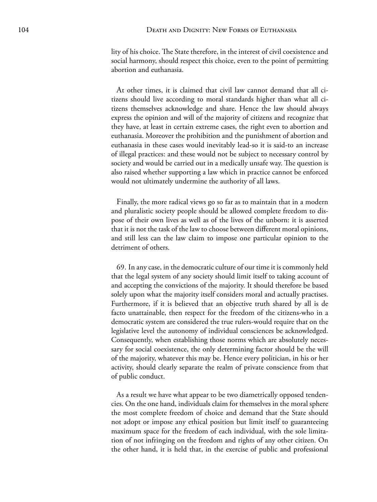lity of his choice. The State therefore, in the interest of civil coexistence and social harmony, should respect this choice, even to the point of permitting abortion and euthanasia.

At other times, it is claimed that civil law cannot demand that all citizens should live according to moral standards higher than what all citizens themselves acknowledge and share. Hence the law should always express the opinion and will of the majority of citizens and recognize that they have, at least in certain extreme cases, the right even to abortion and euthanasia. Moreover the prohibition and the punishment of abortion and euthanasia in these cases would inevitably lead-so it is said-to an increase of illegal practices: and these would not be subject to necessary control by society and would be carried out in a medically unsafe way. The question is also raised whether supporting a law which in practice cannot be enforced would not ultimately undermine the authority of all laws.

Finally, the more radical views go so far as to maintain that in a modern and pluralistic society people should be allowed complete freedom to dispose of their own lives as well as of the lives of the unborn: it is asserted that it is not the task of the law to choose between different moral opinions, and still less can the law claim to impose one particular opinion to the detriment of others.

69. In any case, in the democratic culture of our time it is commonly held that the legal system of any society should limit itself to taking account of and accepting the convictions of the majority. It should therefore be based solely upon what the majority itself considers moral and actually practises. Furthermore, if it is believed that an objective truth shared by all is de facto unattainable, then respect for the freedom of the citizens-who in a democratic system are considered the true rulers-would require that on the legislative level the autonomy of individual consciences be acknowledged. Consequently, when establishing those norms which are absolutely necessary for social coexistence, the only determining factor should be the will of the majority, whatever this may be. Hence every politician, in his or her activity, should clearly separate the realm of private conscience from that of public conduct.

As a result we have what appear to be two diametrically opposed tendencies. On the one hand, individuals claim for themselves in the moral sphere the most complete freedom of choice and demand that the State should not adopt or impose any ethical position but limit itself to guaranteeing maximum space for the freedom of each individual, with the sole limitation of not infringing on the freedom and rights of any other citizen. On the other hand, it is held that, in the exercise of public and professional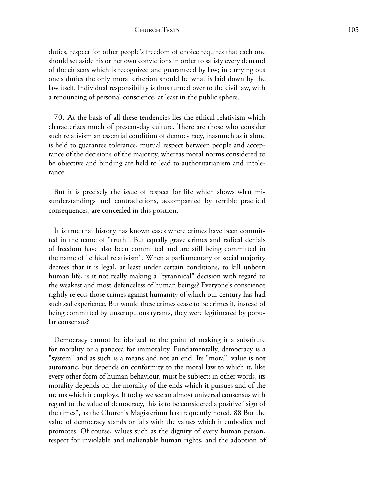duties, respect for other people's freedom of choice requires that each one should set aside his or her own convictions in order to satisfy every demand of the citizens which is recognized and guaranteed by law; in carrying out one's duties the only moral criterion should be what is laid down by the law itself. Individual responsibility is thus turned over to the civil law, with a renouncing of personal conscience, at least in the public sphere.

70. At the basis of all these tendencies lies the ethical relativism which characterizes much of present-day culture. There are those who consider such relativism an essential condition of democ- racy, inasmuch as it alone is held to guarantee tolerance, mutual respect between people and acceptance of the decisions of the majority, whereas moral norms considered to be objective and binding are held to lead to authoritarianism and intolerance.

But it is precisely the issue of respect for life which shows what misunderstandings and contradictions, accompanied by terrible practical consequences, are concealed in this position.

It is true that history has known cases where crimes have been committed in the name of "truth". But equally grave crimes and radical denials of freedom have also been committed and are still being committed in the name of "ethical relativism". When a parliamentary or social majority decrees that it is legal, at least under certain conditions, to kill unborn human life, is it not really making a "tyrannical" decision with regard to the weakest and most defenceless of human beings? Everyone's conscience rightly rejects those crimes against humanity of which our century has had such sad experience. But would these crimes cease to be crimes if, instead of being committed by unscrupulous tyrants, they were legitimated by popular consensus?

Democracy cannot be idolized to the point of making it a substitute for morality or a panacea for immorality. Fundamentally, democracy is a "system" and as such is a means and not an end. Its "moral" value is not automatic, but depends on conformity to the moral law to which it, like every other form of human behaviour, must be subject: in other words, its morality depends on the morality of the ends which it pursues and of the means which it employs. If today we see an almost universal consensus with regard to the value of democracy, this is to be considered a positive "sign of the times", as the Church's Magisterium has frequently noted. 88 But the value of democracy stands or falls with the values which it embodies and promotes. Of course, values such as the dignity of every human person, respect for inviolable and inalienable human rights, and the adoption of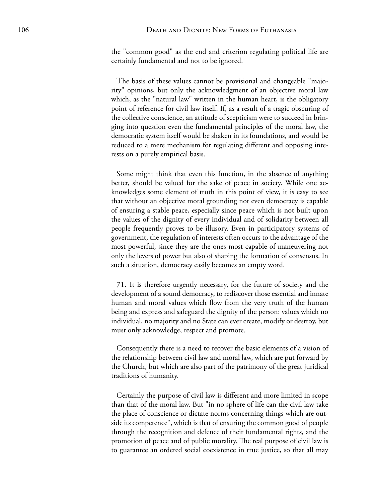the "common good" as the end and criterion regulating political life are certainly fundamental and not to be ignored.

The basis of these values cannot be provisional and changeable "majority" opinions, but only the acknowledgment of an objective moral law which, as the "natural law" written in the human heart, is the obligatory point of reference for civil law itself. If, as a result of a tragic obscuring of the collective conscience, an attitude of scepticism were to succeed in bringing into question even the fundamental principles of the moral law, the democratic system itself would be shaken in its foundations, and would be reduced to a mere mechanism for regulating different and opposing interests on a purely empirical basis.

Some might think that even this function, in the absence of anything better, should be valued for the sake of peace in society. While one acknowledges some element of truth in this point of view, it is easy to see that without an objective moral grounding not even democracy is capable of ensuring a stable peace, especially since peace which is not built upon the values of the dignity of every individual and of solidarity between all people frequently proves to be illusory. Even in participatory systems of government, the regulation of interests often occurs to the advantage of the most powerful, since they are the ones most capable of maneuvering not only the levers of power but also of shaping the formation of consensus. In such a situation, democracy easily becomes an empty word.

71. It is therefore urgently necessary, for the future of society and the development of a sound democracy, to rediscover those essential and innate human and moral values which flow from the very truth of the human being and express and safeguard the dignity of the person: values which no individual, no majority and no State can ever create, modify or destroy, but must only acknowledge, respect and promote.

Consequently there is a need to recover the basic elements of a vision of the relationship between civil law and moral law, which are put forward by the Church, but which are also part of the patrimony of the great juridical traditions of humanity.

Certainly the purpose of civil law is different and more limited in scope than that of the moral law. But "in no sphere of life can the civil law take the place of conscience or dictate norms concerning things which are outside its competence", which is that of ensuring the common good of people through the recognition and defence of their fundamental rights, and the promotion of peace and of public morality. The real purpose of civil law is to guarantee an ordered social coexistence in true justice, so that all may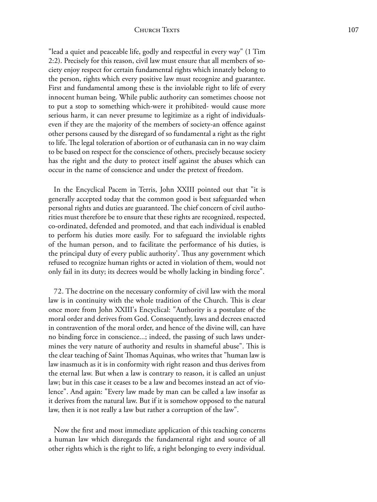"lead a quiet and peaceable life, godly and respectful in every way" (1 Tim 2:2). Precisely for this reason, civil law must ensure that all members of society enjoy respect for certain fundamental rights which innately belong to the person, rights which every positive law must recognize and guarantee. First and fundamental among these is the inviolable right to life of every innocent human being. While public authority can sometimes choose not to put a stop to something which-were it prohibited- would cause more serious harm, it can never presume to legitimize as a right of individualseven if they are the majority of the members of society-an offence against other persons caused by the disregard of so fundamental a right as the right to life. The legal toleration of abortion or of euthanasia can in no way claim to be based on respect for the conscience of others, precisely because society has the right and the duty to protect itself against the abuses which can occur in the name of conscience and under the pretext of freedom.

In the Encyclical Pacem in Terris, John XXIII pointed out that "it is generally accepted today that the common good is best safeguarded when personal rights and duties are guaranteed. The chief concern of civil authorities must therefore be to ensure that these rights are recognized, respected, co-ordinated, defended and promoted, and that each individual is enabled to perform his duties more easily. For to safeguard the inviolable rights of the human person, and to facilitate the performance of his duties, is the principal duty of every public authority'. Thus any government which refused to recognize human rights or acted in violation of them, would not only fail in its duty; its decrees would be wholly lacking in binding force".

72. The doctrine on the necessary conformity of civil law with the moral law is in continuity with the whole tradition of the Church. This is clear once more from John XXIII's Encyclical: "Authority is a postulate of the moral order and derives from God. Consequently, laws and decrees enacted in contravention of the moral order, and hence of the divine will, can have no binding force in conscience...; indeed, the passing of such laws undermines the very nature of authority and results in shameful abuse". This is the clear teaching of Saint Thomas Aquinas, who writes that "human law is law inasmuch as it is in conformity with right reason and thus derives from the eternal law. But when a law is contrary to reason, it is called an unjust law; but in this case it ceases to be a law and becomes instead an act of violence". And again: "Every law made by man can be called a law insofar as it derives from the natural law. But if it is somehow opposed to the natural law, then it is not really a law but rather a corruption of the law".

Now the first and most immediate application of this teaching concerns a human law which disregards the fundamental right and source of all other rights which is the right to life, a right belonging to every individual.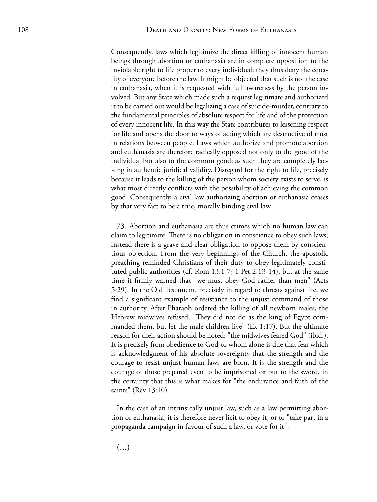Consequently, laws which legitimize the direct killing of innocent human beings through abortion or euthanasia are in complete opposition to the inviolable right to life proper to every individual; they thus deny the equality of everyone before the law. It might be objected that such is not the case in euthanasia, when it is requested with full awareness by the person involved. But any State which made such a request legitimate and authorized it to be carried out would be legalizing a case of suicide-murder, contrary to the fundamental principles of absolute respect for life and of the protection of every innocent life. In this way the State contributes to lessening respect for life and opens the door to ways of acting which are destructive of trust in relations between people. Laws which authorize and promote abortion and euthanasia are therefore radically opposed not only to the good of the individual but also to the common good; as such they are completely lacking in authentic juridical validity. Disregard for the right to life, precisely because it leads to the killing of the person whom society exists to serve, is what most directly conflicts with the possibility of achieving the common good. Consequently, a civil law authorizing abortion or euthanasia ceases by that very fact to be a true, morally binding civil law.

73. Abortion and euthanasia are thus crimes which no human law can claim to legitimize. There is no obligation in conscience to obey such laws; instead there is a grave and clear obligation to oppose them by conscientious objection. From the very beginnings of the Church, the apostolic preaching reminded Christians of their duty to obey legitimately constituted public authorities (cf. Rom 13:1-7; 1 Pet 2:13-14), but at the same time it firmly warned that "we must obey God rather than men" (Acts 5:29). In the Old Testament, precisely in regard to threats against life, we find a significant example of resistance to the unjust command of those in authority. After Pharaoh ordered the killing of all newborn males, the Hebrew midwives refused. "They did not do as the king of Egypt commanded them, but let the male children live" (Ex 1:17). But the ultimate reason for their action should be noted: "the midwives feared God" (ibid.). It is precisely from obedience to God-to whom alone is due that fear which is acknowledgment of his absolute sovereignty-that the strength and the courage to resist unjust human laws are born. It is the strength and the courage of those prepared even to be imprisoned or put to the sword, in the certainty that this is what makes for "the endurance and faith of the saints" (Rev 13:10).

In the case of an intrinsically unjust law, such as a law permitting abortion or euthanasia, it is therefore never licit to obey it, or to "take part in a propaganda campaign in favour of such a law, or vote for it".

 $\left( \ldots \right)$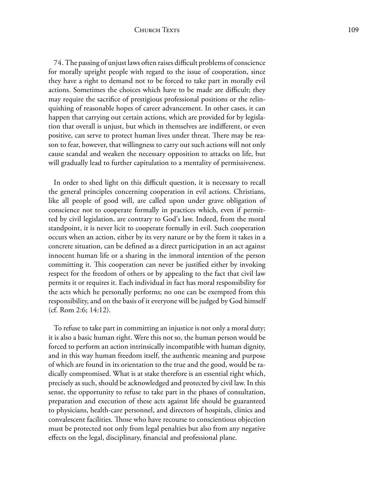74. The passing of unjust laws often raises difficult problems of conscience for morally upright people with regard to the issue of cooperation, since they have a right to demand not to be forced to take part in morally evil actions. Sometimes the choices which have to be made are difficult; they may require the sacrifice of prestigious professional positions or the relinquishing of reasonable hopes of career advancement. In other cases, it can happen that carrying out certain actions, which are provided for by legislation that overall is unjust, but which in themselves are indifferent, or even positive, can serve to protect human lives under threat. There may be reason to fear, however, that willingness to carry out such actions will not only cause scandal and weaken the necessary opposition to attacks on life, but will gradually lead to further capitulation to a mentality of permissiveness.

In order to shed light on this difficult question, it is necessary to recall the general principles concerning cooperation in evil actions. Christians, like all people of good will, are called upon under grave obligation of conscience not to cooperate formally in practices which, even if permitted by civil legislation, are contrary to God's law. Indeed, from the moral standpoint, it is never licit to cooperate formally in evil. Such cooperation occurs when an action, either by its very nature or by the form it takes in a concrete situation, can be defined as a direct participation in an act against innocent human life or a sharing in the immoral intention of the person committing it. This cooperation can never be justified either by invoking respect for the freedom of others or by appealing to the fact that civil law permits it or requires it. Each individual in fact has moral responsibility for the acts which he personally performs; no one can be exempted from this responsibility, and on the basis of it everyone will be judged by God himself (cf. Rom 2:6; 14:12).

To refuse to take part in committing an injustice is not only a moral duty; it is also a basic human right. Were this not so, the human person would be forced to perform an action intrinsically incompatible with human dignity, and in this way human freedom itself, the authentic meaning and purpose of which are found in its orientation to the true and the good, would be radically compromised. What is at stake therefore is an essential right which, precisely as such, should be acknowledged and protected by civil law. In this sense, the opportunity to refuse to take part in the phases of consultation, preparation and execution of these acts against life should be guaranteed to physicians, health-care personnel, and directors of hospitals, clinics and convalescent facilities. Those who have recourse to conscientious objection must be protected not only from legal penalties but also from any negative effects on the legal, disciplinary, financial and professional plane.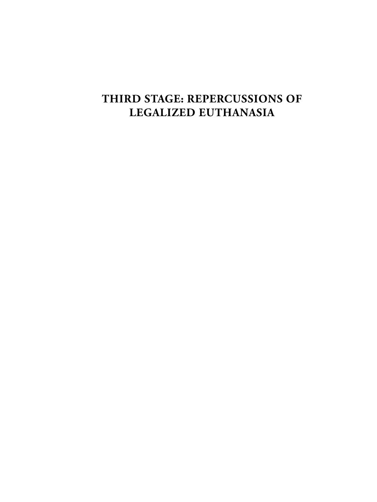# **THIRD STAGE: REPERCUSSIONS OF LEGALIZED EUTHANASIA**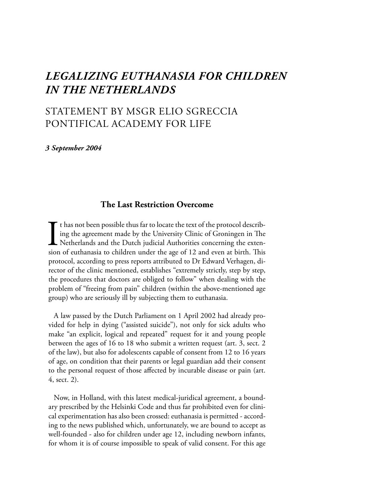# *LEGALIZING EUTHANASIA FOR CHILDREN IN THE NETHERLANDS*

# STATEMENT BY MSGR ELIO SGRECCIA PONTIFICAL ACADEMY FOR LIFE

*3 September 2004*

## **The Last Restriction Overcome**

I<sub>sion</sub>  $\mathsf{\Gamma}$  t has not been possible thus far to locate the text of the protocol describing the agreement made by the University Clinic of Groningen in The Netherlands and the Dutch judicial Authorities concerning the extension of euthanasia to children under the age of 12 and even at birth. This protocol, according to press reports attributed to Dr Edward Verhagen, director of the clinic mentioned, establishes "extremely strictly, step by step, the procedures that doctors are obliged to follow" when dealing with the problem of "freeing from pain" children (within the above-mentioned age group) who are seriously ill by subjecting them to euthanasia.

A law passed by the Dutch Parliament on 1 April 2002 had already provided for help in dying ("assisted suicide"), not only for sick adults who make "an explicit, logical and repeated" request for it and young people between the ages of 16 to 18 who submit a written request (art. 3, sect. 2 of the law), but also for adolescents capable of consent from 12 to 16 years of age, on condition that their parents or legal guardian add their consent to the personal request of those affected by incurable disease or pain (art. 4, sect. 2).

Now, in Holland, with this latest medical-juridical agreement, a boundary prescribed by the Helsinki Code and thus far prohibited even for clinical experimentation has also been crossed: euthanasia is permitted - according to the news published which, unfortunately, we are bound to accept as well-founded - also for children under age 12, including newborn infants, for whom it is of course impossible to speak of valid consent. For this age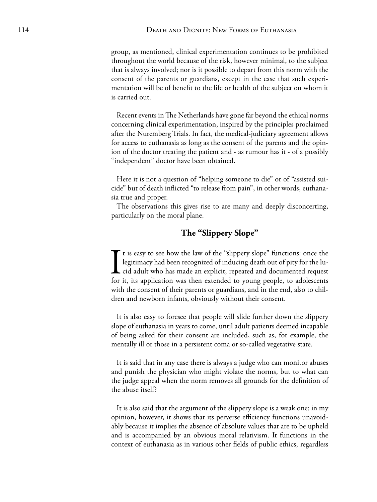group, as mentioned, clinical experimentation continues to be prohibited throughout the world because of the risk, however minimal, to the subject that is always involved; nor is it possible to depart from this norm with the consent of the parents or guardians, except in the case that such experimentation will be of benefit to the life or health of the subject on whom it is carried out.

Recent events in The Netherlands have gone far beyond the ethical norms concerning clinical experimentation, inspired by the principles proclaimed after the Nuremberg Trials. In fact, the medical-judiciary agreement allows for access to euthanasia as long as the consent of the parents and the opinion of the doctor treating the patient and - as rumour has it - of a possibly "independent" doctor have been obtained.

Here it is not a question of "helping someone to die" or of "assisted suicide" but of death inflicted "to release from pain", in other words, euthanasia true and proper.

The observations this gives rise to are many and deeply disconcerting, particularly on the moral plane.

## **The "Slippery Slope"**

I<sub>for</sub> It is easy to see how the law of the "slippery slope" functions: once the legitimacy had been recognized of inducing death out of pity for the lucid adult who has made an explicit, repeated and documented request for it, its application was then extended to young people, to adolescents with the consent of their parents or guardians, and in the end, also to children and newborn infants, obviously without their consent.

It is also easy to foresee that people will slide further down the slippery slope of euthanasia in years to come, until adult patients deemed incapable of being asked for their consent are included, such as, for example, the mentally ill or those in a persistent coma or so-called vegetative state.

It is said that in any case there is always a judge who can monitor abuses and punish the physician who might violate the norms, but to what can the judge appeal when the norm removes all grounds for the definition of the abuse itself?

It is also said that the argument of the slippery slope is a weak one: in my opinion, however, it shows that its perverse efficiency functions unavoidably because it implies the absence of absolute values that are to be upheld and is accompanied by an obvious moral relativism. It functions in the context of euthanasia as in various other fields of public ethics, regardless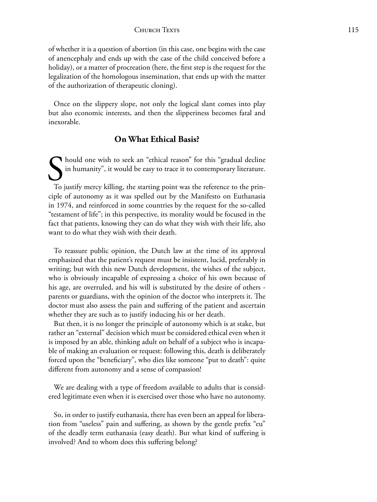of whether it is a question of abortion (in this case, one begins with the case of anencephaly and ends up with the case of the child conceived before a holiday), or a matter of procreation (here, the first step is the request for the legalization of the homologous insemination, that ends up with the matter of the authorization of therapeutic cloning).

Once on the slippery slope, not only the logical slant comes into play but also economic interests, and then the slipperiness becomes fatal and inexorable.

## **On What Ethical Basis?**

Should one wish to seek an "ethical reason" for this "gradual decline"<br>in humanity", it would be easy to trace it to contemporary literature.<br>To justify mercy killing, the starting point was the reference to the prinhould one wish to seek an "ethical reason" for this "gradual decline in humanity", it would be easy to trace it to contemporary literature.

ciple of autonomy as it was spelled out by the Manifesto on Euthanasia in 1974, and reinforced in some countries by the request for the so-called "testament of life"; in this perspective, its morality would be focused in the fact that patients, knowing they can do what they wish with their life, also want to do what they wish with their death.

To reassure public opinion, the Dutch law at the time of its approval emphasized that the patient's request must be insistent, lucid, preferably in writing; but with this new Dutch development, the wishes of the subject, who is obviously incapable of expressing a choice of his own because of his age, are overruled, and his will is substituted by the desire of others parents or guardians, with the opinion of the doctor who interprets it. The doctor must also assess the pain and suffering of the patient and ascertain whether they are such as to justify inducing his or her death.

But then, it is no longer the principle of autonomy which is at stake, but rather an "external" decision which must be considered ethical even when it is imposed by an able, thinking adult on behalf of a subject who is incapable of making an evaluation or request: following this, death is deliberately forced upon the "beneficiary", who dies like someone "put to death": quite different from autonomy and a sense of compassion!

We are dealing with a type of freedom available to adults that is considered legitimate even when it is exercised over those who have no autonomy.

So, in order to justify euthanasia, there has even been an appeal for liberation from "useless" pain and suffering, as shown by the gentle prefix "eu" of the deadly term euthanasia (easy death). But what kind of suffering is involved? And to whom does this suffering belong?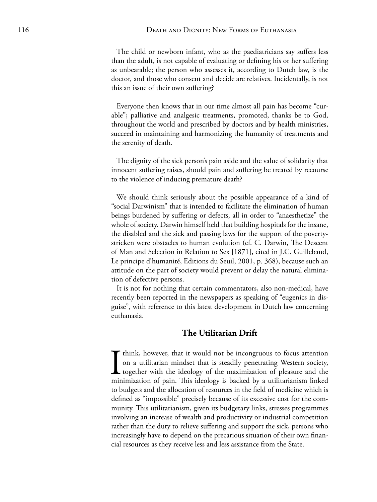The child or newborn infant, who as the paediatricians say suffers less than the adult, is not capable of evaluating or defining his or her suffering as unbearable; the person who assesses it, according to Dutch law, is the doctor, and those who consent and decide are relatives. Incidentally, is not this an issue of their own suffering?

Everyone then knows that in our time almost all pain has become "curable"; palliative and analgesic treatments, promoted, thanks be to God, throughout the world and prescribed by doctors and by health ministries, succeed in maintaining and harmonizing the humanity of treatments and the serenity of death.

The dignity of the sick person's pain aside and the value of solidarity that innocent suffering raises, should pain and suffering be treated by recourse to the violence of inducing premature death?

We should think seriously about the possible appearance of a kind of "social Darwinism" that is intended to facilitate the elimination of human beings burdened by suffering or defects, all in order to "anaesthetize" the whole of society. Darwin himself held that building hospitals for the insane, the disabled and the sick and passing laws for the support of the povertystricken were obstacles to human evolution (cf. C. Darwin, The Descent of Man and Selection in Relation to Sex [1871], cited in J.C. Guillebaud, Le principe d'humanité, Editions du Seuil, 2001, p. 368), because such an attitude on the part of society would prevent or delay the natural elimination of defective persons.

It is not for nothing that certain commentators, also non-medical, have recently been reported in the newspapers as speaking of "eugenics in disguise", with reference to this latest development in Dutch law concerning euthanasia.

## **The Utilitarian Drift**

I think, however, that it would not be incongruous to focus attention on a utilitarian mindset that is steadily penetrating Western society, together with the ideology of the maximization of pleasure and the minimization o on a utilitarian mindset that is steadily penetrating Western society, **L** together with the ideology of the maximization of pleasure and the minimization of pain. This ideology is backed by a utilitarianism linked to budgets and the allocation of resources in the field of medicine which is defined as "impossible" precisely because of its excessive cost for the community. This utilitarianism, given its budgetary links, stresses programmes involving an increase of wealth and productivity or industrial competition rather than the duty to relieve suffering and support the sick, persons who increasingly have to depend on the precarious situation of their own financial resources as they receive less and less assistance from the State.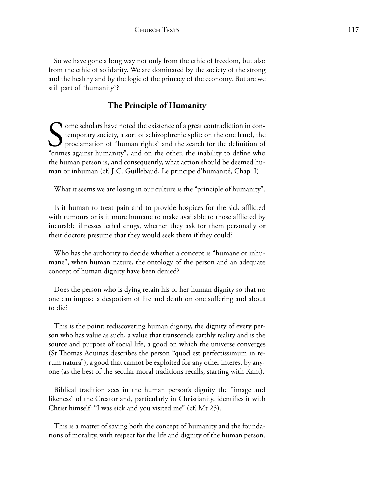So we have gone a long way not only from the ethic of freedom, but also from the ethic of solidarity. We are dominated by the society of the strong and the healthy and by the logic of the primacy of the economy. But are we still part of "humanity"?

### **The Principle of Humanity**

Some scholars have noted the existence of a great contradiction in contemporary society, a sort of schizophrenic split: on the one hand, the proclamation of "human rights" and the search for the definition of "crimes again temporary society, a sort of schizophrenic split: on the one hand, the proclamation of "human rights" and the search for the definition of "crimes against humanity", and on the other, the inability to define who the human person is, and consequently, what action should be deemed human or inhuman (cf. J.C. Guillebaud, Le principe d'humanité, Chap. I).

What it seems we are losing in our culture is the "principle of humanity".

Is it human to treat pain and to provide hospices for the sick afflicted with tumours or is it more humane to make available to those afflicted by incurable illnesses lethal drugs, whether they ask for them personally or their doctors presume that they would seek them if they could?

Who has the authority to decide whether a concept is "humane or inhumane", when human nature, the ontology of the person and an adequate concept of human dignity have been denied?

Does the person who is dying retain his or her human dignity so that no one can impose a despotism of life and death on one suffering and about to die?

This is the point: rediscovering human dignity, the dignity of every person who has value as such, a value that transcends earthly reality and is the source and purpose of social life, a good on which the universe converges (St Thomas Aquinas describes the person "quod est perfectissimum in rerum natura"), a good that cannot be exploited for any other interest by anyone (as the best of the secular moral traditions recalls, starting with Kant).

Biblical tradition sees in the human person's dignity the "image and likeness" of the Creator and, particularly in Christianity, identifies it with Christ himself: "I was sick and you visited me" (cf. Mt 25).

This is a matter of saving both the concept of humanity and the foundations of morality, with respect for the life and dignity of the human person.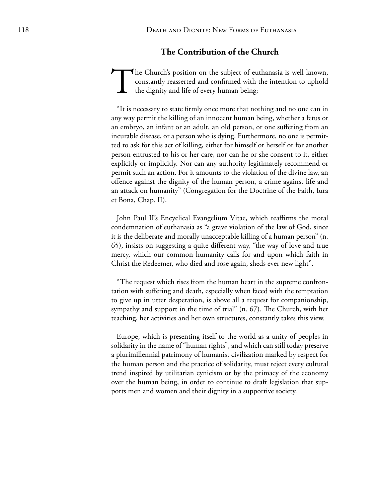#### **The Contribution of the Church**

The Church's position on the subject of euthanasia is well known, constantly reasserted and confirmed with the intention to uphold the dignity and life of every human being: constantly reasserted and confirmed with the intention to uphold the dignity and life of every human being:

"It is necessary to state firmly once more that nothing and no one can in any way permit the killing of an innocent human being, whether a fetus or an embryo, an infant or an adult, an old person, or one suffering from an incurable disease, or a person who is dying. Furthermore, no one is permitted to ask for this act of killing, either for himself or herself or for another person entrusted to his or her care, nor can he or she consent to it, either explicitly or implicitly. Nor can any authority legitimately recommend or permit such an action. For it amounts to the violation of the divine law, an offence against the dignity of the human person, a crime against life and an attack on humanity" (Congregation for the Doctrine of the Faith, Iura et Bona, Chap. II).

John Paul II's Encyclical Evangelium Vitae, which reaffirms the moral condemnation of euthanasia as "a grave violation of the law of God, since it is the deliberate and morally unacceptable killing of a human person" (n. 65), insists on suggesting a quite different way, "the way of love and true mercy, which our common humanity calls for and upon which faith in Christ the Redeemer, who died and rose again, sheds ever new light".

"The request which rises from the human heart in the supreme confrontation with suffering and death, especially when faced with the temptation to give up in utter desperation, is above all a request for companionship, sympathy and support in the time of trial" (n. 67). The Church, with her teaching, her activities and her own structures, constantly takes this view.

Europe, which is presenting itself to the world as a unity of peoples in solidarity in the name of "human rights", and which can still today preserve a plurimillennial patrimony of humanist civilization marked by respect for the human person and the practice of solidarity, must reject every cultural trend inspired by utilitarian cynicism or by the primacy of the economy over the human being, in order to continue to draft legislation that supports men and women and their dignity in a supportive society.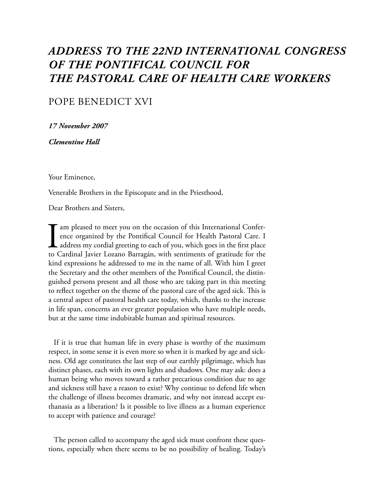# *ADDRESS TO THE 22ND INTERNATIONAL CONGRESS OF THE PONTIFICAL COUNCIL FOR THE PASTORAL CARE OF HEALTH CARE WORKERS*

## POPE BENEDICT XVI

*17 November 2007* 

*Clementine Hall* 

Your Eminence,

Venerable Brothers in the Episcopate and in the Priesthood,

Dear Brothers and Sisters,

I am pleased to meet you on the occasion of this International Conference organized by the Pontifical Council for Health Pastoral Care. I address my cordial greeting to each of you, which goes in the first place to Cardina ence organized by the Pontifical Council for Health Pastoral Care. I address my cordial greeting to each of you, which goes in the first place to Cardinal Javier Lozano Barragán, with sentiments of gratitude for the kind expressions he addressed to me in the name of all. With him I greet the Secretary and the other members of the Pontifical Council, the distinguished persons present and all those who are taking part in this meeting to reflect together on the theme of the pastoral care of the aged sick. This is a central aspect of pastoral health care today, which, thanks to the increase in life span, concerns an ever greater population who have multiple needs, but at the same time indubitable human and spiritual resources.

If it is true that human life in every phase is worthy of the maximum respect, in some sense it is even more so when it is marked by age and sickness. Old age constitutes the last step of our earthly pilgrimage, which has distinct phases, each with its own lights and shadows. One may ask: does a human being who moves toward a rather precarious condition due to age and sickness still have a reason to exist? Why continue to defend life when the challenge of illness becomes dramatic, and why not instead accept euthanasia as a liberation? Is it possible to live illness as a human experience to accept with patience and courage?

The person called to accompany the aged sick must confront these questions, especially when there seems to be no possibility of healing. Today's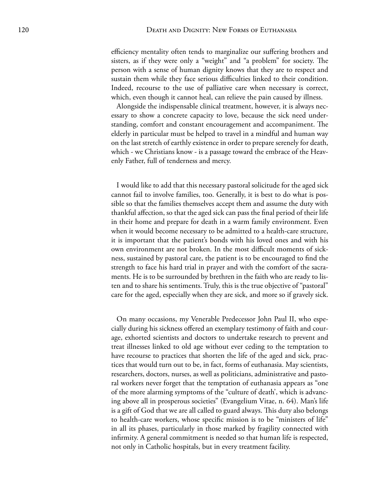efficiency mentality often tends to marginalize our suffering brothers and sisters, as if they were only a "weight" and "a problem" for society. The person with a sense of human dignity knows that they are to respect and sustain them while they face serious difficulties linked to their condition. Indeed, recourse to the use of palliative care when necessary is correct, which, even though it cannot heal, can relieve the pain caused by illness.

Alongside the indispensable clinical treatment, however, it is always necessary to show a concrete capacity to love, because the sick need understanding, comfort and constant encouragement and accompaniment. The elderly in particular must be helped to travel in a mindful and human way on the last stretch of earthly existence in order to prepare serenely for death, which - we Christians know - is a passage toward the embrace of the Heavenly Father, full of tenderness and mercy.

I would like to add that this necessary pastoral solicitude for the aged sick cannot fail to involve families, too. Generally, it is best to do what is possible so that the families themselves accept them and assume the duty with thankful affection, so that the aged sick can pass the final period of their life in their home and prepare for death in a warm family environment. Even when it would become necessary to be admitted to a health-care structure, it is important that the patient's bonds with his loved ones and with his own environment are not broken. In the most difficult moments of sickness, sustained by pastoral care, the patient is to be encouraged to find the strength to face his hard trial in prayer and with the comfort of the sacraments. He is to be surrounded by brethren in the faith who are ready to listen and to share his sentiments. Truly, this is the true objective of "pastoral" care for the aged, especially when they are sick, and more so if gravely sick.

On many occasions, my Venerable Predecessor John Paul II, who especially during his sickness offered an exemplary testimony of faith and courage, exhorted scientists and doctors to undertake research to prevent and treat illnesses linked to old age without ever ceding to the temptation to have recourse to practices that shorten the life of the aged and sick, practices that would turn out to be, in fact, forms of euthanasia. May scientists, researchers, doctors, nurses, as well as politicians, administrative and pastoral workers never forget that the temptation of euthanasia appears as "one of the more alarming symptoms of the "culture of death', which is advancing above all in prosperous societies" (Evangelium Vitae, n. 64). Man's life is a gift of God that we are all called to guard always. This duty also belongs to health-care workers, whose specific mission is to be "ministers of life" in all its phases, particularly in those marked by fragility connected with infirmity. A general commitment is needed so that human life is respected, not only in Catholic hospitals, but in every treatment facility.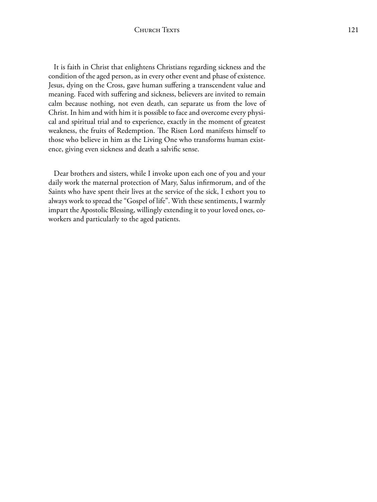### Church Texts 121

It is faith in Christ that enlightens Christians regarding sickness and the condition of the aged person, as in every other event and phase of existence. Jesus, dying on the Cross, gave human suffering a transcendent value and meaning. Faced with suffering and sickness, believers are invited to remain calm because nothing, not even death, can separate us from the love of Christ. In him and with him it is possible to face and overcome every physical and spiritual trial and to experience, exactly in the moment of greatest weakness, the fruits of Redemption. The Risen Lord manifests himself to those who believe in him as the Living One who transforms human existence, giving even sickness and death a salvific sense.

Dear brothers and sisters, while I invoke upon each one of you and your daily work the maternal protection of Mary, Salus infirmorum, and of the Saints who have spent their lives at the service of the sick, I exhort you to always work to spread the "Gospel of life". With these sentiments, I warmly impart the Apostolic Blessing, willingly extending it to your loved ones, coworkers and particularly to the aged patients.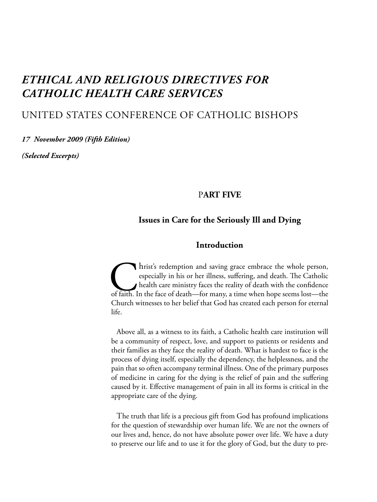# *ETHICAL AND RELIGIOUS DIRECTIVES FOR CATHOLIC HEALTH CARE SERVICES*

# UNITED STATES CONFERENCE OF CATHOLIC BISHOPS

*17 November 2009 (Fifth Edition)*

*(Selected Excerpts)*

## P**ART FIVE**

## **Issues in Care for the Seriously Ill and Dying**

### **Introduction**

hrist's redemption and saving grace embrace the whole person, especially in his or her illness, suffering, and death. The Catholic health care ministry faces the reality of death with the confidence of faith. In the face o especially in his or her illness, suffering, and death. The Catholic health care ministry faces the reality of death with the confidence of faith. In the face of death—for many, a time when hope seems lost—the Church witnesses to her belief that God has created each person for eternal life.

Above all, as a witness to its faith, a Catholic health care institution will be a community of respect, love, and support to patients or residents and their families as they face the reality of death. What is hardest to face is the process of dying itself, especially the dependency, the helplessness, and the pain that so often accompany terminal illness. One of the primary purposes of medicine in caring for the dying is the relief of pain and the suffering caused by it. Effective management of pain in all its forms is critical in the appropriate care of the dying.

The truth that life is a precious gift from God has profound implications for the question of stewardship over human life. We are not the owners of our lives and, hence, do not have absolute power over life. We have a duty to preserve our life and to use it for the glory of God, but the duty to pre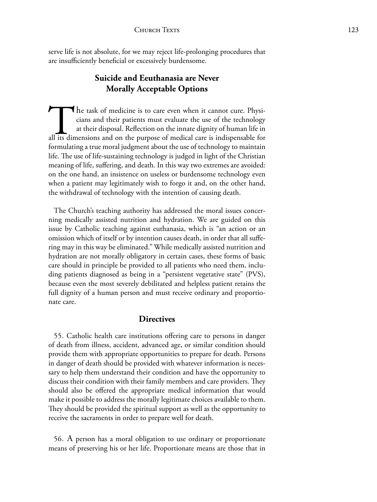serve life is not absolute, for we may reject life-prolonging procedures that are insufficiently beneficial or excessively burdensome.

## **Suicide and Eeuthanasia are Never Morally Acceptable Options**

The task of medicine is to care even when it cannot cure. Physicians and their patients must evaluate the use of the technology at their disposal. Reflection on the innate dignity of human life in all its dimensions and on the purpose of medical care is indispensable for formulating a true moral judgment about the use of technology to maintain life. The use of life-sustaining technology is judged in light of the Christian meaning of life, suffering, and death. In this way two extremes are avoided: on the one hand, an insistence on useless or burdensome technology even when a patient may legitimately wish to forgo it and, on the other hand, the withdrawal of technology with the intention of causing death.

The Church's teaching authority has addressed the moral issues concerning medically assisted nutrition and hydration. We are guided on this issue by Catholic teaching against euthanasia, which is "an action or an omission which of itself or by intention causes death, in order that all suffering may in this way be eliminated." While medically assisted nutrition and hydration are not morally obligatory in certain cases, these forms of basic care should in principle be provided to all patients who need them, including patients diagnosed as being in a "persistent vegetative state" (PVS), because even the most severely debilitated and helpless patient retains the full dignity of a human person and must receive ordinary and proportionate care.

### **Directives**

55. Catholic health care institutions offering care to persons in danger of death from illness, accident, advanced age, or similar condition should provide them with appropriate opportunities to prepare for death. Persons in danger of death should be provided with whatever information is necessary to help them understand their condition and have the opportunity to discuss their condition with their family members and care providers. They should also be offered the appropriate medical information that would make it possible to address the morally legitimate choices available to them. They should be provided the spiritual support as well as the opportunity to receive the sacraments in order to prepare well for death.

56. A person has a moral obligation to use ordinary or proportionate means of preserving his or her life. Proportionate means are those that in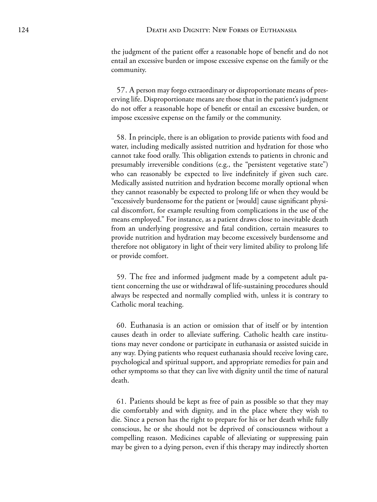the judgment of the patient offer a reasonable hope of benefit and do not entail an excessive burden or impose excessive expense on the family or the community.

57. A person may forgo extraordinary or disproportionate means of preserving life. Disproportionate means are those that in the patient's judgment do not offer a reasonable hope of benefit or entail an excessive burden, or impose excessive expense on the family or the community.

58. In principle, there is an obligation to provide patients with food and water, including medically assisted nutrition and hydration for those who cannot take food orally. This obligation extends to patients in chronic and presumably irreversible conditions (e.g., the "persistent vegetative state") who can reasonably be expected to live indefinitely if given such care. Medically assisted nutrition and hydration become morally optional when they cannot reasonably be expected to prolong life or when they would be "excessively burdensome for the patient or [would] cause significant physical discomfort, for example resulting from complications in the use of the means employed." For instance, as a patient draws close to inevitable death from an underlying progressive and fatal condition, certain measures to provide nutrition and hydration may become excessively burdensome and therefore not obligatory in light of their very limited ability to prolong life or provide comfort.

59. The free and informed judgment made by a competent adult patient concerning the use or withdrawal of life-sustaining procedures should always be respected and normally complied with, unless it is contrary to Catholic moral teaching.

60. Euthanasia is an action or omission that of itself or by intention causes death in order to alleviate suffering. Catholic health care institutions may never condone or participate in euthanasia or assisted suicide in any way. Dying patients who request euthanasia should receive loving care, psychological and spiritual support, and appropriate remedies for pain and other symptoms so that they can live with dignity until the time of natural death.

61. Patients should be kept as free of pain as possible so that they may die comfortably and with dignity, and in the place where they wish to die. Since a person has the right to prepare for his or her death while fully conscious, he or she should not be deprived of consciousness without a compelling reason. Medicines capable of alleviating or suppressing pain may be given to a dying person, even if this therapy may indirectly shorten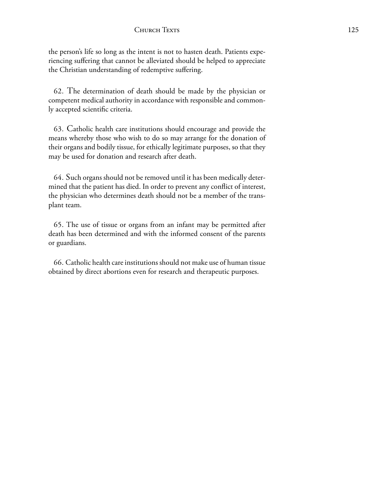the person's life so long as the intent is not to hasten death. Patients experiencing suffering that cannot be alleviated should be helped to appreciate the Christian understanding of redemptive suffering.

62. The determination of death should be made by the physician or competent medical authority in accordance with responsible and commonly accepted scientific criteria.

63. Catholic health care institutions should encourage and provide the means whereby those who wish to do so may arrange for the donation of their organs and bodily tissue, for ethically legitimate purposes, so that they may be used for donation and research after death.

64. Such organs should not be removed until it has been medically determined that the patient has died. In order to prevent any conflict of interest, the physician who determines death should not be a member of the transplant team.

65. The use of tissue or organs from an infant may be permitted after death has been determined and with the informed consent of the parents or guardians.

66. Catholic health care institutions should not make use of human tissue obtained by direct abortions even for research and therapeutic purposes.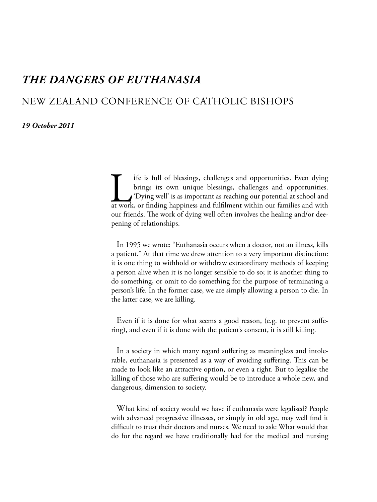# *THE DANGERS OF EUTHANASIA*

# NEW ZEALAND CONFERENCE OF CATHOLIC BISHOPS

### *19 October 2011*

Ife is full of blessings, challenges and opportunities. Even dying<br>brings its own unique blessings, challenges and opportunities.<br>Dying well' is as important as reaching our potential at school and<br>at work, or finding happ brings its own unique blessings, challenges and opportunities. 'Dying well' is as important as reaching our potential at school and at work, or finding happiness and fulfilment within our families and with our friends. The work of dying well often involves the healing and/or deepening of relationships.

In 1995 we wrote: "Euthanasia occurs when a doctor, not an illness, kills a patient." At that time we drew attention to a very important distinction: it is one thing to withhold or withdraw extraordinary methods of keeping a person alive when it is no longer sensible to do so; it is another thing to do something, or omit to do something for the purpose of terminating a person's life. In the former case, we are simply allowing a person to die. In the latter case, we are killing.

Even if it is done for what seems a good reason, (e.g. to prevent suffering), and even if it is done with the patient's consent, it is still killing.

In a society in which many regard suffering as meaningless and intolerable, euthanasia is presented as a way of avoiding suffering. This can be made to look like an attractive option, or even a right. But to legalise the killing of those who are suffering would be to introduce a whole new, and dangerous, dimension to society.

What kind of society would we have if euthanasia were legalised? People with advanced progressive illnesses, or simply in old age, may well find it difficult to trust their doctors and nurses. We need to ask: What would that do for the regard we have traditionally had for the medical and nursing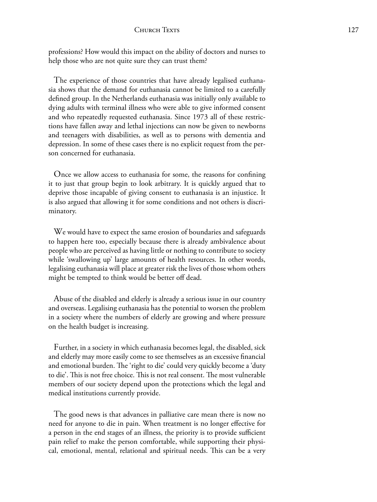### Church Texts 127

professions? How would this impact on the ability of doctors and nurses to help those who are not quite sure they can trust them?

The experience of those countries that have already legalised euthanasia shows that the demand for euthanasia cannot be limited to a carefully defined group. In the Netherlands euthanasia was initially only available to dying adults with terminal illness who were able to give informed consent and who repeatedly requested euthanasia. Since 1973 all of these restrictions have fallen away and lethal injections can now be given to newborns and teenagers with disabilities, as well as to persons with dementia and depression. In some of these cases there is no explicit request from the person concerned for euthanasia.

Once we allow access to euthanasia for some, the reasons for confining it to just that group begin to look arbitrary. It is quickly argued that to deprive those incapable of giving consent to euthanasia is an injustice. It is also argued that allowing it for some conditions and not others is discriminatory.

We would have to expect the same erosion of boundaries and safeguards to happen here too, especially because there is already ambivalence about people who are perceived as having little or nothing to contribute to society while 'swallowing up' large amounts of health resources. In other words, legalising euthanasia will place at greater risk the lives of those whom others might be tempted to think would be better off dead.

Abuse of the disabled and elderly is already a serious issue in our country and overseas. Legalising euthanasia has the potential to worsen the problem in a society where the numbers of elderly are growing and where pressure on the health budget is increasing.

Further, in a society in which euthanasia becomes legal, the disabled, sick and elderly may more easily come to see themselves as an excessive financial and emotional burden. The 'right to die' could very quickly become a 'duty to die'. This is not free choice. This is not real consent. The most vulnerable members of our society depend upon the protections which the legal and medical institutions currently provide.

The good news is that advances in palliative care mean there is now no need for anyone to die in pain. When treatment is no longer effective for a person in the end stages of an illness, the priority is to provide sufficient pain relief to make the person comfortable, while supporting their physical, emotional, mental, relational and spiritual needs. This can be a very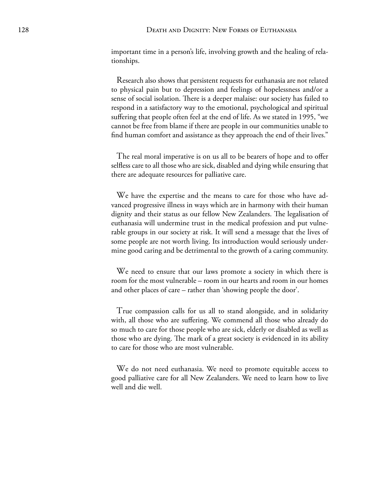important time in a person's life, involving growth and the healing of relationships.

Research also shows that persistent requests for euthanasia are not related to physical pain but to depression and feelings of hopelessness and/or a sense of social isolation. There is a deeper malaise: our society has failed to respond in a satisfactory way to the emotional, psychological and spiritual suffering that people often feel at the end of life. As we stated in 1995, "we cannot be free from blame if there are people in our communities unable to find human comfort and assistance as they approach the end of their lives."

The real moral imperative is on us all to be bearers of hope and to offer selfless care to all those who are sick, disabled and dying while ensuring that there are adequate resources for palliative care.

We have the expertise and the means to care for those who have advanced progressive illness in ways which are in harmony with their human dignity and their status as our fellow New Zealanders. The legalisation of euthanasia will undermine trust in the medical profession and put vulnerable groups in our society at risk. It will send a message that the lives of some people are not worth living. Its introduction would seriously undermine good caring and be detrimental to the growth of a caring community.

We need to ensure that our laws promote a society in which there is room for the most vulnerable – room in our hearts and room in our homes and other places of care – rather than 'showing people the door'.

True compassion calls for us all to stand alongside, and in solidarity with, all those who are suffering. We commend all those who already do so much to care for those people who are sick, elderly or disabled as well as those who are dying. The mark of a great society is evidenced in its ability to care for those who are most vulnerable.

We do not need euthanasia. We need to promote equitable access to good palliative care for all New Zealanders. We need to learn how to live well and die well.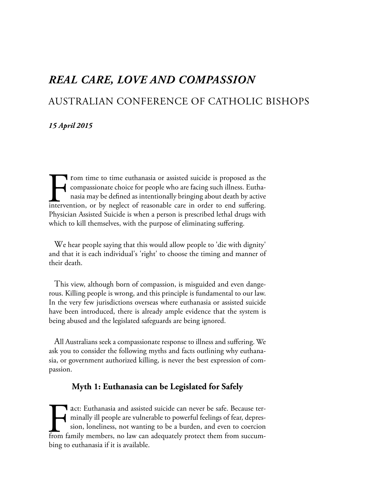# *REAL CARE, LOVE AND COMPASSION*  AUSTRALIAN CONFERENCE OF CATHOLIC BISHOPS

### *15 April 2015*

From time to time euthanasia or assisted suicide is proposed as the compassionate choice for people who are facing such illness. Euthanasia may be defined as intentionally bringing about death by active intervention, or by compassionate choice for people who are facing such illness. Euthanasia may be defined as intentionally bringing about death by active intervention, or by neglect of reasonable care in order to end suffering. Physician Assisted Suicide is when a person is prescribed lethal drugs with which to kill themselves, with the purpose of eliminating suffering.

We hear people saying that this would allow people to 'die with dignity' and that it is each individual's 'right' to choose the timing and manner of their death.

This view, although born of compassion, is misguided and even dangerous. Killing people is wrong, and this principle is fundamental to our law. In the very few jurisdictions overseas where euthanasia or assisted suicide have been introduced, there is already ample evidence that the system is being abused and the legislated safeguards are being ignored.

All Australians seek a compassionate response to illness and suffering. We ask you to consider the following myths and facts outlining why euthanasia, or government authorized killing, is never the best expression of compassion.

### **Myth 1: Euthanasia can be Legislated for Safely**

act: Euthanasia and assisted suicide can never be safe. Because ter-<br>minally ill people are vulnerable to powerful feelings of fear, depres-<br>sion, loneliness, not wanting to be a burden, and even to coercion<br>from family me minally ill people are vulnerable to powerful feelings of fear, depression, loneliness, not wanting to be a burden, and even to coercion from family members, no law can adequately protect them from succumbing to euthanasia if it is available.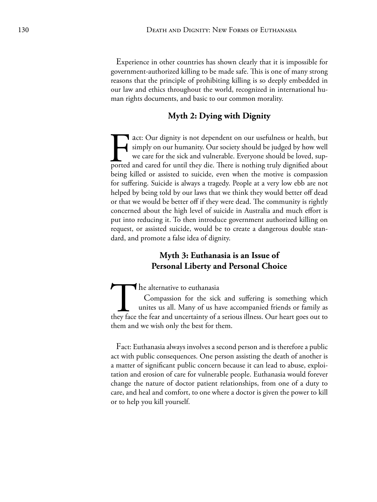Experience in other countries has shown clearly that it is impossible for government-authorized killing to be made safe. This is one of many strong reasons that the principle of prohibiting killing is so deeply embedded in our law and ethics throughout the world, recognized in international human rights documents, and basic to our common morality.

### **Myth 2: Dying with Dignity**

act: Our dignity is not dependent on our usefulness or health, but simply on our humanity. Our society should be judged by how well we care for the sick and vulnerable. Everyone should be loved, supported and cared for unt simply on our humanity. Our society should be judged by how well we care for the sick and vulnerable. Everyone should be loved, supported and cared for until they die. There is nothing truly dignified about being killed or assisted to suicide, even when the motive is compassion for suffering. Suicide is always a tragedy. People at a very low ebb are not helped by being told by our laws that we think they would better off dead or that we would be better off if they were dead. The community is rightly concerned about the high level of suicide in Australia and much effort is put into reducing it. To then introduce government authorized killing on request, or assisted suicide, would be to create a dangerous double standard, and promote a false idea of dignity.

### **Myth 3: Euthanasia is an Issue of Personal Liberty and Personal Choice**

The alternative to euthanasia<br>
Compassion for the sick and suffering is something which<br>
unites us all. Many of us have accompanied friends or family as<br>
they face the fear and uncertainty of a serious illness. Our heart g Compassion for the sick and suffering is something which unites us all. Many of us have accompanied friends or family as them and we wish only the best for them.

Fact: Euthanasia always involves a second person and is therefore a public act with public consequences. One person assisting the death of another is a matter of significant public concern because it can lead to abuse, exploitation and erosion of care for vulnerable people. Euthanasia would forever change the nature of doctor patient relationships, from one of a duty to care, and heal and comfort, to one where a doctor is given the power to kill or to help you kill yourself.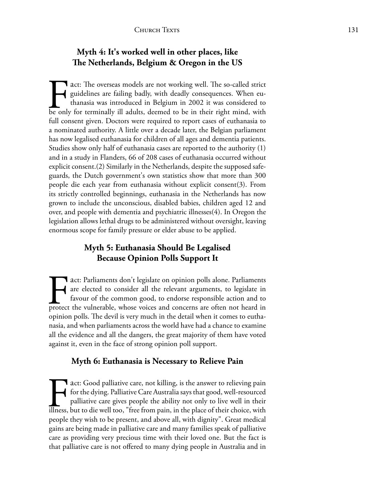## **Myth 4: It's worked well in other places, like The Netherlands, Belgium & Oregon in the US**

act: The overseas models are not working well. The so-called strict<br>guidelines are failing badly, with deadly consequences. When eu-<br>thanasia was introduced in Belgium in 2002 it was considered to<br>be only for terminally il guidelines are failing badly, with deadly consequences. When euthanasia was introduced in Belgium in 2002 it was considered to be only for terminally ill adults, deemed to be in their right mind, with full consent given. Doctors were required to report cases of euthanasia to a nominated authority. A little over a decade later, the Belgian parliament has now legalised euthanasia for children of all ages and dementia patients. Studies show only half of euthanasia cases are reported to the authority (1) and in a study in Flanders, 66 of 208 cases of euthanasia occurred without explicit consent.(2) Similarly in the Netherlands, despite the supposed safeguards, the Dutch government's own statistics show that more than 300 people die each year from euthanasia without explicit consent(3). From its strictly controlled beginnings, euthanasia in the Netherlands has now grown to include the unconscious, disabled babies, children aged 12 and over, and people with dementia and psychiatric illnesses(4). In Oregon the legislation allows lethal drugs to be administered without oversight, leaving enormous scope for family pressure or elder abuse to be applied.

# **Myth 5: Euthanasia Should Be Legalised Because Opinion Polls Support It**

Fact: Parliaments don't legislate on opinion polls alone. Parliaments are elected to consider all the relevant arguments, to legislate in favour of the common good, to endorse responsible action and to protect the vulnerable, whose voices and concerns are often not heard in opinion polls. The devil is very much in the detail when it comes to euthanasia, and when parliaments across the world have had a chance to examine all the evidence and all the dangers, the great majority of them have voted against it, even in the face of strong opinion poll support.

### **Myth 6: Euthanasia is Necessary to Relieve Pain**

act: Good palliative care, not killing, is the answer to relieving pain<br>for the dying. Palliative Care Australia says that good, well-resourced<br>palliative care gives people the ability not only to live well in their<br>illnes for the dying. Palliative Care Australia says that good, well-resourced palliative care gives people the ability not only to live well in their illness, but to die well too, "free from pain, in the place of their choice, with people they wish to be present, and above all, with dignity". Great medical gains are being made in palliative care and many families speak of palliative care as providing very precious time with their loved one. But the fact is that palliative care is not offered to many dying people in Australia and in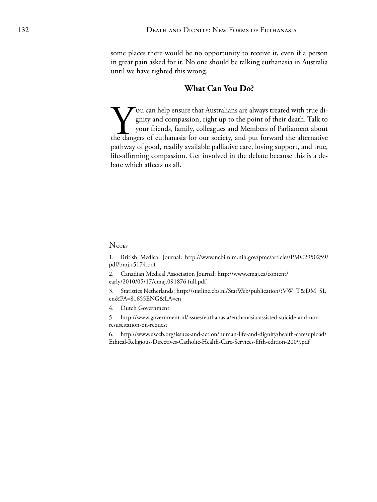some places there would be no opportunity to receive it, even if a person in great pain asked for it. No one should be talking euthanasia in Australia until we have righted this wrong.

### **What Can You Do?**

You can help ensure that Australians are always treated with true dignity and compassion, right up to the point of their death. Talk to your friends, family, colleagues and Members of Parliament about the dangers of euthan gnity and compassion, right up to the point of their death. Talk to your friends, family, colleagues and Members of Parliament about the dangers of euthanasia for our society, and put forward the alternative pathway of good, readily available palliative care, loving support, and true, life-affirming compassion. Get involved in the debate because this is a debate which affects us all.

### N<sub>OTES</sub>

1. British Medical Journal: http://www.ncbi.nlm.nih.gov/pmc/articles/PMC2950259/ pdf/bmj.c5174.pdf

2. Canadian Medical Association Journal: http://www.cmaj.ca/content/ early/2010/05/17/cmaj.091876.full.pdf

3. Statistics Netherlands: http://statline.cbs.nl/StatWeb/publication/?VW=T&DM=SL en&PA=81655ENG&LA=en

4. Dutch Government:

5. http://www.government.nl/issues/euthanasia/euthanasia-assisted-suicide-and-nonresuscitation-on-request

6. http://www.usccb.org/issues-and-action/human-life-and-dignity/health-care/upload/ Ethical-Religious-Directives-Catholic-Health-Care-Services-fifth-edition-2009.pdf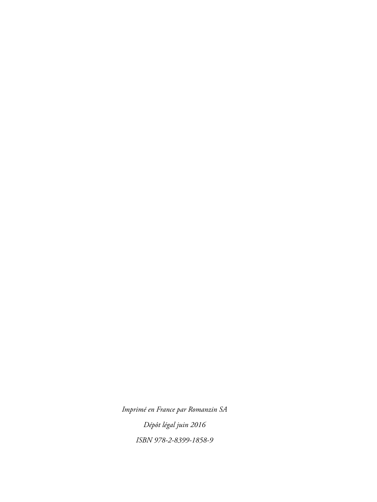*Imprimé en France par Romanzin SA Dépôt légal juin 2016 ISBN 978-2-8399-1858-9*